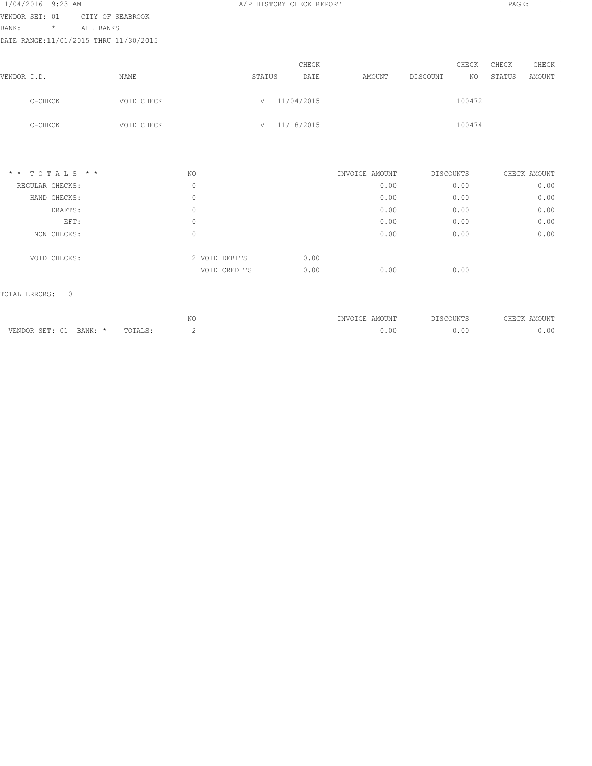| 1/04/2016 9:23 AM                     |                  |               |        | A/P HISTORY CHECK REPORT |                |           |        | PAGE:  |               | 1 |
|---------------------------------------|------------------|---------------|--------|--------------------------|----------------|-----------|--------|--------|---------------|---|
| VENDOR SET: 01                        | CITY OF SEABROOK |               |        |                          |                |           |        |        |               |   |
| BANK:<br>$^\star$                     | ALL BANKS        |               |        |                          |                |           |        |        |               |   |
| DATE RANGE:11/01/2015 THRU 11/30/2015 |                  |               |        |                          |                |           |        |        |               |   |
|                                       |                  |               |        | CHECK                    |                |           | CHECK  | CHECK  | CHECK         |   |
| VENDOR I.D.                           | NAME             |               | STATUS | DATE                     | AMOUNT         | DISCOUNT  | NO.    | STATUS | <b>AMOUNT</b> |   |
| C-CHECK                               | VOID CHECK       |               |        | V 11/04/2015             |                |           | 100472 |        |               |   |
| C-CHECK                               | VOID CHECK       |               |        | V 11/18/2015             |                |           | 100474 |        |               |   |
| $*$ * TOTALS * *                      |                  | NO            |        |                          | INVOICE AMOUNT | DISCOUNTS |        |        | CHECK AMOUNT  |   |
| REGULAR CHECKS:                       |                  | $\mathbf{0}$  |        |                          | 0.00           |           | 0.00   |        | 0.00          |   |
| HAND CHECKS:                          |                  | $\mathbf{0}$  |        |                          | 0.00           |           | 0.00   |        | 0.00          |   |
| DRAFTS:                               |                  | $\mathbf{0}$  |        |                          | 0.00           |           | 0.00   |        | 0.00          |   |
| EFT:                                  |                  | 0             |        |                          | 0.00           |           | 0.00   |        | 0.00          |   |
| NON CHECKS:                           |                  | $\mathbf{0}$  |        |                          | 0.00           |           | 0.00   |        | 0.00          |   |
| VOID CHECKS:                          |                  | 2 VOID DEBITS |        | 0.00                     |                |           |        |        |               |   |
|                                       |                  | VOID CREDITS  |        | 0.00                     | 0.00           |           | 0.00   |        |               |   |
| TOTAL ERRORS:<br>$\Omega$             |                  |               |        |                          |                |           |        |        |               |   |
|                                       |                  | NO            |        |                          | INVOICE AMOUNT | DISCOUNTS |        |        | CHECK AMOUNT  |   |

VENDOR SET: 01 BANK: \* TOTALS: 2 2 0.00 0.00 0.00 0.00 0.00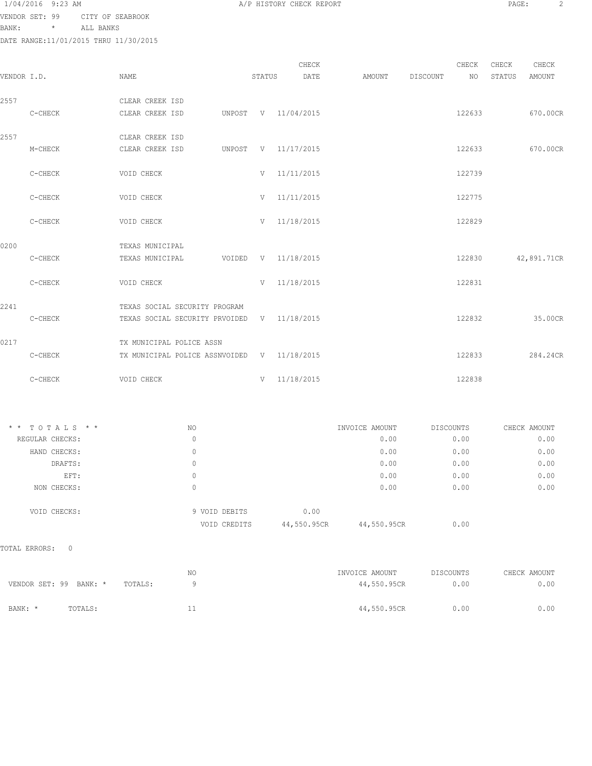| 1/04/2016 9:23 AM |                 |  |
|-------------------|-----------------|--|
| itainan ann. AA   | $ATMVI$ $ATMVI$ |  |

VENDOR SET: 99 CITY OF SEABROOK

BANK: \* ALL BANKS

|             | DATE RANGE:11/01/2015 THRU 11/30/2015 |                                             |        |                     |        |          |             |                 |                 |
|-------------|---------------------------------------|---------------------------------------------|--------|---------------------|--------|----------|-------------|-----------------|-----------------|
| VENDOR I.D. |                                       | NAME                                        | STATUS | CHECK<br>DATE       | AMOUNT | DISCOUNT | CHECK<br>NO | CHECK<br>STATUS | CHECK<br>AMOUNT |
| 2557        |                                       | CLEAR CREEK ISD                             |        |                     |        |          |             |                 |                 |
|             | C-CHECK                               | CLEAR CREEK ISD                             |        | UNPOST V 11/04/2015 |        |          | 122633      |                 | 670.00CR        |
| 2557        |                                       | CLEAR CREEK ISD                             |        |                     |        |          |             |                 |                 |
|             | M-CHECK                               | CLEAR CREEK ISD                             |        | UNPOST V 11/17/2015 |        |          | 122633      |                 | 670.00CR        |
|             | C-CHECK                               | VOID CHECK                                  |        | $V = 11/11/2015$    |        |          | 122739      |                 |                 |
|             | C-CHECK                               | VOID CHECK                                  |        | $V = 11/11/2015$    |        |          | 122775      |                 |                 |
|             | C-CHECK                               | VOID CHECK                                  |        | V 11/18/2015        |        |          | 122829      |                 |                 |
| 0200        |                                       | TEXAS MUNICIPAL                             |        |                     |        |          |             |                 |                 |
|             | C-CHECK                               | TEXAS MUNICIPAL                             |        | VOIDED V 11/18/2015 |        |          | 122830      |                 | 42,891.71CR     |
|             | C-CHECK                               | VOID CHECK                                  |        | $V = 11/18/2015$    |        |          | 122831      |                 |                 |
| 2241        |                                       | TEXAS SOCIAL SECURITY PROGRAM               |        |                     |        |          |             |                 |                 |
|             | C-CHECK                               | TEXAS SOCIAL SECURITY PRVOIDED V 11/18/2015 |        |                     |        |          | 122832      |                 | 35.00CR         |
| 0217        |                                       | TX MUNICIPAL POLICE ASSN                    |        |                     |        |          |             |                 |                 |
|             | C-CHECK                               | TX MUNICIPAL POLICE ASSNVOIDED V 11/18/2015 |        |                     |        |          | 122833      |                 | 284.24CR        |
|             | C-CHECK                               | VOID CHECK                                  |        | $V = 11/18/2015$    |        |          | 122838      |                 |                 |

| TOTALS * *<br>$\star$ $\star$ | NO.           | INVOICE AMOUNT             | DISCOUNTS | CHECK AMOUNT |
|-------------------------------|---------------|----------------------------|-----------|--------------|
| REGULAR CHECKS:               | 0             | 0.00                       | 0.00      | 0.00         |
| HAND CHECKS:                  | 0             | 0.00                       | 0.00      | 0.00         |
| DRAFTS:                       | 0             | 0.00                       | 0.00      | 0.00         |
| EFT:                          | 0             | 0.00                       | 0.00      | 0.00         |
| NON CHECKS:                   | 0             | 0.00                       | 0.00      | 0.00         |
| VOID CHECKS:                  | 9 VOID DEBITS | 0.00                       |           |              |
|                               | VOID CREDITS  | 44,550.95CR<br>44,550.95CR | 0.00      |              |

TOTAL ERRORS: 0

|                        |         |         | NΟ | INVOICE AMOUNT | DISCOUNTS | CHECK AMOUNT |
|------------------------|---------|---------|----|----------------|-----------|--------------|
| VENDOR SET: 99 BANK: * |         | TOTALS: |    | 44,550.95CR    | 0.00      | 0.00         |
| BANK: *                | TOTALS: |         |    | 44,550.95CR    | 0.00      | 0.00         |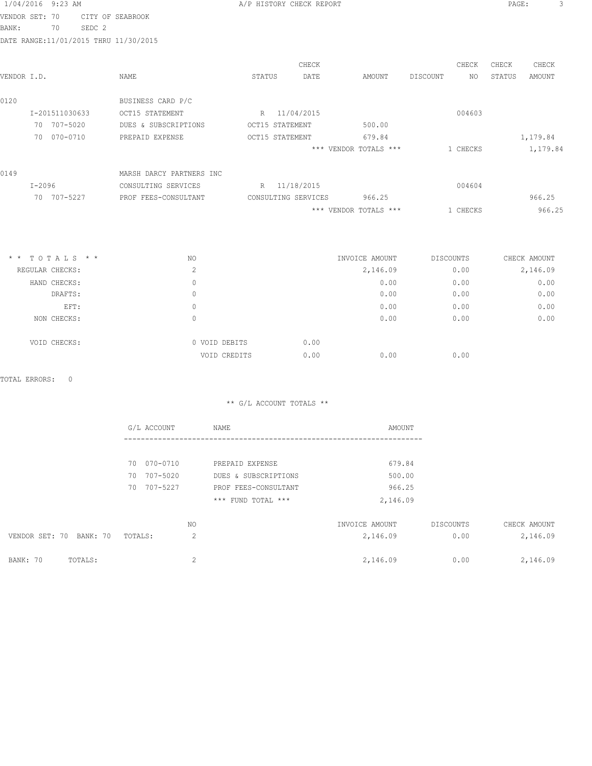|                |          | 1/04/2016 9:23 AM |                   |                                        |                 | A/P HISTORY CHECK REPORT |                       |          |          | PAGE:  |          | 3 |
|----------------|----------|-------------------|-------------------|----------------------------------------|-----------------|--------------------------|-----------------------|----------|----------|--------|----------|---|
| VENDOR SET: 70 |          |                   |                   | CITY OF SEABROOK                       |                 |                          |                       |          |          |        |          |   |
| BANK:          |          | 70                | SEDC <sub>2</sub> |                                        |                 |                          |                       |          |          |        |          |   |
|                |          |                   |                   | DATE RANGE: 11/01/2015 THRU 11/30/2015 |                 |                          |                       |          |          |        |          |   |
|                |          |                   |                   |                                        |                 | CHECK                    |                       |          | CHECK    | CHECK  | CHECK    |   |
| VENDOR I.D.    |          |                   |                   | <b>NAME</b>                            | STATUS          | DATE                     | AMOUNT                | DISCOUNT | NO.      | STATUS | AMOUNT   |   |
| 0120           |          |                   |                   | BUSINESS CARD P/C                      |                 |                          |                       |          |          |        |          |   |
|                |          | I-201511030633    |                   | OCT15 STATEMENT                        |                 | R 11/04/2015             |                       |          | 004603   |        |          |   |
|                |          | 70 707-5020       |                   | DUES & SUBSCRIPTIONS                   | OCT15 STATEMENT |                          | 500.00                |          |          |        |          |   |
|                | 70       | 070-0710          |                   | PREPAID EXPENSE                        | OCT15 STATEMENT |                          | 679.84                |          |          |        | 1,179.84 |   |
|                |          |                   |                   |                                        |                 |                          | *** VENDOR TOTALS *** |          | 1 CHECKS |        | 1,179.84 |   |
| 0149           |          |                   |                   | MARSH DARCY PARTNERS INC               |                 |                          |                       |          |          |        |          |   |
|                | $I-2096$ |                   |                   | CONSULTING SERVICES                    |                 | R 11/18/2015             |                       |          | 004604   |        |          |   |
|                |          | 70 707-5227       |                   | PROF FEES-CONSULTANT                   |                 | CONSULTING SERVICES      | 966.25                |          |          |        | 966.25   |   |
|                |          |                   |                   |                                        |                 |                          | *** VENDOR TOTALS *** |          | 1 CHECKS |        | 966.25   |   |
|                |          |                   |                   |                                        |                 |                          |                       |          |          |        |          |   |

| $*$ * TOTALS * * | NO |               | INVOICE AMOUNT | DISCOUNTS | CHECK AMOUNT |
|------------------|----|---------------|----------------|-----------|--------------|
| REGULAR CHECKS:  |    | 2             | 2,146.09       | 0.00      | 2,146.09     |
| HAND CHECKS:     |    | 0             | 0.00           | 0.00      | 0.00         |
| DRAFTS:          |    | 0             | 0.00           | 0.00      | 0.00         |
| EFT:             |    | 0             | 0.00           | 0.00      | 0.00         |
| NON CHECKS:      |    | 0             | 0.00           | 0.00      | 0.00         |
| VOID CHECKS:     |    | 0 VOID DEBITS | 0.00           |           |              |
|                  |    | VOID CREDITS  | 0.00<br>0.00   | 0.00      |              |

TOTAL ERRORS: 0

|                         | G/L ACCOUNT    | NAME                 | AMOUNT         |           |              |
|-------------------------|----------------|----------------------|----------------|-----------|--------------|
|                         |                |                      |                |           |              |
|                         | 070-0710<br>70 | PREPAID EXPENSE      | 679.84         |           |              |
|                         | 707-5020<br>70 | DUES & SUBSCRIPTIONS | 500.00         |           |              |
|                         | 707-5227<br>70 | PROF FEES-CONSULTANT | 966.25         |           |              |
|                         |                | *** FUND TOTAL ***   | 2,146.09       |           |              |
|                         | NO.            |                      | INVOICE AMOUNT | DISCOUNTS | CHECK AMOUNT |
| VENDOR SET: 70 BANK: 70 | TOTALS:        | 2                    | 2,146.09       | 0.00      | 2,146.09     |
| BANK: 70<br>TOTALS:     |                | 2                    | 2,146.09       | 0.00      | 2,146.09     |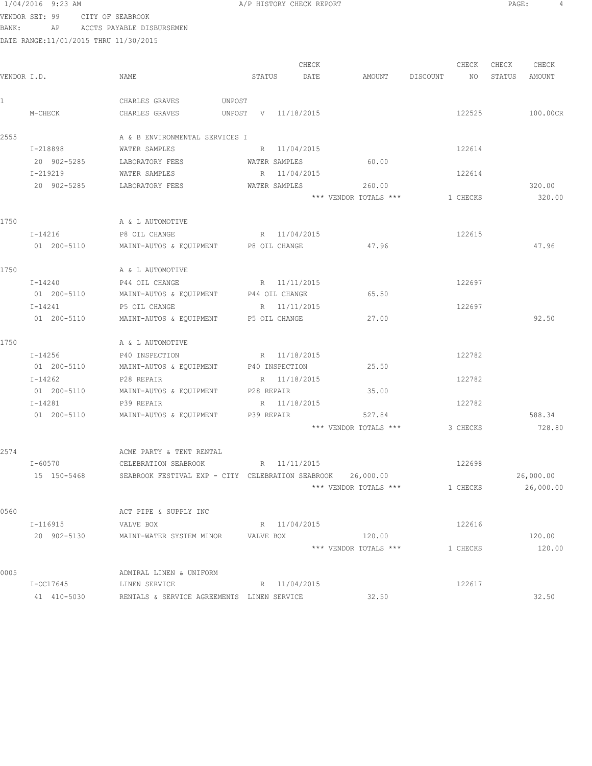VENDOR SET: 99 CITY OF SEABROOK

BANK: AP ACCTS PAYABLE DISBURSEMEN

| 1/04/2016 9:23 AM | A/P HISTORY CHECK REPORT | PAGE: |  |
|-------------------|--------------------------|-------|--|
|-------------------|--------------------------|-------|--|

|             |             |                                                             |        |        | CHECK               |                       |        |          | CHECK    | CHECK  | CHECK                  |
|-------------|-------------|-------------------------------------------------------------|--------|--------|---------------------|-----------------------|--------|----------|----------|--------|------------------------|
| VENDOR I.D. |             | NAME                                                        |        | STATUS | DATE                |                       | AMOUNT | DISCOUNT | NO       | STATUS | AMOUNT                 |
|             |             | CHARLES GRAVES                                              | UNPOST |        |                     |                       |        |          |          |        |                        |
|             | M-CHECK     | CHARLES GRAVES                                              |        |        | UNPOST V 11/18/2015 |                       |        |          | 122525   |        | 100.00CR               |
| 2555        |             | A & B ENVIRONMENTAL SERVICES I                              |        |        |                     |                       |        |          |          |        |                        |
|             | I-218898    | WATER SAMPLES                                               |        |        | R 11/04/2015        |                       |        |          | 122614   |        |                        |
|             | 20 902-5285 | LABORATORY FEES                                             |        |        | WATER SAMPLES       |                       | 60.00  |          |          |        |                        |
|             | I-219219    | WATER SAMPLES                                               |        |        | R 11/04/2015        |                       |        |          | 122614   |        |                        |
|             | 20 902-5285 | LABORATORY FEES                                             |        |        | WATER SAMPLES       | *** VENDOR TOTALS *** | 260.00 |          | 1 CHECKS |        | 320.00<br>320.00       |
| 1750        |             | A & L AUTOMOTIVE                                            |        |        |                     |                       |        |          |          |        |                        |
|             | I-14216     | P8 OIL CHANGE                                               |        |        | R 11/04/2015        |                       |        |          | 122615   |        |                        |
|             | 01 200-5110 | MAINT-AUTOS & EQUIPMENT P8 OIL CHANGE                       |        |        |                     |                       | 47.96  |          |          |        | 47.96                  |
| 1750        |             | A & L AUTOMOTIVE                                            |        |        |                     |                       |        |          |          |        |                        |
|             | I-14240     | P44 OIL CHANGE                                              |        |        | R 11/11/2015        |                       |        |          | 122697   |        |                        |
|             | 01 200-5110 | MAINT-AUTOS & EQUIPMENT P44 OIL CHANGE                      |        |        |                     |                       | 65.50  |          |          |        |                        |
|             | I-14241     | P5 OIL CHANGE                                               |        |        | R 11/11/2015        |                       |        |          | 122697   |        |                        |
|             | 01 200-5110 | MAINT-AUTOS & EQUIPMENT P5 OIL CHANGE                       |        |        |                     |                       | 27.00  |          |          |        | 92.50                  |
| 1750        |             | A & L AUTOMOTIVE                                            |        |        |                     |                       |        |          |          |        |                        |
|             | I-14256     | P40 INSPECTION R 11/18/2015                                 |        |        |                     |                       |        |          | 122782   |        |                        |
|             | 01 200-5110 | MAINT-AUTOS & EQUIPMENT P40 INSPECTION                      |        |        |                     |                       | 25.50  |          |          |        |                        |
|             | I-14262     | P28 REPAIR                                                  |        |        | R 11/18/2015        |                       |        |          | 122782   |        |                        |
|             | 01 200-5110 | MAINT-AUTOS & EQUIPMENT P28 REPAIR                          |        |        |                     |                       | 35.00  |          |          |        |                        |
|             | $I - 14281$ | P39 REPAIR                                                  |        |        | R 11/18/2015        |                       |        |          | 122782   |        |                        |
|             | 01 200-5110 | MAINT-AUTOS & EQUIPMENT P39 REPAIR                          |        |        |                     |                       | 527.84 |          |          |        | 588.34                 |
|             |             |                                                             |        |        |                     | *** VENDOR TOTALS *** |        |          | 3 CHECKS |        | 728.80                 |
| 2574        |             | ACME PARTY & TENT RENTAL                                    |        |        |                     |                       |        |          |          |        |                        |
|             | $I - 60570$ | CELEBRATION SEABROOK                                        |        |        | R 11/11/2015        |                       |        |          | 122698   |        |                        |
|             | 15 150-5468 | SEABROOK FESTIVAL EXP - CITY CELEBRATION SEABROOK 26,000.00 |        |        |                     | *** VENDOR TOTALS *** |        |          | 1 CHECKS |        | 26,000.00<br>26,000.00 |
| 0560        |             | ACT PIPE & SUPPLY INC                                       |        |        |                     |                       |        |          |          |        |                        |
|             | I-116915    | VALVE BOX                                                   |        |        | R 11/04/2015        |                       |        |          | 122616   |        |                        |
|             | 20 902-5130 | MAINT-WATER SYSTEM MINOR                                    |        |        | VALVE BOX           |                       | 120.00 |          |          |        | 120.00                 |
|             |             |                                                             |        |        |                     | *** VENDOR TOTALS *** |        |          | 1 CHECKS |        | 120.00                 |
| 0005        |             | ADMIRAL LINEN & UNIFORM                                     |        |        |                     |                       |        |          |          |        |                        |
|             | I-OC17645   | LINEN SERVICE                                               |        |        | R 11/04/2015        |                       |        |          | 122617   |        |                        |
|             | 41 410-5030 | RENTALS & SERVICE AGREEMENTS LINEN SERVICE                  |        |        |                     |                       | 32.50  |          |          |        | 32.50                  |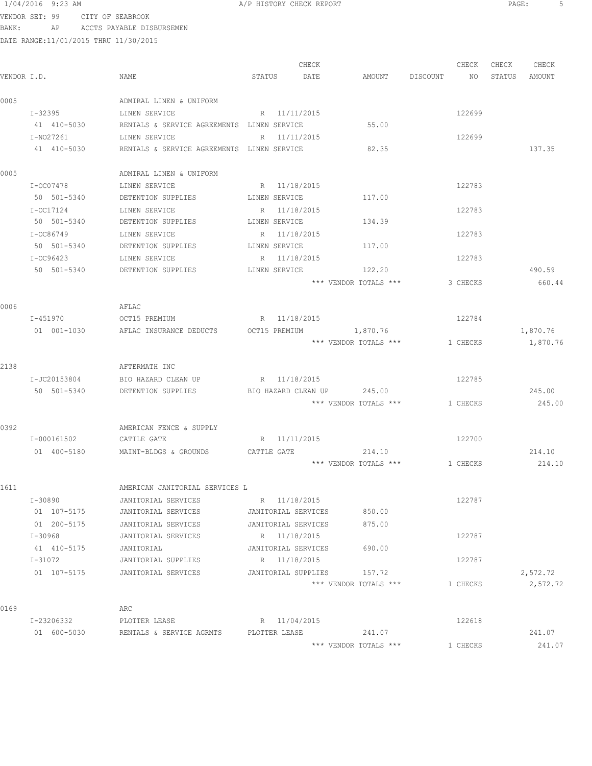VENDOR SET: 99 CITY OF SEABROOK BANK: AP ACCTS PAYABLE DISBURSEMEN

|             |              |                                            |                     | CHECK |                                       | CHECK    | CHECK | CHECK         |
|-------------|--------------|--------------------------------------------|---------------------|-------|---------------------------------------|----------|-------|---------------|
| VENDOR I.D. |              | NAME                                       | STATUS              | DATE  | AMOUNT DISCOUNT NO                    |          |       | STATUS AMOUNT |
| 0005        |              | ADMIRAL LINEN & UNIFORM                    |                     |       |                                       |          |       |               |
|             | I-32395      | LINEN SERVICE                              | R 11/11/2015        |       |                                       | 122699   |       |               |
|             | 41 410-5030  | RENTALS & SERVICE AGREEMENTS LINEN SERVICE |                     |       | 55.00                                 |          |       |               |
|             | I-N027261    | LINEN SERVICE                              | R 11/11/2015        |       |                                       | 122699   |       |               |
|             | 41 410-5030  | RENTALS & SERVICE AGREEMENTS LINEN SERVICE |                     |       | 82.35                                 |          |       | 137.35        |
| 0005        |              | ADMIRAL LINEN & UNIFORM                    |                     |       |                                       |          |       |               |
|             | I-OC07478    | LINEN SERVICE                              | R 11/18/2015        |       |                                       | 122783   |       |               |
|             | 50 501-5340  | DETENTION SUPPLIES LINEN SERVICE           |                     |       | 117.00                                |          |       |               |
|             | I-OC17124    | LINEN SERVICE                              | R 11/18/2015        |       |                                       | 122783   |       |               |
|             | 50 501-5340  | DETENTION SUPPLIES                         | LINEN SERVICE       |       | 134.39                                |          |       |               |
|             | I-OC86749    | LINEN SERVICE                              | R 11/18/2015        |       |                                       | 122783   |       |               |
|             | 50 501-5340  | DETENTION SUPPLIES                         | LINEN SERVICE       |       | 117.00                                |          |       |               |
|             | I-OC96423    | LINEN SERVICE                              | R 11/18/2015        |       |                                       | 122783   |       |               |
|             | 50 501-5340  | DETENTION SUPPLIES                         | LINEN SERVICE       |       | 122.20                                |          |       | 490.59        |
|             |              |                                            |                     |       | *** VENDOR TOTALS ***                 | 3 CHECKS |       | 660.44        |
| 0006        |              | AFLAC                                      |                     |       |                                       |          |       |               |
|             | I-451970     | OCT15 PREMIUM                              | R 11/18/2015        |       |                                       | 122784   |       |               |
|             | 01 001-1030  | AFLAC INSURANCE DEDUCTS                    |                     |       | OCT15 PREMIUM 1,870.76                |          |       | 1,870.76      |
|             |              |                                            |                     |       | *** VENDOR TOTALS ***                 | 1 CHECKS |       | 1,870.76      |
| 2138        |              | AFTERMATH INC                              |                     |       |                                       |          |       |               |
|             | I-JC20153804 | BIO HAZARD CLEAN UP                        | R 11/18/2015        |       |                                       | 122785   |       |               |
|             | 50 501-5340  | DETENTION SUPPLIES                         |                     |       | BIO HAZARD CLEAN UP 245.00            |          |       | 245.00        |
|             |              |                                            |                     |       | *** VENDOR TOTALS ***                 | 1 CHECKS |       | 245.00        |
| 0392        |              | AMERICAN FENCE & SUPPLY                    |                     |       |                                       |          |       |               |
|             | I-000161502  | CATTLE GATE                                | R 11/11/2015        |       |                                       | 122700   |       |               |
|             | 01 400-5180  | MAINT-BLDGS & GROUNDS CATTLE GATE          |                     |       | 214.10                                |          |       | 214.10        |
|             |              |                                            |                     |       | *** VENDOR TOTALS *** 1 CHECKS 214.10 |          |       |               |
| 1611        |              | AMERICAN JANITORIAL SERVICES L             |                     |       |                                       |          |       |               |
|             | I-30890      | JANITORIAL SERVICES                        | R 11/18/2015        |       |                                       | 122787   |       |               |
|             | 01 107-5175  | JANITORIAL SERVICES                        | JANITORIAL SERVICES |       | 850.00                                |          |       |               |
|             | 01 200-5175  | JANITORIAL SERVICES                        | JANITORIAL SERVICES |       | 875.00                                |          |       |               |
|             | I-30968      | JANITORIAL SERVICES                        | R 11/18/2015        |       |                                       | 122787   |       |               |
|             | 41 410-5175  | JANITORIAL                                 | JANITORIAL SERVICES |       | 690.00                                |          |       |               |
|             | I-31072      | JANITORIAL SUPPLIES                        | R 11/18/2015        |       |                                       | 122787   |       |               |
|             | 01 107-5175  | JANITORIAL SERVICES                        | JANITORIAL SUPPLIES |       | 157.72                                |          |       | 2,572.72      |
|             |              |                                            |                     |       | *** VENDOR TOTALS ***                 | 1 CHECKS |       | 2,572.72      |
| 0169        |              | ARC                                        |                     |       |                                       |          |       |               |
|             | I-23206332   | PLOTTER LEASE                              | R 11/04/2015        |       |                                       | 122618   |       |               |
|             | 01 600-5030  | RENTALS & SERVICE AGRMTS                   | PLOTTER LEASE       |       | 241.07                                |          |       | 241.07        |
|             |              |                                            |                     |       | *** VENDOR TOTALS ***                 | 1 CHECKS |       | 241.07        |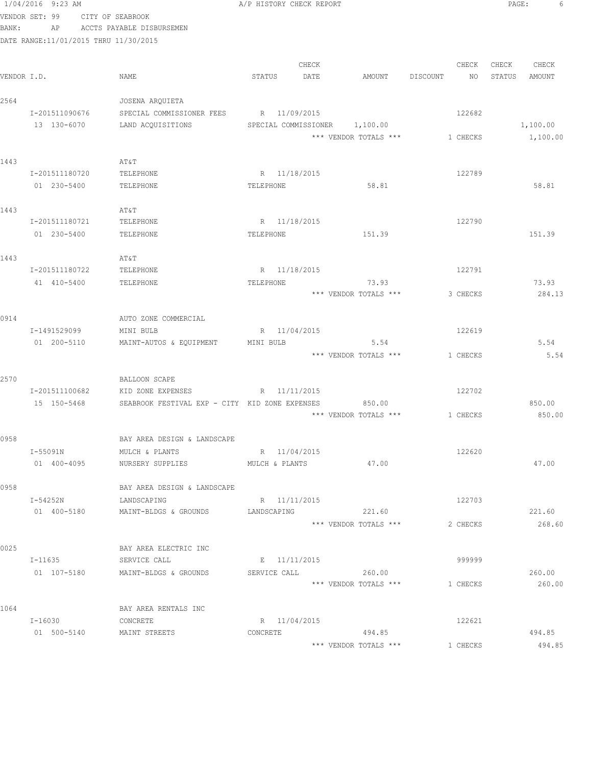|             | 1/04/2016 9:23 AM                     |                                                | A/P HISTORY CHECK REPORT       |                               |                         | PAGE:<br>6                         |
|-------------|---------------------------------------|------------------------------------------------|--------------------------------|-------------------------------|-------------------------|------------------------------------|
|             | VENDOR SET: 99                        | CITY OF SEABROOK                               |                                |                               |                         |                                    |
| BANK:       | AP                                    | ACCTS PAYABLE DISBURSEMEN                      |                                |                               |                         |                                    |
|             | DATE RANGE:11/01/2015 THRU 11/30/2015 |                                                |                                |                               |                         |                                    |
|             |                                       |                                                |                                |                               |                         |                                    |
| VENDOR I.D. |                                       | NAME                                           | CHECK<br>STATUS<br>DATE        | AMOUNT                        | CHECK<br>DISCOUNT<br>NO | CHECK<br>CHECK<br>STATUS<br>AMOUNT |
|             |                                       |                                                |                                |                               |                         |                                    |
| 2564        |                                       | JOSENA ARQUIETA                                |                                |                               |                         |                                    |
|             | I-201511090676                        | SPECIAL COMMISSIONER FEES                      | R 11/09/2015                   |                               | 122682                  |                                    |
|             | 13 130-6070                           | LAND ACOUISITIONS                              |                                | SPECIAL COMMISSIONER 1,100.00 |                         | 1,100.00                           |
|             |                                       |                                                |                                | *** VENDOR TOTALS ***         | 1 CHECKS                | 1,100.00                           |
|             |                                       |                                                |                                |                               |                         |                                    |
| 1443        |                                       | AT&T                                           |                                |                               |                         |                                    |
|             | I-201511180720                        | TELEPHONE                                      | R 11/18/2015                   |                               | 122789                  |                                    |
|             | 01 230-5400                           | TELEPHONE                                      | TELEPHONE                      | 58.81                         |                         | 58.81                              |
| 1443        |                                       | AT&T                                           |                                |                               |                         |                                    |
|             | I-201511180721                        | TELEPHONE                                      | R 11/18/2015                   |                               | 122790                  |                                    |
|             | 01 230-5400                           | TELEPHONE                                      | TELEPHONE                      | 151.39                        |                         | 151.39                             |
|             |                                       |                                                |                                |                               |                         |                                    |
| 1443        |                                       | AT&T                                           |                                |                               |                         |                                    |
|             | I-201511180722                        | TELEPHONE                                      | R 11/18/2015                   |                               | 122791                  |                                    |
|             | 41 410-5400                           | TELEPHONE                                      | TELEPHONE                      | 73.93                         |                         | 73.93                              |
|             |                                       |                                                |                                | *** VENDOR TOTALS ***         | 3 CHECKS                | 284.13                             |
|             |                                       |                                                |                                |                               |                         |                                    |
| 0914        |                                       | AUTO ZONE COMMERCIAL                           |                                |                               |                         |                                    |
|             | I-1491529099<br>01 200-5110           | MINI BULB<br>MAINT-AUTOS & EQUIPMENT           | R 11/04/2015<br>MINI BULB      | 5.54                          | 122619                  | 5.54                               |
|             |                                       |                                                |                                | *** VENDOR TOTALS ***         | 1 CHECKS                | 5.54                               |
|             |                                       |                                                |                                |                               |                         |                                    |
| 2570        |                                       | BALLOON SCAPE                                  |                                |                               |                         |                                    |
|             | I-201511100682                        | KID ZONE EXPENSES                              | R 11/11/2015                   |                               | 122702                  |                                    |
|             | 15 150-5468                           | SEABROOK FESTIVAL EXP - CITY KID ZONE EXPENSES |                                | 850.00                        |                         | 850.00                             |
|             |                                       |                                                |                                | *** VENDOR TOTALS ***         | 1 CHECKS                | 850.00                             |
|             |                                       |                                                |                                |                               |                         |                                    |
| 0958        |                                       | BAY AREA DESIGN & LANDSCAPE                    |                                |                               |                         |                                    |
|             | I-55091N<br>01 400-4095               | MULCH & PLANTS<br>NURSERY SUPPLIES             | R 11/04/2015<br>MULCH & PLANTS | 47.00                         | 122620                  | 47.00                              |
|             |                                       |                                                |                                |                               |                         |                                    |
| 0958        |                                       | BAY AREA DESIGN & LANDSCAPE                    |                                |                               |                         |                                    |
|             | I-54252N                              | LANDSCAPING                                    | R 11/11/2015                   |                               | 122703                  |                                    |
|             | 01 400-5180                           | MAINT-BLDGS & GROUNDS                          | LANDSCAPING                    | 221.60                        |                         | 221.60                             |
|             |                                       |                                                |                                | *** VENDOR TOTALS ***         | 2 CHECKS                | 268.60                             |
|             |                                       |                                                |                                |                               |                         |                                    |
| 0025        |                                       | BAY AREA ELECTRIC INC                          |                                |                               |                         |                                    |
|             | I-11635                               | SERVICE CALL                                   | E 11/11/2015                   |                               | 999999                  |                                    |
|             | 01 107-5180                           | MAINT-BLDGS & GROUNDS                          | SERVICE CALL                   | 260.00                        |                         | 260.00                             |
|             |                                       |                                                |                                | *** VENDOR TOTALS ***         | 1 CHECKS                | 260.00                             |
| 1064        |                                       | BAY AREA RENTALS INC                           |                                |                               |                         |                                    |
|             | I-16030                               | CONCRETE                                       | R 11/04/2015                   |                               | 122621                  |                                    |
|             | 01 500-5140                           | MAINT STREETS                                  | CONCRETE                       | 494.85                        |                         | 494.85                             |
|             |                                       |                                                |                                | *** VENDOR TOTALS ***         | 1 CHECKS                | 494.85                             |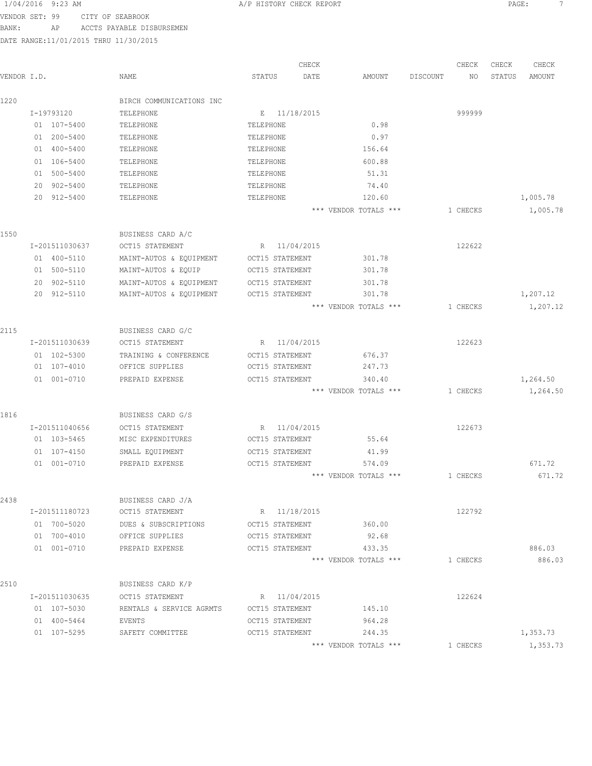VENDOR SET: 99 CITY OF SEABROOK BANK: AP ACCTS PAYABLE DISBURSEMEN

| VENDOR I.D. |                | NAME                     | CHECK<br>STATUS<br>DATE | AMOUNT                          | DISCOUNT | CHECK<br>NO | CHECK<br>STATUS | CHECK<br>AMOUNT  |
|-------------|----------------|--------------------------|-------------------------|---------------------------------|----------|-------------|-----------------|------------------|
| 1220        |                | BIRCH COMMUNICATIONS INC |                         |                                 |          |             |                 |                  |
|             | I-19793120     | TELEPHONE                | E 11/18/2015            |                                 |          | 999999      |                 |                  |
|             | 01 107-5400    | TELEPHONE                | TELEPHONE               | 0.98                            |          |             |                 |                  |
|             | 01 200-5400    | TELEPHONE                | TELEPHONE               | 0.97                            |          |             |                 |                  |
|             | 01 400-5400    | TELEPHONE                | TELEPHONE               | 156.64                          |          |             |                 |                  |
|             | 01 106-5400    | TELEPHONE                | TELEPHONE               | 600.88                          |          |             |                 |                  |
|             | 500-5400<br>01 | TELEPHONE                | TELEPHONE               | 51.31                           |          |             |                 |                  |
|             | 20<br>902-5400 | TELEPHONE                | TELEPHONE               | 74.40                           |          |             |                 |                  |
|             | 20 912-5400    | TELEPHONE                | TELEPHONE               | 120.60                          |          |             |                 | 1,005.78         |
|             |                |                          |                         | *** VENDOR TOTALS ***           |          | 1 CHECKS    |                 | 1,005.78         |
| 1550        |                | BUSINESS CARD A/C        |                         |                                 |          |             |                 |                  |
|             | I-201511030637 | OCT15 STATEMENT          | 11/04/2015<br>R         |                                 |          | 122622      |                 |                  |
|             | 01 400-5110    | MAINT-AUTOS & EQUIPMENT  | OCT15 STATEMENT         | 301.78                          |          |             |                 |                  |
|             | 01 500-5110    | MAINT-AUTOS & EQUIP      | OCT15 STATEMENT         | 301.78                          |          |             |                 |                  |
|             | 902-5110<br>20 | MAINT-AUTOS & EQUIPMENT  | OCT15 STATEMENT         | 301.78                          |          |             |                 |                  |
|             | 20 912-5110    | MAINT-AUTOS & EQUIPMENT  | OCT15 STATEMENT         | 301.78                          |          |             |                 | 1,207.12         |
|             |                |                          |                         | *** VENDOR TOTALS ***           |          | 1 CHECKS    |                 | 1,207.12         |
| 2115        |                | BUSINESS CARD G/C        |                         |                                 |          |             |                 |                  |
|             | I-201511030639 | OCT15 STATEMENT          | 11/04/2015<br>R         |                                 |          | 122623      |                 |                  |
|             | 01 102-5300    | TRAINING & CONFERENCE    | OCT15 STATEMENT         | 676.37                          |          |             |                 |                  |
|             | 01 107-4010    | OFFICE SUPPLIES          | OCT15 STATEMENT         | 247.73                          |          |             |                 |                  |
|             | 01 001-0710    | PREPAID EXPENSE          | OCT15 STATEMENT         | 340.40                          |          |             |                 | 1,264.50         |
|             |                |                          |                         | *** VENDOR TOTALS ***           |          | 1 CHECKS    |                 | 1,264.50         |
| 1816        |                | BUSINESS CARD G/S        |                         |                                 |          |             |                 |                  |
|             | I-201511040656 | OCT15 STATEMENT          | 11/04/2015<br>R         |                                 |          | 122673      |                 |                  |
|             | 01 103-5465    | MISC EXPENDITURES        | OCT15 STATEMENT         | 55.64                           |          |             |                 |                  |
|             | 01 107-4150    | SMALL EQUIPMENT          | OCT15 STATEMENT         | 41.99                           |          |             |                 |                  |
|             | 01 001-0710    | PREPAID EXPENSE          | OCT15 STATEMENT         | 574.09                          |          |             |                 | 671.72           |
|             |                |                          |                         | *** VENDOR TOTALS ***           |          | 1 CHECKS    |                 | 671.72           |
| 2438        |                | BUSINESS CARD J/A        |                         |                                 |          |             |                 |                  |
|             | I-201511180723 | OCT15 STATEMENT          | R 11/18/2015            |                                 |          | 122792      |                 |                  |
|             | 01 700-5020    | DUES & SUBSCRIPTIONS     | OCT15 STATEMENT         | 360.00                          |          |             |                 |                  |
|             | 01 700-4010    | OFFICE SUPPLIES          | OCT15 STATEMENT         | 92.68                           |          |             |                 |                  |
|             | 01 001-0710    | PREPAID EXPENSE          | OCT15 STATEMENT         | 433.35<br>*** VENDOR TOTALS *** |          | 1 CHECKS    |                 | 886.03<br>886.03 |
|             |                |                          |                         |                                 |          |             |                 |                  |
| 2510        |                | BUSINESS CARD K/P        |                         |                                 |          |             |                 |                  |
|             | I-201511030635 | OCT15 STATEMENT          | R 11/04/2015            |                                 |          | 122624      |                 |                  |
|             | 01 107-5030    | RENTALS & SERVICE AGRMTS | OCT15 STATEMENT         | 145.10                          |          |             |                 |                  |
|             | 01 400-5464    | EVENTS                   | OCT15 STATEMENT         | 964.28                          |          |             |                 |                  |
|             | 01 107-5295    | SAFETY COMMITTEE         | OCT15 STATEMENT         | 244.35                          |          |             |                 | 1,353.73         |
|             |                |                          |                         | *** VENDOR TOTALS ***           |          | 1 CHECKS    |                 | 1,353.73         |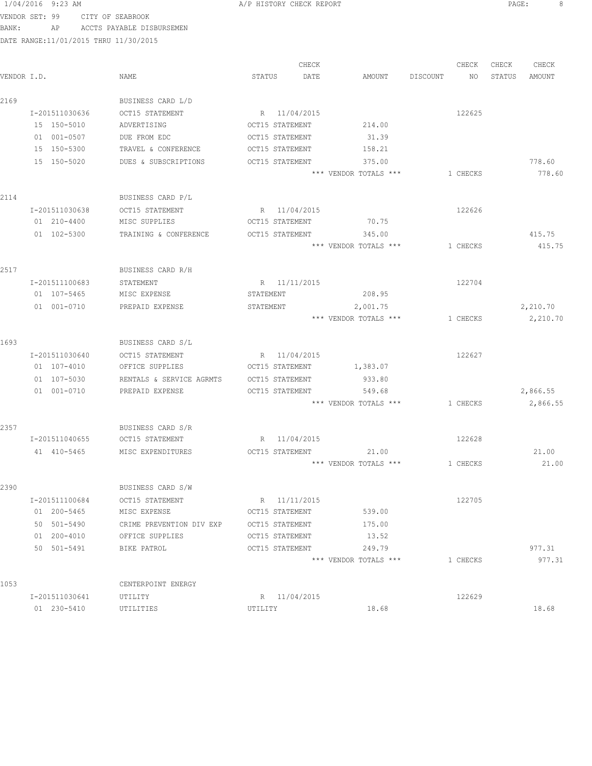## 1/04/2016 9:23 AM A/P HISTORY CHECK REPORT PAGE: 8 VENDOR SET: 99 CITY OF SEABROOK BANK: AP ACCTS PAYABLE DISBURSEMEN

|                |                          |                 | CHECK        |                       |          | CHECK    | CHECK  | CHECK    |
|----------------|--------------------------|-----------------|--------------|-----------------------|----------|----------|--------|----------|
| VENDOR I.D.    | <b>NAME</b>              | STATUS          | DATE         | AMOUNT                | DISCOUNT | NO       | STATUS | AMOUNT   |
| 2169           | BUSINESS CARD L/D        |                 |              |                       |          |          |        |          |
| I-201511030636 | OCT15 STATEMENT          | R 11/04/2015    |              |                       |          | 122625   |        |          |
| 15 150-5010    | ADVERTISING              | OCT15 STATEMENT |              | 214.00                |          |          |        |          |
| 01 001-0507    | DUE FROM EDC             | OCT15 STATEMENT |              | 31.39                 |          |          |        |          |
| 15 150-5300    | TRAVEL & CONFERENCE      | OCT15 STATEMENT |              | 158.21                |          |          |        |          |
| 15 150-5020    | DUES & SUBSCRIPTIONS     | OCT15 STATEMENT |              | 375.00                |          |          |        | 778.60   |
|                |                          |                 |              | *** VENDOR TOTALS *** |          | 1 CHECKS |        | 778.60   |
| 2114           | BUSINESS CARD P/L        |                 |              |                       |          |          |        |          |
| I-201511030638 | OCT15 STATEMENT          | R 11/04/2015    |              |                       |          | 122626   |        |          |
| 01 210-4400    | MISC SUPPLIES            | OCT15 STATEMENT |              | 70.75                 |          |          |        |          |
| 01 102-5300    | TRAINING & CONFERENCE    | OCT15 STATEMENT |              | 345.00                |          |          |        | 415.75   |
|                |                          |                 |              | *** VENDOR TOTALS *** |          | 1 CHECKS |        | 415.75   |
| 2517           | BUSINESS CARD R/H        |                 |              |                       |          |          |        |          |
| I-201511100683 | STATEMENT                | R 11/11/2015    |              |                       |          | 122704   |        |          |
| 01 107-5465    | MISC EXPENSE             | STATEMENT       |              | 208.95                |          |          |        |          |
| 01 001-0710    | PREPAID EXPENSE          | STATEMENT       |              | 2,001.75              |          |          |        | 2,210.70 |
|                |                          |                 |              | *** VENDOR TOTALS *** |          | 1 CHECKS |        | 2,210.70 |
| 1693           | BUSINESS CARD S/L        |                 |              |                       |          |          |        |          |
| I-201511030640 | OCT15 STATEMENT          | R 11/04/2015    |              |                       |          | 122627   |        |          |
| 01 107-4010    | OFFICE SUPPLIES          | OCT15 STATEMENT |              | 1,383.07              |          |          |        |          |
| 01 107-5030    | RENTALS & SERVICE AGRMTS | OCT15 STATEMENT |              | 933.80                |          |          |        |          |
| 01 001-0710    | PREPAID EXPENSE          | OCT15 STATEMENT |              | 549.68                |          |          |        | 2,866.55 |
|                |                          |                 |              | *** VENDOR TOTALS *** |          | 1 CHECKS |        | 2,866.55 |
| 2357           | BUSINESS CARD S/R        |                 |              |                       |          |          |        |          |
| I-201511040655 | OCT15 STATEMENT          |                 | R 11/04/2015 |                       |          | 122628   |        |          |
| 41 410-5465    | MISC EXPENDITURES        | OCT15 STATEMENT |              | 21.00                 |          |          |        | 21.00    |
|                |                          |                 |              | *** VENDOR TOTALS *** |          | 1 CHECKS |        | 21.00    |
| 2390           | BUSINESS CARD S/W        |                 |              |                       |          |          |        |          |
| I-201511100684 | OCT15 STATEMENT          | R 11/11/2015    |              |                       |          | 122705   |        |          |
| 01 200-5465    | MISC EXPENSE             | OCT15 STATEMENT |              | 539.00                |          |          |        |          |
| 50 501-5490    | CRIME PREVENTION DIV EXP | OCT15 STATEMENT |              | 175.00                |          |          |        |          |
| 01 200-4010    | OFFICE SUPPLIES          | OCT15 STATEMENT |              | 13.52                 |          |          |        |          |
| 50 501-5491    | BIKE PATROL              | OCT15 STATEMENT |              | 249.79                |          |          |        | 977.31   |
|                |                          |                 |              | *** VENDOR TOTALS *** |          | 1 CHECKS |        | 977.31   |
| 1053           | CENTERPOINT ENERGY       |                 |              |                       |          |          |        |          |
| I-201511030641 | UTILITY                  | R 11/04/2015    |              |                       |          | 122629   |        |          |
| 01 230-5410    | UTILITIES                | UTILITY         |              | 18.68                 |          |          |        | 18.68    |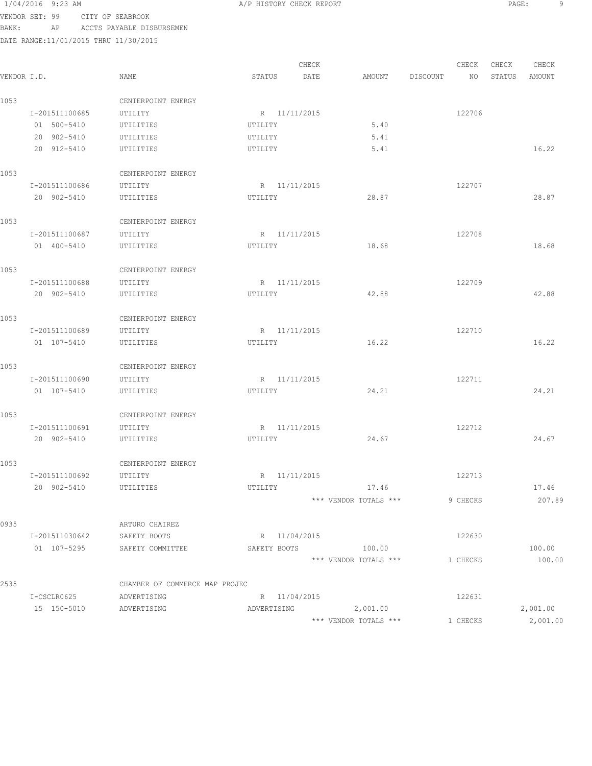### 1/04/2016 9:23 AM A/P HISTORY CHECK REPORT PAGE: 9 VENDOR SET: 99 CITY OF SEABROOK

BANK: AP ACCTS PAYABLE DISBURSEMEN DATE RANGE:11/01/2015 THRU 11/30/2015 CHECK CHECK CHECK CHECK CHECK CHECK CHECK CHECK CHECK CHECK CHECK CHECK CHECK CHECK CHECK CHECK CHECK CHECK CHECK CHECK CHECK CHECK CHECK CHECK CHECK CHECK CHECK CHECK CHECK CHECK CHECK CHECK CHECK CHECK CHECK CHECK CHECK VENDOR I.D. NAME STATUS DATE AMOUNT DISCOUNT NO STATUS AMOUNT 1053 CENTERPOINT ENERGY I-201511100685 UTILITY R 11/11/2015 R 11/11/2015 01 500-5410 UTILITIES UTILITY 5.40 20 902-5410 UTILITIES UTILITY 5.41 20 912-5410 UTILITIES UTILITY 5.41 16.22 1053 CENTERPOINT ENERGY I-201511100686 UTILITY R 11/11/2015<br>20 902–5410 UTILITIES UTILITY UTILITY 28.87 20 902-5410 UTILITIES UTILITY 28.87 28.87 1053 CENTERPOINT ENERGY I-201511100687 UTILITY R 11/11/2015<br>
01 400–5410 UTILITIES UTILITY 18.68<br>
18.68 01 400-5410 UTILITIES UTILITY 18.68 18.68 1053 CENTERPOINT ENERGY I-201511100688 UTILITY R 11/11/2015 122709 20 902-5410 UTILITIES UTILITY 42.88 42.88 1053 CENTERPOINT ENERGY I-201511100689 UTILITY R 11/11/2015 122710 01 107-5410 UTILITIES UTILITIES UTILITY 16.22 16.22 16.22 1053 CENTERPOINT ENERGY I-201511100690 UTILITY R 11/11/2015<br>01 107-5410 UTILITIES UTILITY UTILITY 24.21 01 107-5410 UTILITIES UTILITY 24.21 24.21 1053 CENTERPOINT ENERGY I-201511100691 UTILITY R 11/11/2015<br>122712 122712 122712 UTILITIES UTILITY 24.67 20 902-5410 UTILITIES UTILITY 24.67 24.67 1053 CENTERPOINT ENERGY I-201511100692 UTILITY R 11/11/2015 122713 20 902-5410 UTILITIES UTILITY 17.46 17.46 \*\*\* VENDOR TOTALS \*\*\* 9 CHECKS 207.89 0935 ARTURO CHAIREZ I-201511030642 SAFETY BOOTS R 11/04/2015 01 107-5295 SAFETY COMMITTEE SAFETY BOOTS 100.00 100.00 \*\*\* VENDOR TOTALS \*\*\* 1 CHECKS 100.00 2535 CHAMBER OF COMMERCE MAP PROJEC

I-CSCLR0625 ADVERTISING R 11/04/2015<br>15 150-5010 ADVERTISING ADVERTISING 2,001.00 122031<br>
15001.00 122031<br>
2,001.00 2,001.00 2,001.00 \*\*\* VENDOR TOTALS \*\*\* 1 CHECKS 2,001.00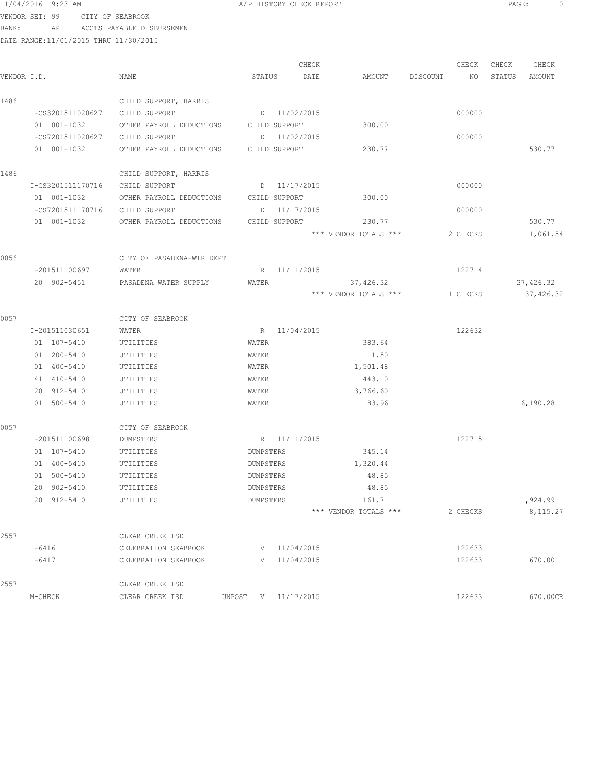VENDOR SET: 99 CITY OF SEABROOK

BANK: AP ACCTS PAYABLE DISBURSEMEN

| VENDOR I.D. |                   | NAME                      | STATUS              | CHECK<br>DATE    | AMOUNT                | DISCOUNT | CHECK<br>NO | CHECK<br>STATUS | CHECK<br>AMOUNT |
|-------------|-------------------|---------------------------|---------------------|------------------|-----------------------|----------|-------------|-----------------|-----------------|
| 1486        |                   | CHILD SUPPORT, HARRIS     |                     |                  |                       |          |             |                 |                 |
|             | I-CS3201511020627 | CHILD SUPPORT             |                     | D 11/02/2015     |                       |          | 000000      |                 |                 |
|             | 01 001-1032       | OTHER PAYROLL DEDUCTIONS  | CHILD SUPPORT       |                  | 300.00                |          |             |                 |                 |
|             | I-CS7201511020627 | CHILD SUPPORT             |                     | D 11/02/2015     |                       |          | 000000      |                 |                 |
|             | 01 001-1032       | OTHER PAYROLL DEDUCTIONS  | CHILD SUPPORT       |                  | 230.77                |          |             |                 | 530.77          |
| 1486        |                   | CHILD SUPPORT, HARRIS     |                     |                  |                       |          |             |                 |                 |
|             | I-CS3201511170716 | CHILD SUPPORT             |                     | D 11/17/2015     |                       |          | 000000      |                 |                 |
|             | 01 001-1032       | OTHER PAYROLL DEDUCTIONS  | CHILD SUPPORT       |                  | 300.00                |          |             |                 |                 |
|             | I-CS7201511170716 | CHILD SUPPORT             |                     | D 11/17/2015     |                       |          | 000000      |                 |                 |
|             | 01 001-1032       | OTHER PAYROLL DEDUCTIONS  | CHILD SUPPORT       |                  | 230.77                |          |             |                 | 530.77          |
|             |                   |                           |                     |                  | *** VENDOR TOTALS *** |          | 2 CHECKS    |                 | 1,061.54        |
| 0056        |                   | CITY OF PASADENA-WTR DEPT |                     |                  |                       |          |             |                 |                 |
|             | I-201511100697    | WATER                     |                     | R 11/11/2015     |                       |          | 122714      |                 |                 |
|             | 20 902-5451       | PASADENA WATER SUPPLY     | WATER               |                  | 37,426.32             |          |             |                 | 37,426.32       |
|             |                   |                           |                     |                  | *** VENDOR TOTALS *** |          | 1 CHECKS    |                 | 37, 426.32      |
| 0057        |                   | CITY OF SEABROOK          |                     |                  |                       |          |             |                 |                 |
|             | I-201511030651    | WATER                     |                     | R 11/04/2015     |                       |          | 122632      |                 |                 |
|             | 01 107-5410       | UTILITIES                 | WATER               |                  | 383.64                |          |             |                 |                 |
|             | 01 200-5410       | UTILITIES                 | WATER               |                  | 11.50                 |          |             |                 |                 |
|             | 01 400-5410       | UTILITIES                 | WATER               |                  | 1,501.48              |          |             |                 |                 |
|             | 41 410-5410       | UTILITIES                 | WATER               |                  | 443.10                |          |             |                 |                 |
|             | 20 912-5410       | UTILITIES                 | WATER               |                  | 3,766.60              |          |             |                 |                 |
|             | 01 500-5410       | UTILITIES                 | WATER               |                  | 83.96                 |          |             |                 | 6,190.28        |
| 0057        |                   | CITY OF SEABROOK          |                     |                  |                       |          |             |                 |                 |
|             | I-201511100698    | DUMPSTERS                 |                     | R 11/11/2015     |                       |          | 122715      |                 |                 |
|             | 01 107-5410       | UTILITIES                 | DUMPSTERS           |                  | 345.14                |          |             |                 |                 |
|             | 01 400-5410       | UTILITIES                 | DUMPSTERS           |                  | 1,320.44              |          |             |                 |                 |
|             | 01 500-5410       | UTILITIES                 | DUMPSTERS           |                  | 48.85                 |          |             |                 |                 |
|             | 20 902-5410       | UTILITIES                 | DUMPSTERS           |                  | 48.85                 |          |             |                 |                 |
|             | 20 912-5410       | UTILITIES                 | DUMPSTERS           |                  | 161.71                |          |             |                 | 1,924.99        |
|             |                   |                           |                     |                  | *** VENDOR TOTALS *** |          | 2 CHECKS    |                 | 8, 115.27       |
| 2557        |                   | CLEAR CREEK ISD           |                     |                  |                       |          |             |                 |                 |
|             | $I-6416$          | CELEBRATION SEABROOK      |                     | V 11/04/2015     |                       |          | 122633      |                 |                 |
|             | $I-6417$          | CELEBRATION SEABROOK      |                     | $V = 11/04/2015$ |                       |          | 122633      |                 | 670.00          |
| 2557        |                   | CLEAR CREEK ISD           |                     |                  |                       |          |             |                 |                 |
|             | M-CHECK           | CLEAR CREEK ISD           | UNPOST V 11/17/2015 |                  |                       |          | 122633      |                 | 670.00CR        |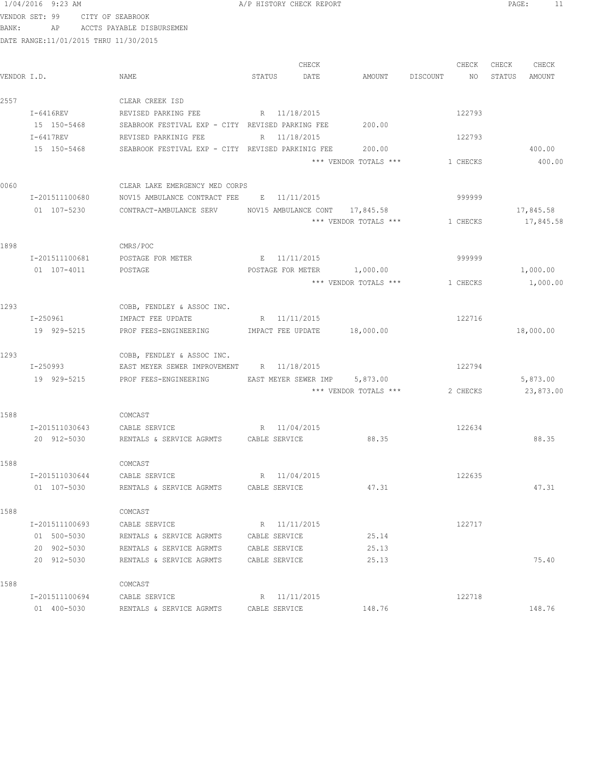VENDOR SET: 99 CITY OF SEABROOK BANK: AP ACCTS PAYABLE DISBURSEMEN

|             |                                                                                                                |                                                         |               | CHECK        |                                                         | CHECK    | CHECK  | CHECK     |
|-------------|----------------------------------------------------------------------------------------------------------------|---------------------------------------------------------|---------------|--------------|---------------------------------------------------------|----------|--------|-----------|
| VENDOR I.D. |                                                                                                                | NAME                                                    | STATUS        | DATE         | AMOUNT DISCOUNT                                         | NO       | STATUS | AMOUNT    |
| 2557        |                                                                                                                | CLEAR CREEK ISD                                         |               |              |                                                         |          |        |           |
|             | I-6416REV                                                                                                      | REVISED PARKING FEE                                     | R 11/18/2015  |              |                                                         | 122793   |        |           |
|             | 15 150-5468                                                                                                    | SEABROOK FESTIVAL EXP - CITY REVISED PARKING FEE 200.00 |               |              |                                                         |          |        |           |
|             | $I-6417REV$                                                                                                    | REVISED PARKINIG FEE                                    | R 11/18/2015  |              |                                                         | 122793   |        |           |
|             | 15 150-5468                                                                                                    | SEABROOK FESTIVAL EXP - CITY REVISED PARKINIG FEE       |               |              | 200.00                                                  |          |        | 400.00    |
|             |                                                                                                                |                                                         |               |              | *** VENDOR TOTALS ***                                   | 1 CHECKS |        | 400.00    |
| 0060        |                                                                                                                | CLEAR LAKE EMERGENCY MED CORPS                          |               |              |                                                         |          |        |           |
|             | I-201511100680                                                                                                 | NOV15 AMBULANCE CONTRACT FEE E 11/11/2015               |               |              |                                                         | 999999   |        |           |
|             | 01 107-5230                                                                                                    | CONTRACT-AMBULANCE SERV                                 |               |              | NOV15 AMBULANCE CONT 17,845.58<br>*** VENDOR TOTALS *** |          |        | 17,845.58 |
|             |                                                                                                                |                                                         |               |              |                                                         | 1 CHECKS |        | 17,845.58 |
| 1898        |                                                                                                                | CMRS/POC                                                |               |              |                                                         |          |        |           |
|             | I-201511100681                                                                                                 | POSTAGE FOR METER                                       |               | E 11/11/2015 |                                                         | 999999   |        |           |
|             | 01 107-4011                                                                                                    | POSTAGE                                                 |               |              | POSTAGE FOR METER 1,000.00                              |          |        | 1,000.00  |
|             |                                                                                                                |                                                         |               |              | *** VENDOR TOTALS ***                                   | 1 CHECKS |        | 1,000.00  |
| 1293        |                                                                                                                | COBB, FENDLEY & ASSOC INC.                              |               |              |                                                         |          |        |           |
|             | I-250961 and the state of the state of the state of the state of the state of the state of the state of the st | IMPACT FEE UPDATE                                       |               | R 11/11/2015 |                                                         | 122716   |        |           |
|             | 19 929-5215                                                                                                    | PROF FEES-ENGINEERING MEMPACT FEE UPDATE                |               |              | 18,000.00                                               |          |        | 18,000.00 |
| 1293        |                                                                                                                | COBB, FENDLEY & ASSOC INC.                              |               |              |                                                         |          |        |           |
|             | I-250993                                                                                                       | EAST MEYER SEWER IMPROVEMENT R 11/18/2015               |               |              |                                                         | 122794   |        |           |
|             | 19 929-5215                                                                                                    | PROF FEES-ENGINEERING EAST MEYER SEWER IMP 5,873.00     |               |              |                                                         |          |        | 5,873.00  |
|             |                                                                                                                |                                                         |               |              | *** VENDOR TOTALS ***                                   | 2 CHECKS |        | 23,873.00 |
| 1588        |                                                                                                                | COMCAST                                                 |               |              |                                                         |          |        |           |
|             | I-201511030643                                                                                                 | CABLE SERVICE                                           | R 11/04/2015  |              |                                                         | 122634   |        |           |
|             | 20 912-5030                                                                                                    | RENTALS & SERVICE AGRMTS CABLE SERVICE                  |               |              | 88.35                                                   |          |        | 88.35     |
| 1588        |                                                                                                                | COMCAST                                                 |               |              |                                                         |          |        |           |
|             | I-201511030644                                                                                                 | CABLE SERVICE                                           |               | R 11/04/2015 |                                                         | 122635   |        |           |
|             | 01 107-5030                                                                                                    | RENTALS & SERVICE AGRMTS CABLE SERVICE                  |               |              | 47.31                                                   |          |        | 47.31     |
| 1588        |                                                                                                                | COMCAST                                                 |               |              |                                                         |          |        |           |
|             | I-201511100693                                                                                                 | CABLE SERVICE                                           |               | R 11/11/2015 |                                                         | 122717   |        |           |
|             | 01 500-5030                                                                                                    | RENTALS & SERVICE AGRMTS                                | CABLE SERVICE |              | 25.14                                                   |          |        |           |
|             | 20 902-5030                                                                                                    | RENTALS & SERVICE AGRMTS                                | CABLE SERVICE |              | 25.13                                                   |          |        |           |
|             | 20 912-5030                                                                                                    | RENTALS & SERVICE AGRMTS                                | CABLE SERVICE |              | 25.13                                                   |          |        | 75.40     |
| 1588        |                                                                                                                | COMCAST                                                 |               |              |                                                         |          |        |           |
|             | I-201511100694                                                                                                 | CABLE SERVICE                                           |               | R 11/11/2015 |                                                         | 122718   |        |           |
|             | 01 400-5030                                                                                                    | RENTALS & SERVICE AGRMTS                                | CABLE SERVICE |              | 148.76                                                  |          |        | 148.76    |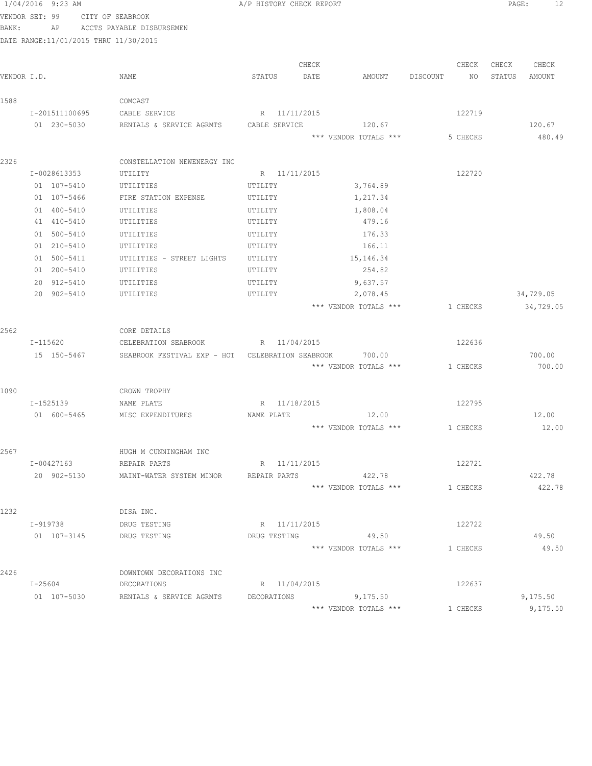|       | 1/04/2016 9:23 AM                      |                                                          | A/P HISTORY CHECK REPORT |       |                       |          |          |        | 12<br>PAGE: |
|-------|----------------------------------------|----------------------------------------------------------|--------------------------|-------|-----------------------|----------|----------|--------|-------------|
|       | VENDOR SET: 99                         | CITY OF SEABROOK                                         |                          |       |                       |          |          |        |             |
| BANK: | AP                                     | ACCTS PAYABLE DISBURSEMEN                                |                          |       |                       |          |          |        |             |
|       | DATE RANGE: 11/01/2015 THRU 11/30/2015 |                                                          |                          |       |                       |          |          |        |             |
|       |                                        |                                                          |                          |       |                       |          |          |        |             |
|       |                                        |                                                          |                          | CHECK |                       |          | CHECK    | CHECK  | CHECK       |
|       | VENDOR I.D.                            | NAME                                                     | STATUS                   | DATE  | AMOUNT                | DISCOUNT | NO       | STATUS | AMOUNT      |
| 1588  |                                        | COMCAST                                                  |                          |       |                       |          |          |        |             |
|       | I-201511100695                         | CABLE SERVICE                                            | R 11/11/2015             |       |                       |          | 122719   |        |             |
|       | 01 230-5030                            | RENTALS & SERVICE AGRMTS                                 | CABLE SERVICE            |       | 120.67                |          |          |        | 120.67      |
|       |                                        |                                                          |                          |       | *** VENDOR TOTALS *** |          | 5 CHECKS |        | 480.49      |
|       |                                        |                                                          |                          |       |                       |          |          |        |             |
| 2326  |                                        | CONSTELLATION NEWENERGY INC                              |                          |       |                       |          |          |        |             |
|       | I-0028613353                           | UTILITY                                                  | R 11/11/2015             |       |                       |          | 122720   |        |             |
|       | 01 107-5410                            | UTILITIES                                                | UTILITY                  |       | 3,764.89              |          |          |        |             |
|       | 01 107-5466                            | FIRE STATION EXPENSE                                     | UTILITY                  |       | 1,217.34              |          |          |        |             |
|       | 01 400-5410                            | UTILITIES                                                | UTILITY                  |       | 1,808.04              |          |          |        |             |
|       | 41 410-5410                            | UTILITIES                                                | UTILITY                  |       | 479.16                |          |          |        |             |
|       | 01 500-5410                            | UTILITIES                                                | UTILITY                  |       | 176.33                |          |          |        |             |
|       | 01 210-5410                            | UTILITIES                                                | UTILITY                  |       | 166.11                |          |          |        |             |
|       | 01 500-5411                            | UTILITIES - STREET LIGHTS                                | UTILITY                  |       | 15, 146. 34           |          |          |        |             |
|       | 01 200-5410                            | UTILITIES                                                | UTILITY                  |       | 254.82                |          |          |        |             |
|       | 20 912-5410                            | UTILITIES                                                | UTILITY                  |       | 9,637.57              |          |          |        |             |
|       | 20 902-5410                            | UTILITIES                                                | UTILITY                  |       | 2,078.45              |          |          |        | 34,729.05   |
|       |                                        |                                                          |                          |       | *** VENDOR TOTALS *** |          | 1 CHECKS |        | 34,729.05   |
| 2562  |                                        | CORE DETAILS                                             |                          |       |                       |          |          |        |             |
|       | I-115620                               | CELEBRATION SEABROOK R 11/04/2015                        |                          |       |                       |          | 122636   |        |             |
|       | 15 150-5467                            | SEABROOK FESTIVAL EXP - HOT CELEBRATION SEABROOK         |                          |       | 700.00                |          |          |        | 700.00      |
|       |                                        |                                                          |                          |       | *** VENDOR TOTALS *** |          | 1 CHECKS |        | 700.00      |
|       |                                        |                                                          |                          |       |                       |          |          |        |             |
| 1090  |                                        | CROWN TROPHY                                             |                          |       |                       |          |          |        |             |
|       | I-1525139                              | NAME PLATE                                               | R 11/18/2015             |       |                       |          | 122795   |        |             |
|       | 01 600-5465                            | MISC EXPENDITURES                                        | NAME PLATE               |       | 12.00                 |          |          |        | 12.00       |
|       |                                        |                                                          |                          |       | *** VENDOR TOTALS *** |          | 1 CHECKS |        | 12.00       |
|       |                                        |                                                          |                          |       |                       |          |          |        |             |
| 2567  |                                        | HUGH M CUNNINGHAM INC                                    |                          |       |                       |          |          |        |             |
|       | I-00427163                             | REPAIR PARTS                                             | R 11/11/2015             |       |                       |          | 122721   |        |             |
|       |                                        | 20 902-5130 MAINT-WATER SYSTEM MINOR REPAIR PARTS 422.78 |                          |       |                       |          |          |        | 422.78      |
|       |                                        |                                                          |                          |       | *** VENDOR TOTALS *** |          | 1 CHECKS |        | 422.78      |
|       |                                        |                                                          |                          |       |                       |          |          |        |             |
| 1232  |                                        | DISA INC.                                                |                          |       |                       |          |          |        |             |
|       | I-919738                               | DRUG TESTING                                             | R 11/11/2015             |       |                       |          | 122722   |        |             |
|       | 01  107-3145   DRUG TESTING            |                                                          |                          |       | DRUG TESTING 49.50    |          |          |        | 49.50       |
|       |                                        |                                                          |                          |       | *** VENDOR TOTALS *** |          | 1 CHECKS |        | 49.50       |
| 2426  |                                        | DOWNTOWN DECORATIONS INC                                 |                          |       |                       |          |          |        |             |
|       | $I - 25604$                            | DECORATIONS                                              | R 11/04/2015             |       |                       |          | 122637   |        |             |
|       |                                        | 01 107-5030 RENTALS & SERVICE AGRMTS DECORATIONS         |                          |       | 9,175.50              |          |          |        | 9,175.50    |
|       |                                        |                                                          |                          |       | *** VENDOR TOTALS *** |          | 1 CHECKS |        | 9,175.50    |
|       |                                        |                                                          |                          |       |                       |          |          |        |             |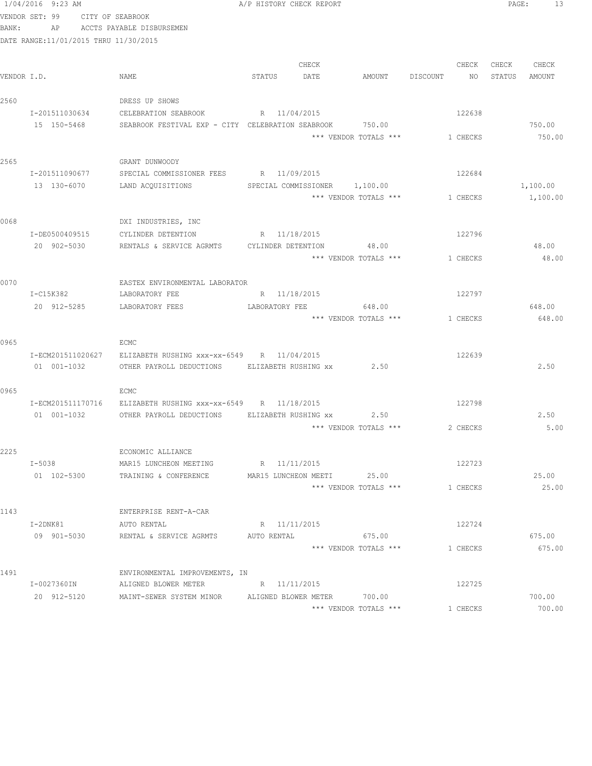|       | 1/04/2016 9:23 AM                     |                                                          |                | A/P HISTORY CHECK REPORT      |                       |          |          | PAGE:  | 13                   |  |
|-------|---------------------------------------|----------------------------------------------------------|----------------|-------------------------------|-----------------------|----------|----------|--------|----------------------|--|
|       | VENDOR SET: 99<br>CITY OF SEABROOK    |                                                          |                |                               |                       |          |          |        |                      |  |
| BANK: | AP                                    | ACCTS PAYABLE DISBURSEMEN                                |                |                               |                       |          |          |        |                      |  |
|       | DATE RANGE:11/01/2015 THRU 11/30/2015 |                                                          |                |                               |                       |          |          |        |                      |  |
|       |                                       |                                                          |                |                               |                       |          |          |        |                      |  |
|       |                                       |                                                          |                | CHECK                         |                       |          | CHECK    | CHECK  | CHECK                |  |
|       | VENDOR I.D.                           | NAME                                                     | STATUS         | DATE                          | AMOUNT                | DISCOUNT | NO       | STATUS | AMOUNT               |  |
|       |                                       |                                                          |                |                               |                       |          |          |        |                      |  |
| 2560  |                                       | DRESS UP SHOWS                                           |                |                               |                       |          |          |        |                      |  |
|       | I-201511030634                        | CELEBRATION SEABROOK                                     | R 11/04/2015   |                               |                       |          | 122638   |        |                      |  |
|       | 15 150-5468                           | SEABROOK FESTIVAL EXP - CITY CELEBRATION SEABROOK 750.00 |                |                               |                       |          |          |        | 750.00               |  |
|       |                                       |                                                          |                |                               | *** VENDOR TOTALS *** |          | 1 CHECKS |        | 750.00               |  |
|       |                                       |                                                          |                |                               |                       |          |          |        |                      |  |
| 2565  |                                       | GRANT DUNWOODY                                           |                |                               |                       |          |          |        |                      |  |
|       | I-201511090677                        | SPECIAL COMMISSIONER FEES R 11/09/2015                   |                |                               |                       |          | 122684   |        |                      |  |
|       | 13 130-6070                           | LAND ACQUISITIONS                                        |                | SPECIAL COMMISSIONER 1,100.00 | *** VENDOR TOTALS *** |          | 1 CHECKS |        | 1,100.00<br>1,100.00 |  |
|       |                                       |                                                          |                |                               |                       |          |          |        |                      |  |
| 0068  |                                       | DXI INDUSTRIES, INC                                      |                |                               |                       |          |          |        |                      |  |
|       | I-DE0500409515                        | CYLINDER DETENTION R 11/18/2015                          |                |                               |                       |          | 122796   |        |                      |  |
|       | 20 902-5030                           | RENTALS & SERVICE AGRMTS CYLINDER DETENTION              |                |                               | 48.00                 |          |          |        | 48.00                |  |
|       |                                       |                                                          |                |                               | *** VENDOR TOTALS *** |          | 1 CHECKS |        | 48.00                |  |
|       |                                       |                                                          |                |                               |                       |          |          |        |                      |  |
| 0070  |                                       | EASTEX ENVIRONMENTAL LABORATOR                           |                |                               |                       |          |          |        |                      |  |
|       | I-C15K382                             | LABORATORY FEE                                           |                | R 11/18/2015                  |                       |          | 122797   |        |                      |  |
|       | 20 912-5285                           | LABORATORY FEES                                          | LABORATORY FEE |                               | 648.00                |          |          |        | 648.00               |  |
|       |                                       |                                                          |                |                               | *** VENDOR TOTALS *** |          | 1 CHECKS |        | 648.00               |  |
|       |                                       |                                                          |                |                               |                       |          |          |        |                      |  |
| 0965  |                                       | ECMC                                                     |                |                               |                       |          |          |        |                      |  |
|       | I-ECM201511020627                     | ELIZABETH RUSHING xxx-xx-6549 R 11/04/2015               |                |                               |                       |          | 122639   |        |                      |  |
|       | 01 001-1032                           | OTHER PAYROLL DEDUCTIONS ELIZABETH RUSHING XX            |                |                               | 2.50                  |          |          |        | 2.50                 |  |
|       |                                       |                                                          |                |                               |                       |          |          |        |                      |  |
| 0965  |                                       | ECMC                                                     |                |                               |                       |          |          |        |                      |  |
|       | I-ECM201511170716                     | ELIZABETH RUSHING xxx-xx-6549 R 11/18/2015               |                |                               |                       |          | 122798   |        |                      |  |
|       | 01 001-1032                           | OTHER PAYROLL DEDUCTIONS ELIZABETH RUSHING xx 2.50       |                |                               |                       |          |          |        | 2.50                 |  |
|       |                                       |                                                          |                |                               | *** VENDOR TOTALS *** |          | 2 CHECKS |        | 5.00                 |  |
|       |                                       |                                                          |                |                               |                       |          |          |        |                      |  |
| 2225  | I-5038                                | ECONOMIC ALLIANCE<br>MAR15 LUNCHEON MEETING              | R 11/11/2015   |                               |                       |          | 122723   |        |                      |  |
|       | 01 102-5300                           | TRAINING & CONFERENCE                                    |                | MAR15 LUNCHEON MEETI          | 25.00                 |          |          |        | 25.00                |  |
|       |                                       |                                                          |                |                               | *** VENDOR TOTALS *** |          | 1 CHECKS |        | 25.00                |  |
|       |                                       |                                                          |                |                               |                       |          |          |        |                      |  |
| 1143  |                                       | ENTERPRISE RENT-A-CAR                                    |                |                               |                       |          |          |        |                      |  |
|       | I-2DNK81                              | AUTO RENTAL                                              | R 11/11/2015   |                               |                       |          | 122724   |        |                      |  |
|       | 09 901-5030                           | RENTAL & SERVICE AGRMTS                                  | AUTO RENTAL    |                               | 675.00                |          |          |        | 675.00               |  |
|       |                                       |                                                          |                |                               | *** VENDOR TOTALS *** |          | 1 CHECKS |        | 675.00               |  |
|       |                                       |                                                          |                |                               |                       |          |          |        |                      |  |
| 1491  |                                       | ENVIRONMENTAL IMPROVEMENTS, IN                           |                |                               |                       |          |          |        |                      |  |
|       | I-0027360IN                           | ALIGNED BLOWER METER                                     | R 11/11/2015   |                               |                       |          | 122725   |        |                      |  |
|       | 20 912-5120                           | MAINT-SEWER SYSTEM MINOR ALIGNED BLOWER METER            |                |                               | 700.00                |          |          |        | 700.00               |  |
|       |                                       |                                                          |                |                               | *** VENDOR TOTALS *** |          | 1 CHECKS |        | 700.00               |  |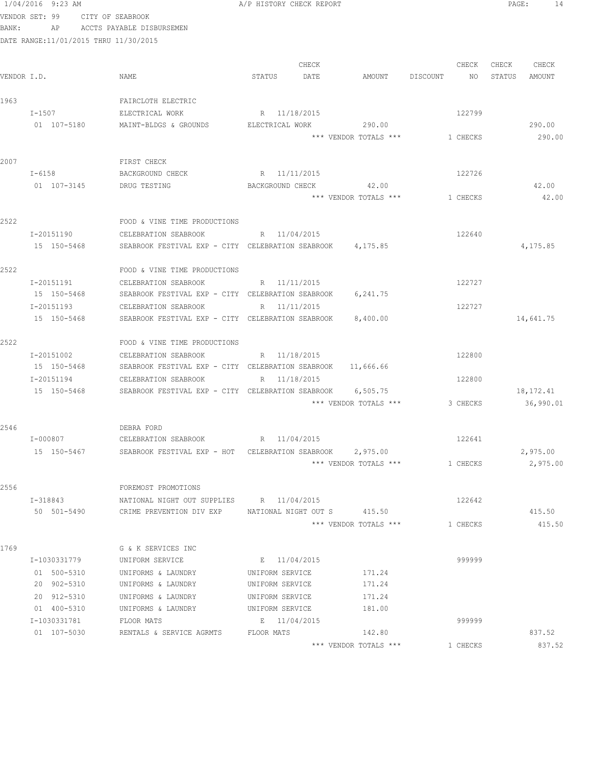|                                                                                                                                                                                                                                                                                                                                                                                                                                                                                                                                                                                                                                                                                                                                                                                                                                                                                                                                                                                                                                                                                                                |                                                                                                                                                                                                                                                                                                                                                                                                                                                                                                                                                                                                                                                                                                                                                                                                                                                                                                                                                                                                                                                                                                                               |                    | A/P HISTORY CHECK REPORT |       | $\mathtt{PAGE}$ :<br>14 |
|----------------------------------------------------------------------------------------------------------------------------------------------------------------------------------------------------------------------------------------------------------------------------------------------------------------------------------------------------------------------------------------------------------------------------------------------------------------------------------------------------------------------------------------------------------------------------------------------------------------------------------------------------------------------------------------------------------------------------------------------------------------------------------------------------------------------------------------------------------------------------------------------------------------------------------------------------------------------------------------------------------------------------------------------------------------------------------------------------------------|-------------------------------------------------------------------------------------------------------------------------------------------------------------------------------------------------------------------------------------------------------------------------------------------------------------------------------------------------------------------------------------------------------------------------------------------------------------------------------------------------------------------------------------------------------------------------------------------------------------------------------------------------------------------------------------------------------------------------------------------------------------------------------------------------------------------------------------------------------------------------------------------------------------------------------------------------------------------------------------------------------------------------------------------------------------------------------------------------------------------------------|--------------------|--------------------------|-------|-------------------------|
|                                                                                                                                                                                                                                                                                                                                                                                                                                                                                                                                                                                                                                                                                                                                                                                                                                                                                                                                                                                                                                                                                                                |                                                                                                                                                                                                                                                                                                                                                                                                                                                                                                                                                                                                                                                                                                                                                                                                                                                                                                                                                                                                                                                                                                                               |                    |                          |       |                         |
|                                                                                                                                                                                                                                                                                                                                                                                                                                                                                                                                                                                                                                                                                                                                                                                                                                                                                                                                                                                                                                                                                                                |                                                                                                                                                                                                                                                                                                                                                                                                                                                                                                                                                                                                                                                                                                                                                                                                                                                                                                                                                                                                                                                                                                                               |                    |                          |       |                         |
|                                                                                                                                                                                                                                                                                                                                                                                                                                                                                                                                                                                                                                                                                                                                                                                                                                                                                                                                                                                                                                                                                                                |                                                                                                                                                                                                                                                                                                                                                                                                                                                                                                                                                                                                                                                                                                                                                                                                                                                                                                                                                                                                                                                                                                                               |                    |                          |       |                         |
|                                                                                                                                                                                                                                                                                                                                                                                                                                                                                                                                                                                                                                                                                                                                                                                                                                                                                                                                                                                                                                                                                                                |                                                                                                                                                                                                                                                                                                                                                                                                                                                                                                                                                                                                                                                                                                                                                                                                                                                                                                                                                                                                                                                                                                                               |                    |                          |       |                         |
|                                                                                                                                                                                                                                                                                                                                                                                                                                                                                                                                                                                                                                                                                                                                                                                                                                                                                                                                                                                                                                                                                                                |                                                                                                                                                                                                                                                                                                                                                                                                                                                                                                                                                                                                                                                                                                                                                                                                                                                                                                                                                                                                                                                                                                                               |                    | CHECK                    | CHECK | CHECK<br>CHECK          |
|                                                                                                                                                                                                                                                                                                                                                                                                                                                                                                                                                                                                                                                                                                                                                                                                                                                                                                                                                                                                                                                                                                                |                                                                                                                                                                                                                                                                                                                                                                                                                                                                                                                                                                                                                                                                                                                                                                                                                                                                                                                                                                                                                                                                                                                               | NAME               | STATUS<br>DATE           | NO    | STATUS<br>AMOUNT        |
|                                                                                                                                                                                                                                                                                                                                                                                                                                                                                                                                                                                                                                                                                                                                                                                                                                                                                                                                                                                                                                                                                                                |                                                                                                                                                                                                                                                                                                                                                                                                                                                                                                                                                                                                                                                                                                                                                                                                                                                                                                                                                                                                                                                                                                                               |                    |                          |       |                         |
| 1963                                                                                                                                                                                                                                                                                                                                                                                                                                                                                                                                                                                                                                                                                                                                                                                                                                                                                                                                                                                                                                                                                                           |                                                                                                                                                                                                                                                                                                                                                                                                                                                                                                                                                                                                                                                                                                                                                                                                                                                                                                                                                                                                                                                                                                                               | FAIRCLOTH ELECTRIC |                          |       |                         |
|                                                                                                                                                                                                                                                                                                                                                                                                                                                                                                                                                                                                                                                                                                                                                                                                                                                                                                                                                                                                                                                                                                                | $I - 1507$                                                                                                                                                                                                                                                                                                                                                                                                                                                                                                                                                                                                                                                                                                                                                                                                                                                                                                                                                                                                                                                                                                                    | ELECTRICAL WORK    | R 11/18/2015             |       |                         |
|                                                                                                                                                                                                                                                                                                                                                                                                                                                                                                                                                                                                                                                                                                                                                                                                                                                                                                                                                                                                                                                                                                                |                                                                                                                                                                                                                                                                                                                                                                                                                                                                                                                                                                                                                                                                                                                                                                                                                                                                                                                                                                                                                                                                                                                               |                    |                          |       | 290.00                  |
|                                                                                                                                                                                                                                                                                                                                                                                                                                                                                                                                                                                                                                                                                                                                                                                                                                                                                                                                                                                                                                                                                                                |                                                                                                                                                                                                                                                                                                                                                                                                                                                                                                                                                                                                                                                                                                                                                                                                                                                                                                                                                                                                                                                                                                                               |                    |                          |       | 290.00                  |
|                                                                                                                                                                                                                                                                                                                                                                                                                                                                                                                                                                                                                                                                                                                                                                                                                                                                                                                                                                                                                                                                                                                |                                                                                                                                                                                                                                                                                                                                                                                                                                                                                                                                                                                                                                                                                                                                                                                                                                                                                                                                                                                                                                                                                                                               |                    |                          |       |                         |
|                                                                                                                                                                                                                                                                                                                                                                                                                                                                                                                                                                                                                                                                                                                                                                                                                                                                                                                                                                                                                                                                                                                |                                                                                                                                                                                                                                                                                                                                                                                                                                                                                                                                                                                                                                                                                                                                                                                                                                                                                                                                                                                                                                                                                                                               |                    |                          |       |                         |
|                                                                                                                                                                                                                                                                                                                                                                                                                                                                                                                                                                                                                                                                                                                                                                                                                                                                                                                                                                                                                                                                                                                |                                                                                                                                                                                                                                                                                                                                                                                                                                                                                                                                                                                                                                                                                                                                                                                                                                                                                                                                                                                                                                                                                                                               |                    |                          |       |                         |
|                                                                                                                                                                                                                                                                                                                                                                                                                                                                                                                                                                                                                                                                                                                                                                                                                                                                                                                                                                                                                                                                                                                |                                                                                                                                                                                                                                                                                                                                                                                                                                                                                                                                                                                                                                                                                                                                                                                                                                                                                                                                                                                                                                                                                                                               |                    |                          |       | 42.00                   |
|                                                                                                                                                                                                                                                                                                                                                                                                                                                                                                                                                                                                                                                                                                                                                                                                                                                                                                                                                                                                                                                                                                                |                                                                                                                                                                                                                                                                                                                                                                                                                                                                                                                                                                                                                                                                                                                                                                                                                                                                                                                                                                                                                                                                                                                               |                    |                          |       | 42.00                   |
|                                                                                                                                                                                                                                                                                                                                                                                                                                                                                                                                                                                                                                                                                                                                                                                                                                                                                                                                                                                                                                                                                                                |                                                                                                                                                                                                                                                                                                                                                                                                                                                                                                                                                                                                                                                                                                                                                                                                                                                                                                                                                                                                                                                                                                                               |                    |                          |       |                         |
|                                                                                                                                                                                                                                                                                                                                                                                                                                                                                                                                                                                                                                                                                                                                                                                                                                                                                                                                                                                                                                                                                                                |                                                                                                                                                                                                                                                                                                                                                                                                                                                                                                                                                                                                                                                                                                                                                                                                                                                                                                                                                                                                                                                                                                                               |                    |                          |       |                         |
|                                                                                                                                                                                                                                                                                                                                                                                                                                                                                                                                                                                                                                                                                                                                                                                                                                                                                                                                                                                                                                                                                                                |                                                                                                                                                                                                                                                                                                                                                                                                                                                                                                                                                                                                                                                                                                                                                                                                                                                                                                                                                                                                                                                                                                                               |                    |                          |       | 4,175.85                |
|                                                                                                                                                                                                                                                                                                                                                                                                                                                                                                                                                                                                                                                                                                                                                                                                                                                                                                                                                                                                                                                                                                                |                                                                                                                                                                                                                                                                                                                                                                                                                                                                                                                                                                                                                                                                                                                                                                                                                                                                                                                                                                                                                                                                                                                               |                    |                          |       |                         |
|                                                                                                                                                                                                                                                                                                                                                                                                                                                                                                                                                                                                                                                                                                                                                                                                                                                                                                                                                                                                                                                                                                                |                                                                                                                                                                                                                                                                                                                                                                                                                                                                                                                                                                                                                                                                                                                                                                                                                                                                                                                                                                                                                                                                                                                               |                    |                          |       |                         |
| 2007<br>2522<br>2522<br>2522<br>2546<br>2556<br>1769                                                                                                                                                                                                                                                                                                                                                                                                                                                                                                                                                                                                                                                                                                                                                                                                                                                                                                                                                                                                                                                           |                                                                                                                                                                                                                                                                                                                                                                                                                                                                                                                                                                                                                                                                                                                                                                                                                                                                                                                                                                                                                                                                                                                               |                    |                          |       |                         |
|                                                                                                                                                                                                                                                                                                                                                                                                                                                                                                                                                                                                                                                                                                                                                                                                                                                                                                                                                                                                                                                                                                                |                                                                                                                                                                                                                                                                                                                                                                                                                                                                                                                                                                                                                                                                                                                                                                                                                                                                                                                                                                                                                                                                                                                               |                    |                          |       |                         |
| 1/04/2016 9:23 AM<br>VENDOR SET: 99 CITY OF SEABROOK<br>BANK: AP ACCTS PAYABLE DISBURSEMEN<br>DATE RANGE:11/01/2015 THRU 11/30/2015<br>VENDOR I.D.<br>01 107-5180<br>MAINT-BLDGS & GROUNDS<br>FIRST CHECK<br>I-6158<br>BACKGROUND CHECK<br>01 107-3145<br>DRUG TESTING<br>FOOD & VINE TIME PRODUCTIONS<br>I-20151190<br>15 150-5468<br>FOOD & VINE TIME PRODUCTIONS<br>I-20151191<br>CELEBRATION SEABROOK<br>15 150-5468<br>I-20151193<br>CELEBRATION SEABROOK<br>15 150-5468<br>FOOD & VINE TIME PRODUCTIONS<br>I-20151002<br>CELEBRATION SEABROOK<br>15 150-5468<br>I-20151194<br>CELEBRATION SEABROOK<br>15 150-5468<br>DEBRA FORD<br>I-000807<br>CELEBRATION SEABROOK<br>R<br>15 150-5467<br>FOREMOST PROMOTIONS<br>I-318843<br>NATIONAL NIGHT OUT SUPPLIES<br>50 501-5490<br>CRIME PREVENTION DIV EXP<br>G & K SERVICES INC<br>I-1030331779<br>UNIFORM SERVICE<br>01 500-5310<br>UNIFORMS & LAUNDRY<br>20 902-5310<br>UNIFORMS & LAUNDRY<br>20 912-5310<br>UNIFORMS & LAUNDRY<br>01 400-5310<br>UNIFORMS & LAUNDRY<br>I-1030331781<br>FLOOR MATS<br>01 107-5030<br>RENTALS & SERVICE AGRMTS<br>FLOOR MATS |                                                                                                                                                                                                                                                                                                                                                                                                                                                                                                                                                                                                                                                                                                                                                                                                                                                                                                                                                                                                                                                                                                                               |                    |                          |       |                         |
|                                                                                                                                                                                                                                                                                                                                                                                                                                                                                                                                                                                                                                                                                                                                                                                                                                                                                                                                                                                                                                                                                                                |                                                                                                                                                                                                                                                                                                                                                                                                                                                                                                                                                                                                                                                                                                                                                                                                                                                                                                                                                                                                                                                                                                                               |                    | 14,641.75                |       |                         |
|                                                                                                                                                                                                                                                                                                                                                                                                                                                                                                                                                                                                                                                                                                                                                                                                                                                                                                                                                                                                                                                                                                                | AMOUNT DISCOUNT<br>122799<br>ELECTRICAL WORK 290.00<br>*** VENDOR TOTALS ***<br>1 CHECKS<br>R 11/11/2015<br>122726<br>42.00<br>BACKGROUND CHECK<br>*** VENDOR TOTALS ***<br>1 CHECKS<br>CELEBRATION SEABROOK R 11/04/2015<br>122640<br>SEABROOK FESTIVAL EXP - CITY CELEBRATION SEABROOK 4,175.85<br>122727<br>R 11/11/2015<br>SEABROOK FESTIVAL EXP - CITY CELEBRATION SEABROOK<br>6,241.75<br>R 11/11/2015<br>122727<br>SEABROOK FESTIVAL EXP - CITY CELEBRATION SEABROOK<br>8,400.00<br>122800<br>R 11/18/2015<br>SEABROOK FESTIVAL EXP - CITY CELEBRATION SEABROOK 11,666.66<br>122800<br>R 11/18/2015<br>SEABROOK FESTIVAL EXP - CITY CELEBRATION SEABROOK 6,505.75<br>*** VENDOR TOTALS ***<br>3 CHECKS<br>122641<br>11/04/2015<br>SEABROOK FESTIVAL EXP - HOT CELEBRATION SEABROOK<br>2,975.00<br>*** VENDOR TOTALS ***<br>1 CHECKS<br>R 11/04/2015<br>122642<br>415.50<br>NATIONAL NIGHT OUT S<br>*** VENDOR TOTALS ***<br>1 CHECKS<br>E 11/04/2015<br>999999<br>171.24<br>UNIFORM SERVICE<br>171.24<br>UNIFORM SERVICE<br>171.24<br>UNIFORM SERVICE<br>181.00<br>UNIFORM SERVICE<br>999999<br>E 11/04/2015<br>142.80 |                    |                          |       |                         |
|                                                                                                                                                                                                                                                                                                                                                                                                                                                                                                                                                                                                                                                                                                                                                                                                                                                                                                                                                                                                                                                                                                                |                                                                                                                                                                                                                                                                                                                                                                                                                                                                                                                                                                                                                                                                                                                                                                                                                                                                                                                                                                                                                                                                                                                               |                    |                          |       |                         |
|                                                                                                                                                                                                                                                                                                                                                                                                                                                                                                                                                                                                                                                                                                                                                                                                                                                                                                                                                                                                                                                                                                                |                                                                                                                                                                                                                                                                                                                                                                                                                                                                                                                                                                                                                                                                                                                                                                                                                                                                                                                                                                                                                                                                                                                               |                    |                          |       |                         |
|                                                                                                                                                                                                                                                                                                                                                                                                                                                                                                                                                                                                                                                                                                                                                                                                                                                                                                                                                                                                                                                                                                                |                                                                                                                                                                                                                                                                                                                                                                                                                                                                                                                                                                                                                                                                                                                                                                                                                                                                                                                                                                                                                                                                                                                               |                    |                          |       |                         |
|                                                                                                                                                                                                                                                                                                                                                                                                                                                                                                                                                                                                                                                                                                                                                                                                                                                                                                                                                                                                                                                                                                                |                                                                                                                                                                                                                                                                                                                                                                                                                                                                                                                                                                                                                                                                                                                                                                                                                                                                                                                                                                                                                                                                                                                               |                    |                          |       |                         |
|                                                                                                                                                                                                                                                                                                                                                                                                                                                                                                                                                                                                                                                                                                                                                                                                                                                                                                                                                                                                                                                                                                                |                                                                                                                                                                                                                                                                                                                                                                                                                                                                                                                                                                                                                                                                                                                                                                                                                                                                                                                                                                                                                                                                                                                               |                    |                          |       | 18,172.41               |
|                                                                                                                                                                                                                                                                                                                                                                                                                                                                                                                                                                                                                                                                                                                                                                                                                                                                                                                                                                                                                                                                                                                |                                                                                                                                                                                                                                                                                                                                                                                                                                                                                                                                                                                                                                                                                                                                                                                                                                                                                                                                                                                                                                                                                                                               |                    |                          |       | 36,990.01               |
|                                                                                                                                                                                                                                                                                                                                                                                                                                                                                                                                                                                                                                                                                                                                                                                                                                                                                                                                                                                                                                                                                                                |                                                                                                                                                                                                                                                                                                                                                                                                                                                                                                                                                                                                                                                                                                                                                                                                                                                                                                                                                                                                                                                                                                                               |                    |                          |       |                         |
|                                                                                                                                                                                                                                                                                                                                                                                                                                                                                                                                                                                                                                                                                                                                                                                                                                                                                                                                                                                                                                                                                                                |                                                                                                                                                                                                                                                                                                                                                                                                                                                                                                                                                                                                                                                                                                                                                                                                                                                                                                                                                                                                                                                                                                                               |                    |                          |       |                         |
|                                                                                                                                                                                                                                                                                                                                                                                                                                                                                                                                                                                                                                                                                                                                                                                                                                                                                                                                                                                                                                                                                                                |                                                                                                                                                                                                                                                                                                                                                                                                                                                                                                                                                                                                                                                                                                                                                                                                                                                                                                                                                                                                                                                                                                                               |                    |                          |       |                         |
|                                                                                                                                                                                                                                                                                                                                                                                                                                                                                                                                                                                                                                                                                                                                                                                                                                                                                                                                                                                                                                                                                                                |                                                                                                                                                                                                                                                                                                                                                                                                                                                                                                                                                                                                                                                                                                                                                                                                                                                                                                                                                                                                                                                                                                                               |                    |                          |       | 2,975.00                |
|                                                                                                                                                                                                                                                                                                                                                                                                                                                                                                                                                                                                                                                                                                                                                                                                                                                                                                                                                                                                                                                                                                                |                                                                                                                                                                                                                                                                                                                                                                                                                                                                                                                                                                                                                                                                                                                                                                                                                                                                                                                                                                                                                                                                                                                               |                    |                          |       | 2,975.00                |
|                                                                                                                                                                                                                                                                                                                                                                                                                                                                                                                                                                                                                                                                                                                                                                                                                                                                                                                                                                                                                                                                                                                |                                                                                                                                                                                                                                                                                                                                                                                                                                                                                                                                                                                                                                                                                                                                                                                                                                                                                                                                                                                                                                                                                                                               |                    |                          |       |                         |
|                                                                                                                                                                                                                                                                                                                                                                                                                                                                                                                                                                                                                                                                                                                                                                                                                                                                                                                                                                                                                                                                                                                |                                                                                                                                                                                                                                                                                                                                                                                                                                                                                                                                                                                                                                                                                                                                                                                                                                                                                                                                                                                                                                                                                                                               |                    |                          |       |                         |
|                                                                                                                                                                                                                                                                                                                                                                                                                                                                                                                                                                                                                                                                                                                                                                                                                                                                                                                                                                                                                                                                                                                |                                                                                                                                                                                                                                                                                                                                                                                                                                                                                                                                                                                                                                                                                                                                                                                                                                                                                                                                                                                                                                                                                                                               |                    |                          |       |                         |
|                                                                                                                                                                                                                                                                                                                                                                                                                                                                                                                                                                                                                                                                                                                                                                                                                                                                                                                                                                                                                                                                                                                |                                                                                                                                                                                                                                                                                                                                                                                                                                                                                                                                                                                                                                                                                                                                                                                                                                                                                                                                                                                                                                                                                                                               |                    |                          |       | 415.50                  |
|                                                                                                                                                                                                                                                                                                                                                                                                                                                                                                                                                                                                                                                                                                                                                                                                                                                                                                                                                                                                                                                                                                                |                                                                                                                                                                                                                                                                                                                                                                                                                                                                                                                                                                                                                                                                                                                                                                                                                                                                                                                                                                                                                                                                                                                               |                    |                          |       | 415.50                  |
|                                                                                                                                                                                                                                                                                                                                                                                                                                                                                                                                                                                                                                                                                                                                                                                                                                                                                                                                                                                                                                                                                                                |                                                                                                                                                                                                                                                                                                                                                                                                                                                                                                                                                                                                                                                                                                                                                                                                                                                                                                                                                                                                                                                                                                                               |                    |                          |       |                         |
|                                                                                                                                                                                                                                                                                                                                                                                                                                                                                                                                                                                                                                                                                                                                                                                                                                                                                                                                                                                                                                                                                                                |                                                                                                                                                                                                                                                                                                                                                                                                                                                                                                                                                                                                                                                                                                                                                                                                                                                                                                                                                                                                                                                                                                                               |                    |                          |       |                         |
|                                                                                                                                                                                                                                                                                                                                                                                                                                                                                                                                                                                                                                                                                                                                                                                                                                                                                                                                                                                                                                                                                                                |                                                                                                                                                                                                                                                                                                                                                                                                                                                                                                                                                                                                                                                                                                                                                                                                                                                                                                                                                                                                                                                                                                                               |                    |                          |       |                         |
|                                                                                                                                                                                                                                                                                                                                                                                                                                                                                                                                                                                                                                                                                                                                                                                                                                                                                                                                                                                                                                                                                                                |                                                                                                                                                                                                                                                                                                                                                                                                                                                                                                                                                                                                                                                                                                                                                                                                                                                                                                                                                                                                                                                                                                                               |                    |                          |       |                         |
|                                                                                                                                                                                                                                                                                                                                                                                                                                                                                                                                                                                                                                                                                                                                                                                                                                                                                                                                                                                                                                                                                                                |                                                                                                                                                                                                                                                                                                                                                                                                                                                                                                                                                                                                                                                                                                                                                                                                                                                                                                                                                                                                                                                                                                                               |                    |                          |       |                         |
|                                                                                                                                                                                                                                                                                                                                                                                                                                                                                                                                                                                                                                                                                                                                                                                                                                                                                                                                                                                                                                                                                                                |                                                                                                                                                                                                                                                                                                                                                                                                                                                                                                                                                                                                                                                                                                                                                                                                                                                                                                                                                                                                                                                                                                                               |                    |                          |       |                         |
|                                                                                                                                                                                                                                                                                                                                                                                                                                                                                                                                                                                                                                                                                                                                                                                                                                                                                                                                                                                                                                                                                                                |                                                                                                                                                                                                                                                                                                                                                                                                                                                                                                                                                                                                                                                                                                                                                                                                                                                                                                                                                                                                                                                                                                                               |                    |                          |       |                         |
|                                                                                                                                                                                                                                                                                                                                                                                                                                                                                                                                                                                                                                                                                                                                                                                                                                                                                                                                                                                                                                                                                                                |                                                                                                                                                                                                                                                                                                                                                                                                                                                                                                                                                                                                                                                                                                                                                                                                                                                                                                                                                                                                                                                                                                                               |                    |                          |       |                         |
|                                                                                                                                                                                                                                                                                                                                                                                                                                                                                                                                                                                                                                                                                                                                                                                                                                                                                                                                                                                                                                                                                                                |                                                                                                                                                                                                                                                                                                                                                                                                                                                                                                                                                                                                                                                                                                                                                                                                                                                                                                                                                                                                                                                                                                                               |                    |                          |       | 837.52                  |

\*\*\* VENDOR TOTALS \*\*\*  $1$  CHECKS 837.52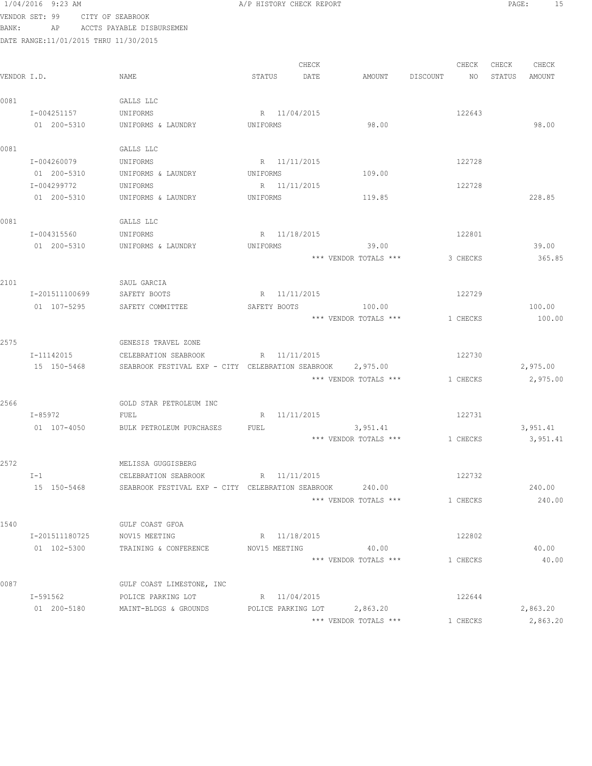# 1/04/2016 9:23 AM **A**/P HISTORY CHECK REPORT **PAGE:** 15 VENDOR SET: 99 CITY OF SEABROOK

BANK: AP ACCTS PAYABLE DISBURSEMEN

| VENDOR I.D. |                               | NAME                                                                                  | STATUS                   | CHECK<br>DATE | AMOUNT                                               | DISCOUNT | CHECK<br>NO | CHECK<br>STATUS | CHECK<br>AMOUNT      |
|-------------|-------------------------------|---------------------------------------------------------------------------------------|--------------------------|---------------|------------------------------------------------------|----------|-------------|-----------------|----------------------|
| 0081        | I-004251157<br>01 200-5310    | GALLS LLC<br>UNIFORMS<br>UNIFORMS & LAUNDRY                                           | UNIFORMS                 | R 11/04/2015  | 98.00                                                |          | 122643      |                 | 98.00                |
| 0081        | I-004260079                   | GALLS LLC<br>UNIFORMS                                                                 | R 11/11/2015             |               |                                                      |          | 122728      |                 |                      |
|             | 01 200-5310<br>I-004299772    | UNIFORMS & LAUNDRY<br>UNIFORMS                                                        | UNIFORMS<br>R 11/11/2015 |               | 109.00                                               |          | 122728      |                 |                      |
|             | 01 200-5310                   | UNIFORMS & LAUNDRY                                                                    | UNIFORMS                 |               | 119.85                                               |          |             |                 | 228.85               |
| 0081        | I-004315560                   | GALLS LLC<br>UNIFORMS                                                                 | R 11/18/2015             |               |                                                      |          | 122801      |                 |                      |
|             | 01 200-5310                   | UNIFORMS & LAUNDRY                                                                    | UNIFORMS                 |               | 39.00<br>*** VENDOR TOTALS ***                       |          | 3 CHECKS    |                 | 39.00<br>365.85      |
| 2101        |                               | SAUL GARCIA                                                                           |                          |               |                                                      |          |             |                 |                      |
|             | I-201511100699<br>01 107-5295 | SAFETY BOOTS<br>SAFETY COMMITTEE                                                      | SAFETY BOOTS             | R 11/11/2015  | 100.00                                               |          | 122729      |                 | 100.00               |
|             |                               |                                                                                       |                          |               | *** VENDOR TOTALS ***                                |          | 1 CHECKS    |                 | 100.00               |
| 2575        | I-11142015                    | GENESIS TRAVEL ZONE<br>CELEBRATION SEABROOK                                           | R 11/11/2015             |               |                                                      |          | 122730      |                 |                      |
|             | 15 150-5468                   | SEABROOK FESTIVAL EXP - CITY CELEBRATION SEABROOK 2,975.00                            |                          |               | *** VENDOR TOTALS ***                                |          | 1 CHECKS    |                 | 2,975.00<br>2,975.00 |
| 2566        |                               | GOLD STAR PETROLEUM INC                                                               |                          |               |                                                      |          |             |                 |                      |
|             | I-85972                       | FUEL                                                                                  |                          | R 11/11/2015  |                                                      |          | 122731      |                 |                      |
|             | 01 107-4050                   | BULK PETROLEUM PURCHASES                                                              | FUEL                     |               | 3,951.41<br>*** VENDOR TOTALS ***                    |          | 1 CHECKS    |                 | 3,951.41<br>3,951.41 |
| 2572        | $I-1$                         | MELISSA GUGGISBERG<br>CELEBRATION SEABROOK                                            | R 11/11/2015             |               |                                                      |          | 122732      |                 |                      |
|             | 15 150-5468                   | SEABROOK FESTIVAL EXP - CITY CELEBRATION SEABROOK                                     |                          |               | 240.00<br>*** VENDOR TOTALS ***                      |          | 1 CHECKS    |                 | 240.00<br>240.00     |
| 1540        |                               | GULF COAST GFOA                                                                       |                          |               |                                                      |          |             |                 |                      |
|             |                               | I-201511180725 NOV15 MEETING<br>01 102-5300 TRAINING & CONFERENCE NOV15 MEETING 40.00 | R 11/18/2015             |               |                                                      |          | 122802      |                 | 40.00                |
|             |                               |                                                                                       |                          |               | *** VENDOR TOTALS ***                                |          | 1 CHECKS    |                 | 40.00                |
| 0087        | I-591562                      | GULF COAST LIMESTONE, INC<br>POLICE PARKING LOT                                       | R 11/04/2015             |               |                                                      |          | 122644      |                 |                      |
|             | 01 200-5180                   | MAINT-BLDGS & GROUNDS                                                                 |                          |               | POLICE PARKING LOT 2,863.20<br>*** VENDOR TOTALS *** |          | 1 CHECKS    |                 | 2,863.20<br>2,863.20 |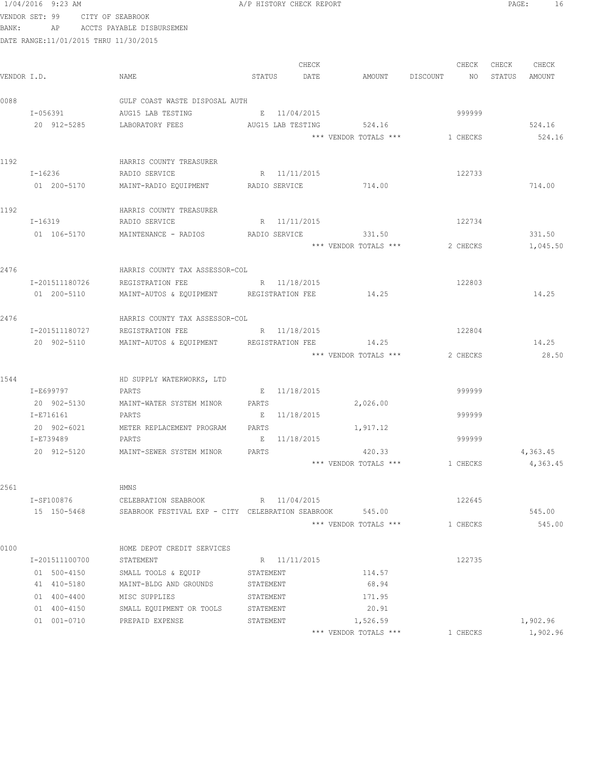VENDOR SET: 99 CITY OF SEABROOK BANK: AP ACCTS PAYABLE DISBURSEMEN

DATE RANGE:11/01/2015 THRU 11/30/2015

|  | /P HISTORY CHECK REPORT |  |  |
|--|-------------------------|--|--|
|  |                         |  |  |

CHECK CHECK CHECK CHECK CHECK CHECK CHECK CHECK CHECK CHECK CHECK CHECK CHECK CHECK CHECK CHECK CHECK CHECK CHECK CHECK CHECK CHECK CHECK CHECK CHECK CHECK CHECK CHECK CHECK CHECK CHECK CHECK CHECK CHECK CHECK CHECK CHECK VENDOR I.D. NAME STATUS DATE AMOUNT DISCOUNT NO STATUS AMOUNT 0088 GULF COAST WASTE DISPOSAL AUTH I-056391 AUG15 LAB TESTING E 11/04/2015 999999 20 912-5285 LABORATORY FEES AUG15 LAB TESTING 524.16 524.16 \*\*\* VENDOR TOTALS \*\*\* 1 CHECKS 524.16 1192 HARRIS COUNTY TREASURER<br>I-16236 HADIO SERVICE RADIO SERVICE **R** 11/11/2015 122733 01 200-5170 MAINT-RADIO EQUIPMENT RADIO SERVICE 714.00 714.00 714.00 1192 HARRIS COUNTY TREASURER<br>I-16319 HADIO SERVICE I-16319 RADIO SERVICE R 11/11/2015 122734 01 106-5170 MAINTENANCE - RADIOS RADIO SERVICE 331.50 331.50 \*\*\* VENDOR TOTALS \*\*\* 2 CHECKS 1,045.50 2476 HARRIS COUNTY TAX ASSESSOR-COL I-201511180726 REGISTRATION FEE R 11/18/2015 122803 01 200-5110 MAINT-AUTOS & EQUIPMENT REGISTRATION FEE 14.25 14.25 2476 HARRIS COUNTY TAX ASSESSOR-COL I-201511180727 REGISTRATION FEE R 11/18/2015 20 902-5110 MAINT-AUTOS & EQUIPMENT REGISTRATION FEE 14.25 14.25 \*\*\* VENDOR TOTALS \*\*\* 2 CHECKS 28.50 1544 HD SUPPLY WATERWORKS, LTD I-E699797 PARTS E 11/18/2015 999999 20 902-5130 MAINT-WATER SYSTEM MINOR PARTS 2,026.00 I-E716161 PARTS E 11/18/2015 999999 20 902-6021 METER REPLACEMENT PROGRAM PARTS 1,917.12 I-E739489 PARTS E 11/18/2015 999999 20 912-5120 MAINT-SEWER SYSTEM MINOR PARTS 420.33 4,363.45 \*\*\* VENDOR TOTALS \*\*\* 1 CHECKS 4,363.45 2561 HMNS I-SF100876 CELEBRATION SEABROOK R 11/04/2015 122645 15 150-5468 SEABROOK FESTIVAL EXP - CITY CELEBRATION SEABROOK 545.00 545.00 \*\*\* VENDOR TOTALS \*\*\* 1 CHECKS 545.00 0100 **HOME DEPOT CREDIT SERVICES** I-201511100700 STATEMENT R 11/11/2015 122735

|     | 1-201911100700 | STATEMENT                | K 11/11/2013 |                       | 122 I 33 |          |
|-----|----------------|--------------------------|--------------|-----------------------|----------|----------|
| 01  | 500-4150       | SMALL TOOLS & EQUIP      | STATEMENT    | 114.57                |          |          |
|     | 41 410-5180    | MAINT-BLDG AND GROUNDS   | STATEMENT    | 68.94                 |          |          |
| 01. | 400-4400       | MISC SUPPLIES            | STATEMENT    | 171.95                |          |          |
| 01  | 400-4150       | SMALL EQUIPMENT OR TOOLS | STATEMENT    | 20.91                 |          |          |
|     | 01 001-0710    | PREPAID EXPENSE          | STATEMENT    | 1,526.59              |          | 1,902.96 |
|     |                |                          |              | *** VENDOR TOTALS *** | CHECKS   | 1,902.96 |
|     |                |                          |              |                       |          |          |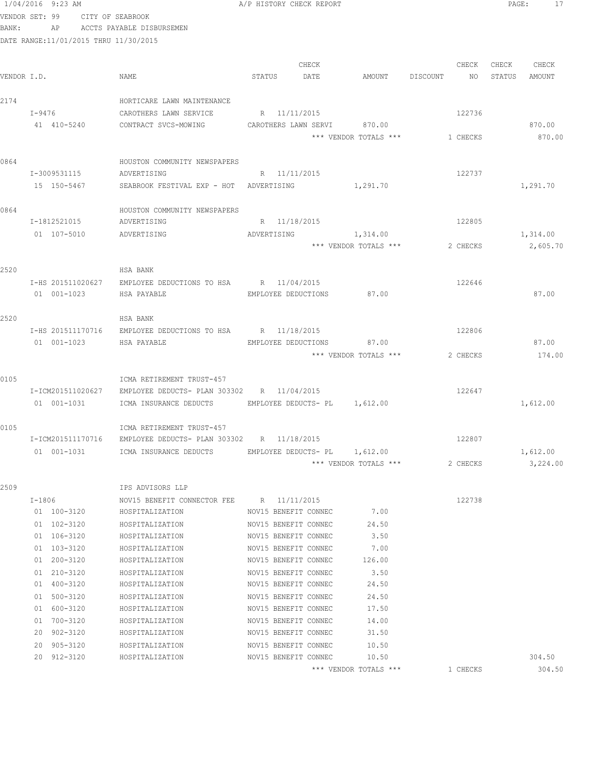|             | VENDOR SET: 99                              | CITY OF SEABROOK                                             |              |                                              |                                |          |               |
|-------------|---------------------------------------------|--------------------------------------------------------------|--------------|----------------------------------------------|--------------------------------|----------|---------------|
| BANK:       | AP<br>DATE RANGE:11/01/2015 THRU 11/30/2015 | ACCTS PAYABLE DISBURSEMEN                                    |              |                                              |                                |          |               |
|             |                                             |                                                              |              |                                              |                                |          |               |
|             |                                             |                                                              |              | CHECK                                        |                                | CHECK    | CHECK CHECK   |
| VENDOR I.D. |                                             | NAME                                                         | STATUS       | DATE                                         | AMOUNT DISCOUNT                | NO 11    | STATUS AMOUNT |
|             |                                             |                                                              |              |                                              |                                |          |               |
| 2174        |                                             | HORTICARE LAWN MAINTENANCE                                   |              |                                              |                                |          |               |
|             | I-9476                                      | CAROTHERS LAWN SERVICE                                       | R 11/11/2015 |                                              |                                | 122736   |               |
|             | 41 410-5240                                 | CONTRACT SVCS-MOWING                                         |              |                                              | CAROTHERS LAWN SERVI 870.00    |          | 870.00        |
|             |                                             |                                                              |              |                                              | *** VENDOR TOTALS *** 1 CHECKS |          | 870.00        |
|             |                                             |                                                              |              |                                              |                                |          |               |
| 0864        | I-3009531115                                | HOUSTON COMMUNITY NEWSPAPERS<br>ADVERTISING                  | R 11/11/2015 |                                              |                                | 122737   |               |
|             | 15 150-5467                                 | SEABROOK FESTIVAL EXP - HOT ADVERTISING                      |              |                                              | 1, 291.70                      |          | 1,291.70      |
|             |                                             |                                                              |              |                                              |                                |          |               |
| 0864        |                                             | HOUSTON COMMUNITY NEWSPAPERS                                 |              |                                              |                                |          |               |
|             | I-1812521015                                | ADVERTISING                                                  | R 11/18/2015 |                                              |                                | 122805   |               |
|             | 01 107-5010                                 | ADVERTISING                                                  |              |                                              | ADVERTISING 1,314.00           |          | 1,314.00      |
|             |                                             |                                                              |              |                                              | *** VENDOR TOTALS ***          | 2 CHECKS | 2,605.70      |
|             |                                             |                                                              |              |                                              |                                |          |               |
| 2520        |                                             | HSA BANK                                                     |              |                                              |                                |          |               |
|             | I-HS 201511020627<br>01 001-1023            | EMPLOYEE DEDUCTIONS TO HSA R 11/04/2015                      |              |                                              | 87.00                          | 122646   |               |
|             |                                             | HSA PAYABLE                                                  |              | EMPLOYEE DEDUCTIONS                          |                                |          | 87.00         |
| 2520        |                                             | HSA BANK                                                     |              |                                              |                                |          |               |
|             |                                             | I-HS 201511170716 EMPLOYEE DEDUCTIONS TO HSA R 11/18/2015    |              |                                              |                                | 122806   |               |
|             | 01 001-1023                                 | HSA PAYABLE                                                  |              |                                              | EMPLOYEE DEDUCTIONS 87.00      |          | 87.00         |
|             |                                             |                                                              |              |                                              | *** VENDOR TOTALS ***          | 2 CHECKS | 174.00        |
|             |                                             |                                                              |              |                                              |                                |          |               |
| 0105        |                                             | ICMA RETIREMENT TRUST-457                                    |              |                                              |                                |          |               |
|             | I-ICM201511020627                           | EMPLOYEE DEDUCTS- PLAN 303302 R 11/04/2015                   |              |                                              |                                | 122647   |               |
|             | 01 001-1031                                 | ICMA INSURANCE DEDUCTS EMPLOYEE DEDUCTS- PL 1,612.00         |              |                                              |                                |          | 1,612.00      |
| 0105        |                                             | ICMA RETIREMENT TRUST-457                                    |              |                                              |                                |          |               |
|             |                                             | I-ICM201511170716 EMPLOYEE DEDUCTS- PLAN 303302 R 11/18/2015 |              |                                              |                                | 122807   |               |
|             | 01 001-1031                                 | ICMA INSURANCE DEDUCTS                                       |              | EMPLOYEE DEDUCTS- PL 1,612.00                |                                |          | 1,612.00      |
|             |                                             |                                                              |              |                                              | *** VENDOR TOTALS ***          | 2 CHECKS | 3,224.00      |
|             |                                             |                                                              |              |                                              |                                |          |               |
| 2509        |                                             | IPS ADVISORS LLP                                             |              |                                              |                                |          |               |
|             | $I-1806$                                    | NOV15 BENEFIT CONNECTOR FEE R 11/11/2015                     |              |                                              |                                | 122738   |               |
|             | 01 100-3120                                 | HOSPITALIZATION                                              |              | NOV15 BENEFIT CONNEC                         | 7.00                           |          |               |
|             | 01 102-3120<br>01 106-3120                  | HOSPITALIZATION<br>HOSPITALIZATION                           |              | NOV15 BENEFIT CONNEC<br>NOV15 BENEFIT CONNEC | 24.50<br>3.50                  |          |               |
|             | 01 103-3120                                 | HOSPITALIZATION                                              |              | NOV15 BENEFIT CONNEC                         | 7.00                           |          |               |
|             | 01 200-3120                                 | HOSPITALIZATION                                              |              | NOV15 BENEFIT CONNEC                         | 126.00                         |          |               |
|             | 01 210-3120                                 | HOSPITALIZATION                                              |              | NOV15 BENEFIT CONNEC                         | 3.50                           |          |               |
|             | 01 400-3120                                 | HOSPITALIZATION                                              |              | NOV15 BENEFIT CONNEC                         | 24.50                          |          |               |
|             | 01 500-3120                                 | HOSPITALIZATION                                              |              | NOV15 BENEFIT CONNEC                         | 24.50                          |          |               |
|             | 01 600-3120                                 | HOSPITALIZATION                                              |              | NOV15 BENEFIT CONNEC                         | 17.50                          |          |               |
|             | 01 700-3120                                 | HOSPITALIZATION                                              |              | NOV15 BENEFIT CONNEC                         | 14.00                          |          |               |
|             | 20 902-3120                                 | HOSPITALIZATION                                              |              | NOV15 BENEFIT CONNEC                         | 31.50                          |          |               |
|             | 20 905-3120                                 | HOSPITALIZATION                                              |              | NOV15 BENEFIT CONNEC                         | 10.50                          |          |               |
|             | 20 912-3120                                 | HOSPITALIZATION                                              |              | NOV15 BENEFIT CONNEC                         | 10.50                          |          | 304.50        |

\*\*\* VENDOR TOTALS \*\*\* 1 CHECKS 304.50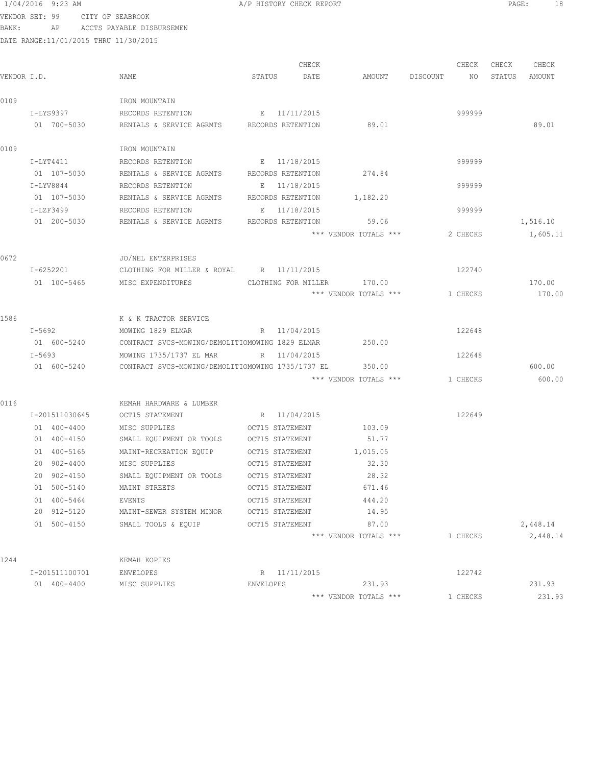| 1/04/2016 9:23 AM |  |  |  |
|-------------------|--|--|--|
|-------------------|--|--|--|

A/P HISTORY CHECK REPORT PAGE: 18

VENDOR SET: 99 CITY OF SEABROOK BANK: AP ACCTS PAYABLE DISBURSEMEN

|             |                |                                                   |           | CHECK               |                       |          | CHECK    | CHECK  | CHECK    |
|-------------|----------------|---------------------------------------------------|-----------|---------------------|-----------------------|----------|----------|--------|----------|
| VENDOR I.D. |                | NAME                                              | STATUS    | DATE                | AMOUNT                | DISCOUNT | NO       | STATUS | AMOUNT   |
| 0109        |                | IRON MOUNTAIN                                     |           |                     |                       |          |          |        |          |
|             | I-LYS9397      | RECORDS RETENTION E 11/11/2015                    |           |                     |                       |          | 999999   |        |          |
|             | 01 700-5030    | RENTALS & SERVICE AGRMTS RECORDS RETENTION        |           |                     | 89.01                 |          |          |        | 89.01    |
| 0109        |                | IRON MOUNTAIN                                     |           |                     |                       |          |          |        |          |
|             | I-LYT4411      | RECORDS RETENTION E 11/18/2015                    |           |                     |                       |          | 999999   |        |          |
|             | 01 107-5030    | RENTALS & SERVICE AGRMTS RECORDS RETENTION        |           |                     | 274.84                |          |          |        |          |
|             | I-LYV8844      | RECORDS RETENTION                                 |           | E 11/18/2015        |                       |          | 999999   |        |          |
|             | 01 107-5030    | RENTALS & SERVICE AGRMTS                          |           | RECORDS RETENTION   | 1,182.20              |          |          |        |          |
|             | I-LZF3499      | RECORDS RETENTION                                 |           | E 11/18/2015        |                       |          | 999999   |        |          |
|             | 01 200-5030    | RENTALS & SERVICE AGRMTS                          |           | RECORDS RETENTION   | 59.06                 |          |          |        | 1,516.10 |
|             |                |                                                   |           |                     | *** VENDOR TOTALS *** |          | 2 CHECKS |        | 1,605.11 |
| 0672        |                | JO/NEL ENTERPRISES                                |           |                     |                       |          |          |        |          |
|             | I-6252201      | CLOTHING FOR MILLER & ROYAL R 11/11/2015          |           |                     |                       |          | 122740   |        |          |
|             | 01 100-5465    | MISC EXPENDITURES                                 |           | CLOTHING FOR MILLER | 170.00                |          |          |        | 170.00   |
|             |                |                                                   |           |                     | *** VENDOR TOTALS *** |          | 1 CHECKS |        | 170.00   |
| 1586        |                | K & K TRACTOR SERVICE                             |           |                     |                       |          |          |        |          |
|             | I-5692         | MOWING 1829 ELMAR                                 |           | R 11/04/2015        |                       |          | 122648   |        |          |
|             | 01 600-5240    | CONTRACT SVCS-MOWING/DEMOLITIOMOWING 1829 ELMAR   |           |                     | 250.00                |          |          |        |          |
|             | I-5693         | MOWING 1735/1737 EL MAR                           |           | R 11/04/2015        |                       |          | 122648   |        |          |
|             | 01 600-5240    | CONTRACT SVCS-MOWING/DEMOLITIOMOWING 1735/1737 EL |           |                     | 350.00                |          |          |        | 600.00   |
|             |                |                                                   |           |                     | *** VENDOR TOTALS *** |          | 1 CHECKS |        | 600.00   |
| 0116        |                | KEMAH HARDWARE & LUMBER                           |           |                     |                       |          |          |        |          |
|             | I-201511030645 | OCT15 STATEMENT                                   |           | R 11/04/2015        |                       |          | 122649   |        |          |
|             | 01 400-4400    | MISC SUPPLIES                                     |           | OCT15 STATEMENT     | 103.09                |          |          |        |          |
|             | 01 400-4150    | SMALL EQUIPMENT OR TOOLS OCT15 STATEMENT          |           |                     | 51.77                 |          |          |        |          |
|             | 01 400-5165    | MAINT-RECREATION EQUIP OCT15 STATEMENT            |           |                     | 1,015.05              |          |          |        |          |
|             | 20 902-4400    | MISC SUPPLIES                                     |           | OCT15 STATEMENT     | 32.30                 |          |          |        |          |
|             | 20 902-4150    | SMALL EQUIPMENT OR TOOLS OCT15 STATEMENT          |           |                     | 28.32                 |          |          |        |          |
|             | 01 500-5140    | MAINT STREETS                                     |           | OCT15 STATEMENT     | 671.46                |          |          |        |          |
|             | 01 400-5464    | EVENTS                                            |           | OCT15 STATEMENT     | 444.20                |          |          |        |          |
|             | 20 912-5120    | MAINT-SEWER SYSTEM MINOR                          |           | OCT15 STATEMENT     | 14.95                 |          |          |        |          |
|             | 01 500-4150    | SMALL TOOLS & EQUIP                               |           | OCT15 STATEMENT     | 87.00                 |          |          |        | 2,448.14 |
|             |                |                                                   |           |                     | *** VENDOR TOTALS *** |          | 1 CHECKS |        | 2,448.14 |
| 1244        |                | KEMAH KOPIES                                      |           |                     |                       |          |          |        |          |
|             | I-201511100701 | ENVELOPES                                         |           | R 11/11/2015        |                       |          | 122742   |        |          |
|             | 01 400-4400    | MISC SUPPLIES                                     | ENVELOPES |                     | 231.93                |          |          |        | 231.93   |
|             |                |                                                   |           |                     | *** VENDOR TOTALS *** |          | 1 CHECKS |        | 231.93   |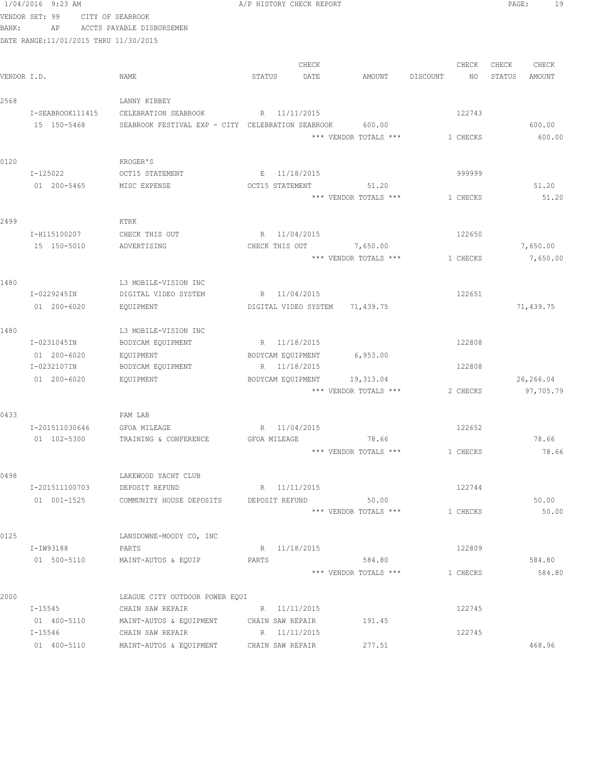|             | 1/04/2016 9:23 AM                      |                                                   | A/P HISTORY CHECK REPORT |                                    |                 | 19<br>PAGE:            |
|-------------|----------------------------------------|---------------------------------------------------|--------------------------|------------------------------------|-----------------|------------------------|
|             | VENDOR SET: 99                         | CITY OF SEABROOK                                  |                          |                                    |                 |                        |
| BANK:       | AP                                     | ACCTS PAYABLE DISBURSEMEN                         |                          |                                    |                 |                        |
|             | DATE RANGE: 11/01/2015 THRU 11/30/2015 |                                                   |                          |                                    |                 |                        |
|             |                                        |                                                   | CHECK                    |                                    | CHECK           | CHECK<br>CHECK         |
| VENDOR I.D. |                                        | NAME                                              | STATUS<br>DATE           | AMOUNT                             | DISCOUNT<br>NO. | STATUS<br>AMOUNT       |
|             |                                        |                                                   |                          |                                    |                 |                        |
| 2568        |                                        | LANNY KIBBEY                                      |                          |                                    |                 |                        |
|             | I-SEABROOK111415                       | CELEBRATION SEABROOK                              | R 11/11/2015             |                                    | 122743          |                        |
|             | 15 150-5468                            | SEABROOK FESTIVAL EXP - CITY CELEBRATION SEABROOK |                          | 600.00<br>*** VENDOR TOTALS ***    | 1 CHECKS        | 600.00<br>600.00       |
|             |                                        |                                                   |                          |                                    |                 |                        |
| 0120        |                                        | KROGER'S                                          |                          |                                    |                 |                        |
|             | I-125022                               | OCT15 STATEMENT                                   | E 11/18/2015             |                                    | 999999          |                        |
|             | 01 200-5465                            | MISC EXPENSE                                      | OCT15 STATEMENT          | 51.20                              |                 | 51.20                  |
|             |                                        |                                                   |                          | *** VENDOR TOTALS ***              | 1 CHECKS        | 51.20                  |
| 2499        |                                        | KTRK                                              |                          |                                    |                 |                        |
|             | I-H115100207                           | CHECK THIS OUT                                    | R 11/04/2015             |                                    | 122650          |                        |
|             | 15 150-5010                            | ADVERTISING                                       | CHECK THIS OUT 7,650.00  |                                    |                 | 7,650.00               |
|             |                                        |                                                   |                          | *** VENDOR TOTALS ***              | 1 CHECKS        | 7,650.00               |
|             |                                        |                                                   |                          |                                    |                 |                        |
| 1480        |                                        | L3 MOBILE-VISION INC                              |                          |                                    |                 |                        |
|             | I-0229245IN                            | DIGITAL VIDEO SYSTEM                              | R 11/04/2015             |                                    | 122651          |                        |
|             | 01 200-6020                            | EQUIPMENT                                         | DIGITAL VIDEO SYSTEM     | 71,439.75                          |                 | 71,439.75              |
|             |                                        |                                                   |                          |                                    |                 |                        |
| 1480        |                                        | L3 MOBILE-VISION INC                              |                          |                                    |                 |                        |
|             | I-0231045IN                            | BODYCAM EQUIPMENT                                 | R 11/18/2015             |                                    | 122808          |                        |
|             | 01 200-6020                            | EQUIPMENT                                         | BODYCAM EQUIPMENT        | 6,953.00                           |                 |                        |
|             | I-0232107IN                            | BODYCAM EQUIPMENT                                 | R 11/18/2015             |                                    | 122808          |                        |
|             | 01 200-6020                            | EQUIPMENT                                         | BODYCAM EQUIPMENT        | 19,313.04<br>*** VENDOR TOTALS *** | 2 CHECKS        | 26,266.04<br>97,705.79 |
|             |                                        |                                                   |                          |                                    |                 |                        |
| 0433        |                                        | PAM LAB                                           |                          |                                    |                 |                        |
|             | I-201511030646                         | <b>GFOA MILEAGE</b>                               | R 11/04/2015             |                                    | 122652          |                        |
|             | 01 102-5300                            | TRAINING & CONFERENCE                             | GFOA MILEAGE             | 78.66                              |                 | 78.66                  |
|             |                                        |                                                   |                          | *** VENDOR TOTALS ***              | 1 CHECKS        | 78.66                  |
|             |                                        |                                                   |                          |                                    |                 |                        |
| 0498        |                                        | LAKEWOOD YACHT CLUB                               | R 11/11/2015             |                                    |                 |                        |
|             | I-201511100703                         | DEPOSIT REFUND                                    |                          | 50.00                              | 122744          |                        |
|             | 01 001-1525                            | COMMUNITY HOUSE DEPOSITS                          | DEPOSIT REFUND           | *** VENDOR TOTALS ***              | 1 CHECKS        | 50.00<br>50.00         |
|             |                                        |                                                   |                          |                                    |                 |                        |
| 0125        |                                        | LANSDOWNE-MOODY CO, INC                           |                          |                                    |                 |                        |
|             | I-IW93188                              | PARTS                                             | R 11/18/2015             |                                    | 122809          |                        |
|             | 01 500-5110                            | MAINT-AUTOS & EQUIP                               | PARTS                    | 584.80                             |                 | 584.80                 |
|             |                                        |                                                   |                          | *** VENDOR TOTALS ***              | 1 CHECKS        | 584.80                 |
| 2000        |                                        | LEAGUE CITY OUTDOOR POWER EQUI                    |                          |                                    |                 |                        |
|             | I-15545                                | CHAIN SAW REPAIR                                  | R 11/11/2015             |                                    | 122745          |                        |
|             | 01 400-5110                            | MAINT-AUTOS & EQUIPMENT                           | CHAIN SAW REPAIR         | 191.45                             |                 |                        |
|             | I-15546                                | CHAIN SAW REPAIR                                  | R 11/11/2015             |                                    | 122745          |                        |
|             | 01 400-5110                            | MAINT-AUTOS & EQUIPMENT CHAIN SAW REPAIR          |                          | 277.51                             |                 | 468.96                 |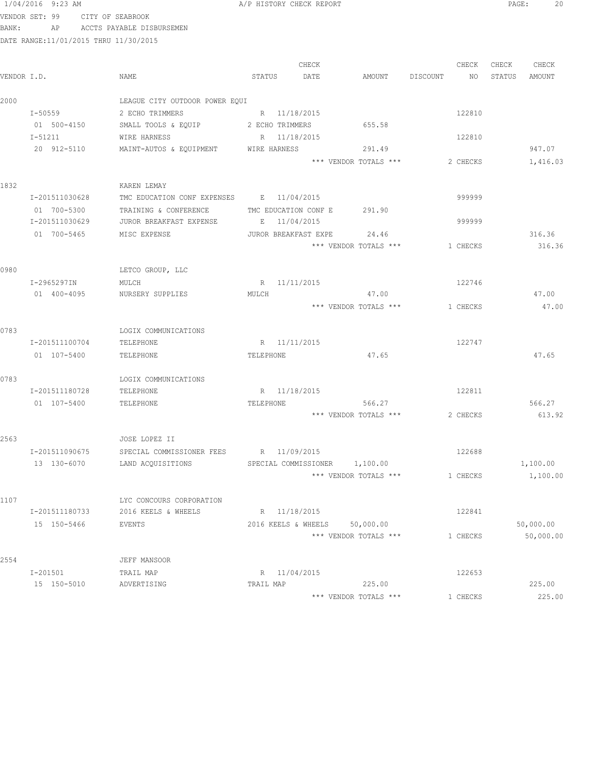| 1/04/2016 | 9:23 AM |  |
|-----------|---------|--|
|           |         |  |

A/P HISTORY CHECK REPORT **PAGE:** 20

VENDOR SET: 99 CITY OF SEABROOK BANK: AP ACCTS PAYABLE DISBURSEMEN

|             |                |                                          |                 | CHECK                       |                               |          | CHECK    | CHECK  | CHECK     |
|-------------|----------------|------------------------------------------|-----------------|-----------------------------|-------------------------------|----------|----------|--------|-----------|
| VENDOR I.D. |                | NAME                                     | STATUS          | DATE                        | AMOUNT                        | DISCOUNT | NO       | STATUS | AMOUNT    |
| 2000        |                | LEAGUE CITY OUTDOOR POWER EQUI           |                 |                             |                               |          |          |        |           |
|             | I-50559        | 2 ECHO TRIMMERS                          |                 | R 11/18/2015                |                               |          | 122810   |        |           |
|             | 01 500-4150    | SMALL TOOLS & EQUIP                      | 2 ECHO TRIMMERS |                             | 655.58                        |          |          |        |           |
|             | I-51211        | WIRE HARNESS                             | R 11/18/2015    |                             |                               |          | 122810   |        |           |
|             | 20 912-5110    | MAINT-AUTOS & EQUIPMENT                  | WIRE HARNESS    |                             | 291.49                        |          |          |        | 947.07    |
|             |                |                                          |                 |                             | *** VENDOR TOTALS ***         |          | 2 CHECKS |        | 1,416.03  |
| 1832        |                | KAREN LEMAY                              |                 |                             |                               |          |          |        |           |
|             | I-201511030628 | TMC EDUCATION CONF EXPENSES E 11/04/2015 |                 |                             |                               |          | 999999   |        |           |
|             | 01 700-5300    | TRAINING & CONFERENCE                    |                 | TMC EDUCATION CONF E 291.90 |                               |          |          |        |           |
|             | I-201511030629 | JUROR BREAKFAST EXPENSE                  |                 | E 11/04/2015                |                               |          | 999999   |        |           |
|             | 01 700-5465    | MISC EXPENSE                             |                 | JUROR BREAKFAST EXPE        | 24.46                         |          |          |        | 316.36    |
|             |                |                                          |                 |                             | *** VENDOR TOTALS ***         |          | 1 CHECKS |        | 316.36    |
| 0980        |                | LETCO GROUP, LLC                         |                 |                             |                               |          |          |        |           |
|             | I-2965297IN    | MULCH                                    |                 | R 11/11/2015                |                               |          | 122746   |        |           |
|             | 01 400-4095    | NURSERY SUPPLIES                         | MULCH           |                             | 47.00                         |          |          |        | 47.00     |
|             |                |                                          |                 |                             | *** VENDOR TOTALS ***         |          | 1 CHECKS |        | 47.00     |
| 0783        |                | LOGIX COMMUNICATIONS                     |                 |                             |                               |          |          |        |           |
|             | I-201511100704 | TELEPHONE                                | R 11/11/2015    |                             |                               |          | 122747   |        |           |
|             | 01 107-5400    | TELEPHONE                                | TELEPHONE       |                             | 47.65                         |          |          |        | 47.65     |
| 0783        |                | LOGIX COMMUNICATIONS                     |                 |                             |                               |          |          |        |           |
|             | I-201511180728 | TELEPHONE                                |                 | R 11/18/2015                |                               |          | 122811   |        |           |
|             | 01 107-5400    | TELEPHONE                                | TELEPHONE       |                             | 566.27                        |          |          |        | 566.27    |
|             |                |                                          |                 |                             | *** VENDOR TOTALS ***         |          | 2 CHECKS |        | 613.92    |
| 2563        |                | JOSE LOPEZ II                            |                 |                             |                               |          |          |        |           |
|             | I-201511090675 | SPECIAL COMMISSIONER FEES R 11/09/2015   |                 |                             |                               |          | 122688   |        |           |
|             | 13 130-6070    | LAND ACQUISITIONS                        |                 |                             | SPECIAL COMMISSIONER 1,100.00 |          |          |        | 1,100.00  |
|             |                |                                          |                 |                             | *** VENDOR TOTALS ***         |          | 1 CHECKS |        | 1,100.00  |
| 1107        |                | LYC CONCOURS CORPORATION                 |                 |                             |                               |          |          |        |           |
|             | I-201511180733 | 2016 KEELS & WHEELS                      |                 | R 11/18/2015                |                               |          | 122841   |        |           |
|             | 15 150-5466    | EVENTS                                   |                 | 2016 KEELS & WHEELS         | 50,000.00                     |          |          |        | 50,000.00 |
|             |                |                                          |                 |                             | *** VENDOR TOTALS ***         |          | 1 CHECKS |        | 50,000.00 |
| 2554        |                | JEFF MANSOOR                             |                 |                             |                               |          |          |        |           |
|             | I-201501       | TRAIL MAP                                |                 | R 11/04/2015                |                               |          | 122653   |        |           |
|             | 15 150-5010    | ADVERTISING                              | TRAIL MAP       |                             | 225.00                        |          |          |        | 225.00    |
|             |                |                                          |                 |                             | *** VENDOR TOTALS ***         |          | 1 CHECKS |        | 225.00    |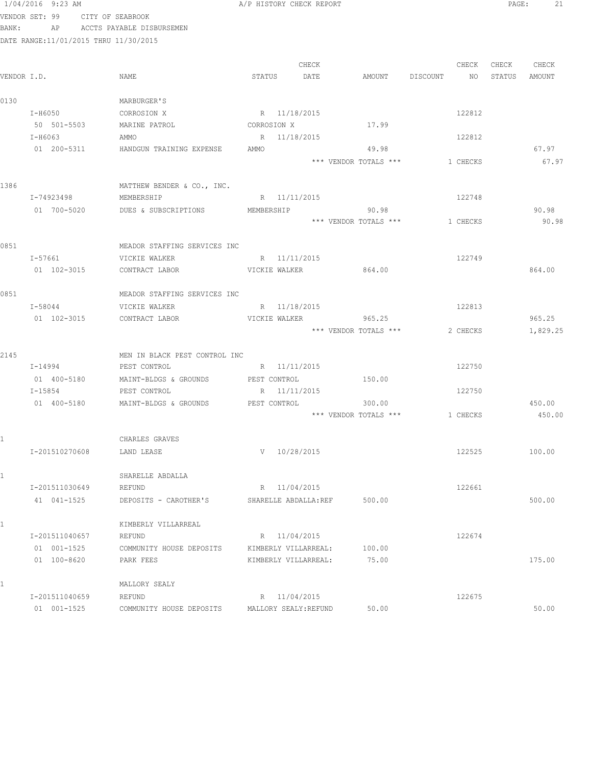|              | 1/04/2016 9:23 AM                      |                               | A/P HISTORY CHECK REPORT |       |                                 |          |          | PAGE:  | 21               |
|--------------|----------------------------------------|-------------------------------|--------------------------|-------|---------------------------------|----------|----------|--------|------------------|
|              | VENDOR SET: 99 CITY OF SEABROOK        |                               |                          |       |                                 |          |          |        |                  |
| BANK:        | AP                                     | ACCTS PAYABLE DISBURSEMEN     |                          |       |                                 |          |          |        |                  |
|              | DATE RANGE: 11/01/2015 THRU 11/30/2015 |                               |                          |       |                                 |          |          |        |                  |
|              |                                        |                               |                          |       |                                 |          |          |        |                  |
|              |                                        |                               |                          | CHECK |                                 |          | CHECK    | CHECK  | CHECK            |
| VENDOR I.D.  |                                        | NAME                          | STATUS                   | DATE  | AMOUNT                          | DISCOUNT | NO       | STATUS | AMOUNT           |
|              |                                        |                               |                          |       |                                 |          |          |        |                  |
| 0130         |                                        | MARBURGER'S                   |                          |       |                                 |          |          |        |                  |
|              | I-H6050                                | CORROSION X                   | R 11/18/2015             |       |                                 |          | 122812   |        |                  |
|              | 50 501-5503                            | MARINE PATROL                 | CORROSION X              |       | 17.99                           |          |          |        |                  |
|              | I-H6063                                | AMMO                          | R 11/18/2015             |       |                                 |          | 122812   |        |                  |
|              | 01 200-5311                            | HANDGUN TRAINING EXPENSE      | AMMO                     |       | 49.98                           |          |          |        | 67.97            |
|              |                                        |                               |                          |       | *** VENDOR TOTALS ***           |          | 1 CHECKS |        | 67.97            |
|              |                                        |                               |                          |       |                                 |          |          |        |                  |
| 1386         |                                        | MATTHEW BENDER & CO., INC.    |                          |       |                                 |          |          |        |                  |
|              | I-74923498                             | MEMBERSHIP                    | R 11/11/2015             |       |                                 |          | 122748   |        |                  |
|              | 01 700-5020                            | DUES & SUBSCRIPTIONS          | MEMBERSHIP               |       | 90.98                           |          |          |        | 90.98            |
|              |                                        |                               |                          |       | *** VENDOR TOTALS ***           |          | 1 CHECKS |        | 90.98            |
|              |                                        |                               |                          |       |                                 |          |          |        |                  |
| 0851         |                                        | MEADOR STAFFING SERVICES INC  |                          |       |                                 |          |          |        |                  |
|              | I-57661                                | VICKIE WALKER                 | R 11/11/2015             |       |                                 |          | 122749   |        |                  |
|              | 01 102-3015                            | CONTRACT LABOR                | VICKIE WALKER            |       | 864.00                          |          |          |        | 864.00           |
|              |                                        |                               |                          |       |                                 |          |          |        |                  |
| 0851         |                                        | MEADOR STAFFING SERVICES INC  |                          |       |                                 |          |          |        |                  |
|              | I-58044                                | VICKIE WALKER                 | R 11/18/2015             |       |                                 |          | 122813   |        |                  |
|              | 01 102-3015                            | CONTRACT LABOR                | VICKIE WALKER            |       | 965.25                          |          |          |        | 965.25           |
|              |                                        |                               |                          |       | *** VENDOR TOTALS ***           |          | 2 CHECKS |        | 1,829.25         |
|              |                                        |                               |                          |       |                                 |          |          |        |                  |
| 2145         |                                        | MEN IN BLACK PEST CONTROL INC |                          |       |                                 |          |          |        |                  |
|              | I-14994                                | PEST CONTROL                  | R 11/11/2015             |       |                                 |          | 122750   |        |                  |
|              | 01 400-5180<br>$I - 15854$             | MAINT-BLDGS & GROUNDS         | PEST CONTROL             |       | 150.00                          |          |          |        |                  |
|              |                                        | PEST CONTROL                  | R 11/11/2015             |       |                                 |          | 122750   |        |                  |
|              | 01 400-5180                            | MAINT-BLDGS & GROUNDS         | PEST CONTROL             |       | 300.00<br>*** VENDOR TOTALS *** |          | 1 CHECKS |        | 450.00<br>450.00 |
|              |                                        |                               |                          |       |                                 |          |          |        |                  |
|              |                                        | CHARLES GRAVES                |                          |       |                                 |          |          |        |                  |
|              | I-201510270608                         | LAND LEASE                    | $V = 10/28/2015$         |       |                                 |          | 122525   |        | 100.00           |
|              |                                        |                               |                          |       |                                 |          |          |        |                  |
| $\mathbf{1}$ |                                        | SHARELLE ABDALLA              |                          |       |                                 |          |          |        |                  |
|              | I-201511030649                         | REFUND                        | R 11/04/2015             |       |                                 |          | 122661   |        |                  |
|              | 41 041-1525                            | DEPOSITS - CAROTHER'S         | SHARELLE ABDALLA: REF    |       | 500.00                          |          |          |        | 500.00           |
|              |                                        |                               |                          |       |                                 |          |          |        |                  |
| 1.           |                                        | KIMBERLY VILLARREAL           |                          |       |                                 |          |          |        |                  |
|              | I-201511040657                         | REFUND                        | R 11/04/2015             |       |                                 |          | 122674   |        |                  |
|              | 01 001-1525                            | COMMUNITY HOUSE DEPOSITS      | KIMBERLY VILLARREAL:     |       | 100.00                          |          |          |        |                  |
|              | 01 100-8620                            | PARK FEES                     | KIMBERLY VILLARREAL:     |       | 75.00                           |          |          |        | 175.00           |
|              |                                        |                               |                          |       |                                 |          |          |        |                  |
|              |                                        | MALLORY SEALY                 |                          |       |                                 |          |          |        |                  |
|              | I-201511040659                         | REFUND                        | R 11/04/2015             |       |                                 |          | 122675   |        |                  |
|              | 01 001-1525                            | COMMUNITY HOUSE DEPOSITS      | MALLORY SEALY: REFUND    |       | 50.00                           |          |          |        | 50.00            |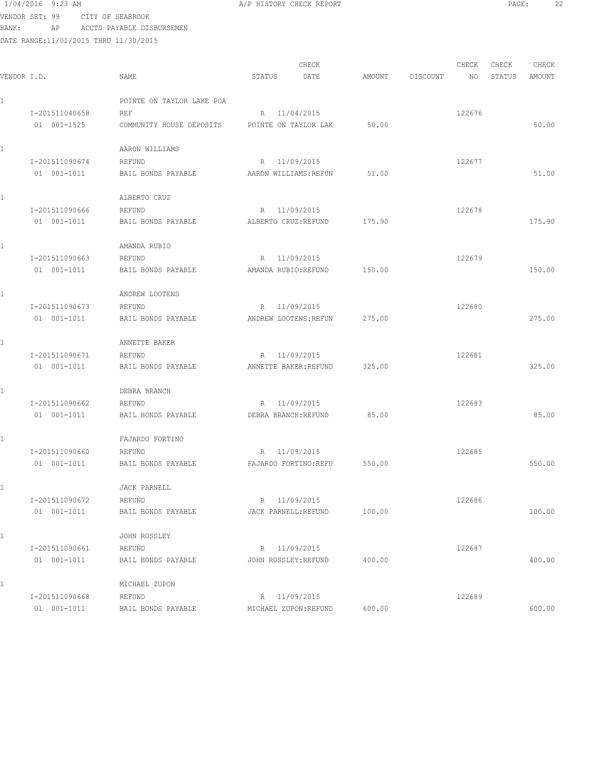### 1/04/2016 9:23 AM **A**/P HISTORY CHECK REPORT **PAGE:** 22 VENDOR SET: 99 CITY OF SEABROOK

BANK: AP ACCTS PAYABLE DISBURSEMEN

|             |                |                           |                      | CHECK                 |        |          | CHECK  | CHECK  | CHECK  |
|-------------|----------------|---------------------------|----------------------|-----------------------|--------|----------|--------|--------|--------|
| VENDOR I.D. |                | NAME                      | STATUS               | DATE                  | AMOUNT | DISCOUNT | NO     | STATUS | AMOUNT |
|             |                | POINTE ON TAYLOR LAKE POA |                      |                       |        |          |        |        |        |
|             | I-201511040658 | REF                       |                      | R 11/04/2015          |        |          | 122676 |        |        |
|             | 01 001-1525    | COMMUNITY HOUSE DEPOSITS  |                      | POINTE ON TAYLOR LAK  | 50.00  |          |        |        | 50.00  |
|             |                | AARON WILLIAMS            |                      |                       |        |          |        |        |        |
|             | I-201511090674 | REFUND                    |                      | R 11/09/2015          |        |          | 122677 |        |        |
|             | 01 001-1011    | BAIL BONDS PAYABLE        |                      | AARON WILLIAMS: REFUN | 51.00  |          |        |        | 51.00  |
|             |                | ALBERTO CRUZ              |                      |                       |        |          |        |        |        |
|             | I-201511090666 | REFUND                    |                      | R 11/09/2015          |        |          | 122678 |        |        |
|             | 01 001-1011    | BAIL BONDS PAYABLE        | ALBERTO CRUZ: REFUND |                       | 175.90 |          |        |        | 175.90 |
|             |                | AMANDA RUBIO              |                      |                       |        |          |        |        |        |
|             | I-201511090663 | REFUND                    |                      | R 11/09/2015          |        |          | 122679 |        |        |
|             | 01 001-1011    | BAIL BONDS PAYABLE        | AMANDA RUBIO:REFUND  |                       | 150.00 |          |        |        | 150.00 |
|             |                | ANDREW LOOTENS            |                      |                       |        |          |        |        |        |
|             | I-201511090673 | REFUND                    |                      | R 11/09/2015          |        |          | 122680 |        |        |
|             | 01 001-1011    | BAIL BONDS PAYABLE        |                      | ANDREW LOOTENS: REFUN | 275.00 |          |        |        | 275.00 |
|             |                | ANNETTE BAKER             |                      |                       |        |          |        |        |        |
|             | I-201511090671 | REFUND                    |                      | R 11/09/2015          |        |          | 122681 |        |        |
|             | 01 001-1011    | BAIL BONDS PAYABLE        |                      | ANNETTE BAKER: REFUND | 325.00 |          |        |        | 325.00 |
|             |                | DEBRA BRANCH              |                      |                       |        |          |        |        |        |
|             | I-201511090662 | REFUND                    |                      | R 11/09/2015          |        |          | 122683 |        |        |
|             | 01 001-1011    | BAIL BONDS PAYABLE        | DEBRA BRANCH: REFUND |                       | 85.00  |          |        |        | 85.00  |
|             |                | FAJARDO FORTINO           |                      |                       |        |          |        |        |        |
|             | I-201511090660 | REFUND                    |                      | R 11/09/2015          |        |          | 122685 |        |        |
|             | 01 001-1011    | BAIL BONDS PAYABLE        |                      | FAJARDO FORTINO: REFU | 550.00 |          |        |        | 550.00 |
|             |                | <b>JACK PARNELL</b>       |                      |                       |        |          |        |        |        |
|             | I-201511090672 | REFUND                    |                      | R 11/09/2015          |        |          | 122686 |        |        |
|             | 01 001-1011    | BAIL BONDS PAYABLE        | JACK PARNELL: REFUND |                       | 100.00 |          |        |        | 100.00 |
|             |                | JOHN ROSSLEY              |                      |                       |        |          |        |        |        |
|             | I-201511090661 | REFUND                    |                      | R 11/09/2015          |        |          | 122687 |        |        |
|             | 01 001-1011    | BAIL BONDS PAYABLE        | JOHN ROSSLEY: REFUND |                       | 400.00 |          |        |        | 400.00 |
| 1           |                | MICHAEL ZUPON             |                      |                       |        |          |        |        |        |
|             | I-201511090668 | REFUND                    |                      | R 11/09/2015          |        |          | 122689 |        |        |
|             | 01 001-1011    | BAIL BONDS PAYABLE        |                      | MICHAEL ZUPON: REFUND | 600.00 |          |        |        | 600.00 |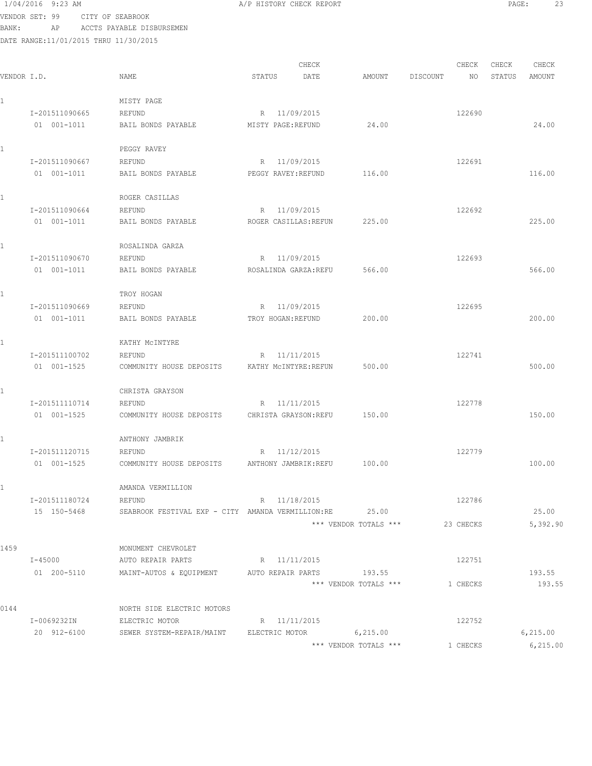1/04/2016 9:23 AM **A/P HISTORY CHECK REPORT PAGE:** 23 VENDOR SET: 99 CITY OF SEABROOK

BANK: AP ACCTS PAYABLE DISBURSEMEN

| VENDOR I.D. |                            | NAME                                                                               | CHECK<br>STATUS<br>DATE | AMOUNT                | CHECK<br>DISCOUNT | CHECK<br>NO<br>STATUS | CHECK<br>AMOUNT   |
|-------------|----------------------------|------------------------------------------------------------------------------------|-------------------------|-----------------------|-------------------|-----------------------|-------------------|
|             |                            | MISTY PAGE                                                                         |                         |                       |                   |                       |                   |
|             | I-201511090665             | REFUND                                                                             | R 11/09/2015            |                       |                   | 122690                |                   |
|             | 01 001-1011                | BAIL BONDS PAYABLE                                                                 | MISTY PAGE:REFUND       | 24.00                 |                   |                       | 24.00             |
|             |                            | PEGGY RAVEY                                                                        |                         |                       |                   |                       |                   |
|             | I-201511090667             | REFUND                                                                             | R 11/09/2015            |                       |                   | 122691                |                   |
|             | 01 001-1011                | BAIL BONDS PAYABLE                                                                 | PEGGY RAVEY: REFUND     | 116.00                |                   |                       | 116.00            |
|             |                            | ROGER CASILLAS                                                                     |                         |                       |                   |                       |                   |
|             | I-201511090664             | REFUND                                                                             | R 11/09/2015            |                       |                   | 122692                |                   |
|             | 01 001-1011                | BAIL BONDS PAYABLE                                                                 | ROGER CASILLAS: REFUN   | 225.00                |                   |                       | 225.00            |
|             |                            | ROSALINDA GARZA                                                                    |                         |                       |                   |                       |                   |
|             | I-201511090670             | REFUND                                                                             | R 11/09/2015            |                       |                   | 122693                |                   |
|             | 01 001-1011                | BAIL BONDS PAYABLE                                                                 | ROSALINDA GARZA: REFU   | 566.00                |                   |                       | 566.00            |
|             |                            | TROY HOGAN                                                                         |                         |                       |                   |                       |                   |
|             | I-201511090669             | REFUND                                                                             | R 11/09/2015            |                       |                   | 122695                |                   |
|             | 01 001-1011                | BAIL BONDS PAYABLE                                                                 | TROY HOGAN: REFUND      | 200.00                |                   |                       | 200.00            |
|             |                            | KATHY MCINTYRE                                                                     |                         |                       |                   |                       |                   |
|             | I-201511100702             | REFUND                                                                             | R 11/11/2015            |                       |                   | 122741                |                   |
|             | 01 001-1525                | COMMUNITY HOUSE DEPOSITS                                                           | KATHY MCINTYRE: REFUN   | 500.00                |                   |                       | 500.00            |
|             |                            | CHRISTA GRAYSON                                                                    |                         |                       |                   |                       |                   |
|             | I-201511110714             | REFUND                                                                             | R 11/11/2015            |                       |                   | 122778                |                   |
|             | 01 001-1525                | COMMUNITY HOUSE DEPOSITS                                                           | CHRISTA GRAYSON: REFU   | 150.00                |                   |                       | 150.00            |
|             |                            | ANTHONY JAMBRIK                                                                    |                         |                       |                   |                       |                   |
|             | I-201511120715             | REFUND                                                                             | 11/12/2015<br>R         |                       |                   | 122779                |                   |
|             | 01 001-1525                | COMMUNITY HOUSE DEPOSITS                                                           | ANTHONY JAMBRIK:REFU    | 100.00                |                   |                       | 100.00            |
|             |                            | AMANDA VERMILLION                                                                  |                         |                       |                   |                       |                   |
|             | I-201511180724             | REFUND                                                                             | R 11/18/2015            |                       | 122786            |                       |                   |
|             | 15 150-5468                | SEABROOK FESTIVAL EXP - CITY AMANDA VERMILLION:RE 25.00                            |                         | *** VENDOR TOTALS *** | 23 CHECKS         |                       | 25.00<br>5,392.90 |
|             |                            |                                                                                    |                         |                       |                   |                       |                   |
| 1459        |                            | MONUMENT CHEVROLET                                                                 |                         |                       |                   |                       |                   |
|             | $I - 45000$<br>01 200-5110 | AUTO REPAIR PARTS R 11/11/2015<br>MAINT-AUTOS & EQUIPMENT AUTO REPAIR PARTS 193.55 |                         |                       | 122751            |                       | 193.55            |
|             |                            |                                                                                    |                         | *** VENDOR TOTALS *** | 1 CHECKS          |                       | 193.55            |
| 0144        |                            | NORTH SIDE ELECTRIC MOTORS                                                         |                         |                       |                   |                       |                   |
|             | I-0069232IN                | ELECTRIC MOTOR                                                                     | R 11/11/2015            |                       | 122752            |                       |                   |
|             | 20 912-6100                | SEWER SYSTEM-REPAIR/MAINT ELECTRIC MOTOR 6,215.00                                  |                         |                       |                   |                       | 6,215.00          |
|             |                            |                                                                                    |                         | *** VENDOR TOTALS *** | 1 CHECKS          |                       | 6, 215.00         |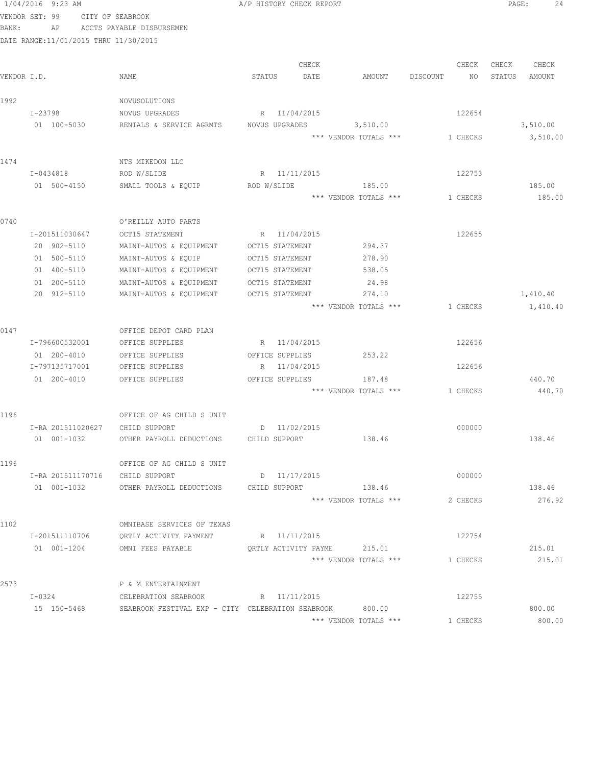|                |                                                                                                                                                                                                     |                                                                                                                                                                                                                                                                                                                                                                                                                                                                              |        |                                                                                                                                                                                                                                                                                                                                                                               |                                                                                                                                                                                                                                                                       |                                                                                                              | PAGE:                                                                                                                                   | 24               |
|----------------|-----------------------------------------------------------------------------------------------------------------------------------------------------------------------------------------------------|------------------------------------------------------------------------------------------------------------------------------------------------------------------------------------------------------------------------------------------------------------------------------------------------------------------------------------------------------------------------------------------------------------------------------------------------------------------------------|--------|-------------------------------------------------------------------------------------------------------------------------------------------------------------------------------------------------------------------------------------------------------------------------------------------------------------------------------------------------------------------------------|-----------------------------------------------------------------------------------------------------------------------------------------------------------------------------------------------------------------------------------------------------------------------|--------------------------------------------------------------------------------------------------------------|-----------------------------------------------------------------------------------------------------------------------------------------|------------------|
|                |                                                                                                                                                                                                     |                                                                                                                                                                                                                                                                                                                                                                                                                                                                              |        |                                                                                                                                                                                                                                                                                                                                                                               |                                                                                                                                                                                                                                                                       |                                                                                                              |                                                                                                                                         |                  |
| AP             |                                                                                                                                                                                                     |                                                                                                                                                                                                                                                                                                                                                                                                                                                                              |        |                                                                                                                                                                                                                                                                                                                                                                               |                                                                                                                                                                                                                                                                       |                                                                                                              |                                                                                                                                         |                  |
|                |                                                                                                                                                                                                     |                                                                                                                                                                                                                                                                                                                                                                                                                                                                              |        |                                                                                                                                                                                                                                                                                                                                                                               |                                                                                                                                                                                                                                                                       |                                                                                                              |                                                                                                                                         |                  |
|                |                                                                                                                                                                                                     |                                                                                                                                                                                                                                                                                                                                                                                                                                                                              |        |                                                                                                                                                                                                                                                                                                                                                                               |                                                                                                                                                                                                                                                                       |                                                                                                              |                                                                                                                                         |                  |
|                |                                                                                                                                                                                                     |                                                                                                                                                                                                                                                                                                                                                                                                                                                                              |        |                                                                                                                                                                                                                                                                                                                                                                               |                                                                                                                                                                                                                                                                       |                                                                                                              |                                                                                                                                         | CHECK            |
|                |                                                                                                                                                                                                     |                                                                                                                                                                                                                                                                                                                                                                                                                                                                              |        |                                                                                                                                                                                                                                                                                                                                                                               |                                                                                                                                                                                                                                                                       |                                                                                                              |                                                                                                                                         | AMOUNT           |
|                |                                                                                                                                                                                                     |                                                                                                                                                                                                                                                                                                                                                                                                                                                                              |        |                                                                                                                                                                                                                                                                                                                                                                               |                                                                                                                                                                                                                                                                       |                                                                                                              |                                                                                                                                         |                  |
|                |                                                                                                                                                                                                     |                                                                                                                                                                                                                                                                                                                                                                                                                                                                              |        |                                                                                                                                                                                                                                                                                                                                                                               |                                                                                                                                                                                                                                                                       |                                                                                                              |                                                                                                                                         |                  |
| 01 100-5030    | RENTALS & SERVICE AGRMTS                                                                                                                                                                            |                                                                                                                                                                                                                                                                                                                                                                                                                                                                              |        |                                                                                                                                                                                                                                                                                                                                                                               |                                                                                                                                                                                                                                                                       |                                                                                                              |                                                                                                                                         | 3,510.00         |
|                |                                                                                                                                                                                                     |                                                                                                                                                                                                                                                                                                                                                                                                                                                                              |        |                                                                                                                                                                                                                                                                                                                                                                               |                                                                                                                                                                                                                                                                       |                                                                                                              |                                                                                                                                         | 3,510.00         |
|                |                                                                                                                                                                                                     |                                                                                                                                                                                                                                                                                                                                                                                                                                                                              |        |                                                                                                                                                                                                                                                                                                                                                                               |                                                                                                                                                                                                                                                                       |                                                                                                              |                                                                                                                                         |                  |
|                | NTS MIKEDON LLC                                                                                                                                                                                     |                                                                                                                                                                                                                                                                                                                                                                                                                                                                              |        |                                                                                                                                                                                                                                                                                                                                                                               |                                                                                                                                                                                                                                                                       |                                                                                                              |                                                                                                                                         |                  |
| I-0434818      | ROD W/SLIDE                                                                                                                                                                                         |                                                                                                                                                                                                                                                                                                                                                                                                                                                                              |        |                                                                                                                                                                                                                                                                                                                                                                               |                                                                                                                                                                                                                                                                       | 122753                                                                                                       |                                                                                                                                         |                  |
| 01 500-4150    | SMALL TOOLS & EQUIP                                                                                                                                                                                 |                                                                                                                                                                                                                                                                                                                                                                                                                                                                              |        | 185.00                                                                                                                                                                                                                                                                                                                                                                        |                                                                                                                                                                                                                                                                       |                                                                                                              |                                                                                                                                         | 185.00           |
|                |                                                                                                                                                                                                     |                                                                                                                                                                                                                                                                                                                                                                                                                                                                              |        |                                                                                                                                                                                                                                                                                                                                                                               |                                                                                                                                                                                                                                                                       |                                                                                                              |                                                                                                                                         | 185.00           |
|                |                                                                                                                                                                                                     |                                                                                                                                                                                                                                                                                                                                                                                                                                                                              |        |                                                                                                                                                                                                                                                                                                                                                                               |                                                                                                                                                                                                                                                                       |                                                                                                              |                                                                                                                                         |                  |
|                |                                                                                                                                                                                                     |                                                                                                                                                                                                                                                                                                                                                                                                                                                                              |        |                                                                                                                                                                                                                                                                                                                                                                               |                                                                                                                                                                                                                                                                       |                                                                                                              |                                                                                                                                         |                  |
|                |                                                                                                                                                                                                     |                                                                                                                                                                                                                                                                                                                                                                                                                                                                              |        |                                                                                                                                                                                                                                                                                                                                                                               |                                                                                                                                                                                                                                                                       |                                                                                                              |                                                                                                                                         |                  |
|                |                                                                                                                                                                                                     |                                                                                                                                                                                                                                                                                                                                                                                                                                                                              |        |                                                                                                                                                                                                                                                                                                                                                                               |                                                                                                                                                                                                                                                                       |                                                                                                              |                                                                                                                                         |                  |
|                |                                                                                                                                                                                                     |                                                                                                                                                                                                                                                                                                                                                                                                                                                                              |        |                                                                                                                                                                                                                                                                                                                                                                               |                                                                                                                                                                                                                                                                       |                                                                                                              |                                                                                                                                         |                  |
|                |                                                                                                                                                                                                     |                                                                                                                                                                                                                                                                                                                                                                                                                                                                              |        |                                                                                                                                                                                                                                                                                                                                                                               |                                                                                                                                                                                                                                                                       |                                                                                                              |                                                                                                                                         |                  |
| 20 912-5110    |                                                                                                                                                                                                     |                                                                                                                                                                                                                                                                                                                                                                                                                                                                              |        | 274.10                                                                                                                                                                                                                                                                                                                                                                        |                                                                                                                                                                                                                                                                       |                                                                                                              |                                                                                                                                         | 1,410.40         |
|                |                                                                                                                                                                                                     |                                                                                                                                                                                                                                                                                                                                                                                                                                                                              |        |                                                                                                                                                                                                                                                                                                                                                                               |                                                                                                                                                                                                                                                                       |                                                                                                              |                                                                                                                                         | 1,410.40         |
|                |                                                                                                                                                                                                     |                                                                                                                                                                                                                                                                                                                                                                                                                                                                              |        |                                                                                                                                                                                                                                                                                                                                                                               |                                                                                                                                                                                                                                                                       |                                                                                                              |                                                                                                                                         |                  |
|                | OFFICE DEPOT CARD PLAN                                                                                                                                                                              |                                                                                                                                                                                                                                                                                                                                                                                                                                                                              |        |                                                                                                                                                                                                                                                                                                                                                                               |                                                                                                                                                                                                                                                                       |                                                                                                              |                                                                                                                                         |                  |
| I-796600532001 | OFFICE SUPPLIES                                                                                                                                                                                     |                                                                                                                                                                                                                                                                                                                                                                                                                                                                              |        |                                                                                                                                                                                                                                                                                                                                                                               |                                                                                                                                                                                                                                                                       | 122656                                                                                                       |                                                                                                                                         |                  |
| 01 200-4010    | OFFICE SUPPLIES                                                                                                                                                                                     |                                                                                                                                                                                                                                                                                                                                                                                                                                                                              |        | 253.22                                                                                                                                                                                                                                                                                                                                                                        |                                                                                                                                                                                                                                                                       |                                                                                                              |                                                                                                                                         |                  |
| I-797135717001 | OFFICE SUPPLIES                                                                                                                                                                                     |                                                                                                                                                                                                                                                                                                                                                                                                                                                                              |        |                                                                                                                                                                                                                                                                                                                                                                               |                                                                                                                                                                                                                                                                       | 122656                                                                                                       |                                                                                                                                         |                  |
| 01 200-4010    | OFFICE SUPPLIES                                                                                                                                                                                     |                                                                                                                                                                                                                                                                                                                                                                                                                                                                              |        | 187.48                                                                                                                                                                                                                                                                                                                                                                        |                                                                                                                                                                                                                                                                       |                                                                                                              |                                                                                                                                         | 440.70           |
|                |                                                                                                                                                                                                     |                                                                                                                                                                                                                                                                                                                                                                                                                                                                              |        |                                                                                                                                                                                                                                                                                                                                                                               |                                                                                                                                                                                                                                                                       |                                                                                                              |                                                                                                                                         | 440.70           |
|                |                                                                                                                                                                                                     |                                                                                                                                                                                                                                                                                                                                                                                                                                                                              |        |                                                                                                                                                                                                                                                                                                                                                                               |                                                                                                                                                                                                                                                                       |                                                                                                              |                                                                                                                                         |                  |
|                |                                                                                                                                                                                                     |                                                                                                                                                                                                                                                                                                                                                                                                                                                                              |        |                                                                                                                                                                                                                                                                                                                                                                               |                                                                                                                                                                                                                                                                       |                                                                                                              |                                                                                                                                         |                  |
| 01 001-1032    |                                                                                                                                                                                                     |                                                                                                                                                                                                                                                                                                                                                                                                                                                                              |        | 138.46                                                                                                                                                                                                                                                                                                                                                                        |                                                                                                                                                                                                                                                                       |                                                                                                              |                                                                                                                                         | 138.46           |
|                |                                                                                                                                                                                                     |                                                                                                                                                                                                                                                                                                                                                                                                                                                                              |        |                                                                                                                                                                                                                                                                                                                                                                               |                                                                                                                                                                                                                                                                       |                                                                                                              |                                                                                                                                         |                  |
|                | OFFICE OF AG CHILD S UNIT                                                                                                                                                                           |                                                                                                                                                                                                                                                                                                                                                                                                                                                                              |        |                                                                                                                                                                                                                                                                                                                                                                               |                                                                                                                                                                                                                                                                       |                                                                                                              |                                                                                                                                         |                  |
|                |                                                                                                                                                                                                     |                                                                                                                                                                                                                                                                                                                                                                                                                                                                              |        |                                                                                                                                                                                                                                                                                                                                                                               |                                                                                                                                                                                                                                                                       | 000000                                                                                                       |                                                                                                                                         |                  |
| 01 001-1032    | OTHER PAYROLL DEDUCTIONS                                                                                                                                                                            |                                                                                                                                                                                                                                                                                                                                                                                                                                                                              |        | 138.46                                                                                                                                                                                                                                                                                                                                                                        |                                                                                                                                                                                                                                                                       |                                                                                                              |                                                                                                                                         | 138.46           |
|                |                                                                                                                                                                                                     |                                                                                                                                                                                                                                                                                                                                                                                                                                                                              |        |                                                                                                                                                                                                                                                                                                                                                                               |                                                                                                                                                                                                                                                                       |                                                                                                              |                                                                                                                                         | 276.92           |
|                |                                                                                                                                                                                                     |                                                                                                                                                                                                                                                                                                                                                                                                                                                                              |        |                                                                                                                                                                                                                                                                                                                                                                               |                                                                                                                                                                                                                                                                       |                                                                                                              |                                                                                                                                         |                  |
|                |                                                                                                                                                                                                     |                                                                                                                                                                                                                                                                                                                                                                                                                                                                              |        |                                                                                                                                                                                                                                                                                                                                                                               |                                                                                                                                                                                                                                                                       |                                                                                                              |                                                                                                                                         |                  |
|                |                                                                                                                                                                                                     |                                                                                                                                                                                                                                                                                                                                                                                                                                                                              |        |                                                                                                                                                                                                                                                                                                                                                                               |                                                                                                                                                                                                                                                                       |                                                                                                              |                                                                                                                                         |                  |
|                |                                                                                                                                                                                                     |                                                                                                                                                                                                                                                                                                                                                                                                                                                                              |        |                                                                                                                                                                                                                                                                                                                                                                               |                                                                                                                                                                                                                                                                       |                                                                                                              |                                                                                                                                         | 215.01<br>215.01 |
|                |                                                                                                                                                                                                     |                                                                                                                                                                                                                                                                                                                                                                                                                                                                              |        |                                                                                                                                                                                                                                                                                                                                                                               |                                                                                                                                                                                                                                                                       |                                                                                                              |                                                                                                                                         |                  |
|                | P & M ENTERTAINMENT                                                                                                                                                                                 |                                                                                                                                                                                                                                                                                                                                                                                                                                                                              |        |                                                                                                                                                                                                                                                                                                                                                                               |                                                                                                                                                                                                                                                                       |                                                                                                              |                                                                                                                                         |                  |
| I-0324         | CELEBRATION SEABROOK                                                                                                                                                                                |                                                                                                                                                                                                                                                                                                                                                                                                                                                                              |        |                                                                                                                                                                                                                                                                                                                                                                               |                                                                                                                                                                                                                                                                       | 122755                                                                                                       |                                                                                                                                         |                  |
| 15 150-5468    |                                                                                                                                                                                                     |                                                                                                                                                                                                                                                                                                                                                                                                                                                                              |        | 800.00                                                                                                                                                                                                                                                                                                                                                                        |                                                                                                                                                                                                                                                                       |                                                                                                              |                                                                                                                                         | 800.00           |
|                |                                                                                                                                                                                                     |                                                                                                                                                                                                                                                                                                                                                                                                                                                                              |        |                                                                                                                                                                                                                                                                                                                                                                               |                                                                                                                                                                                                                                                                       |                                                                                                              |                                                                                                                                         | 800.00           |
|                | $1/04/2016$ 9:23 AM<br>VENDOR SET: 99<br>VENDOR I.D.<br>I-23798<br>I-201511030647<br>20 902-5110<br>01 500-5110<br>01 400-5110<br>01 200-5110<br>I-RA 201511020627<br>I-201511110706<br>01 001-1204 | CITY OF SEABROOK<br>ACCTS PAYABLE DISBURSEMEN<br>DATE RANGE:11/01/2015 THRU 11/30/2015<br>NAME<br>NOVUSOLUTIONS<br>NOVUS UPGRADES<br>O'REILLY AUTO PARTS<br>OCT15 STATEMENT<br>MAINT-AUTOS & EQUIPMENT<br>MAINT-AUTOS & EQUIP<br>MAINT-AUTOS & EQUIPMENT<br>MAINT-AUTOS & EQUIPMENT<br>MAINT-AUTOS & EQUIPMENT<br>OFFICE OF AG CHILD S UNIT<br>CHILD SUPPORT<br>I-RA 201511170716 CHILD SUPPORT<br>OMNIBASE SERVICES OF TEXAS<br>QRTLY ACTIVITY PAYMENT<br>OMNI FEES PAYABLE | STATUS | CHECK<br>DATE<br>R 11/04/2015<br>NOVUS UPGRADES<br>R 11/11/2015<br>ROD W/SLIDE<br>R 11/04/2015<br>OCT15 STATEMENT<br>OCT15 STATEMENT<br>OCT15 STATEMENT<br>OCT15 STATEMENT<br>OCT15 STATEMENT<br>R 11/04/2015<br>OFFICE SUPPLIES<br>R 11/04/2015<br>OFFICE SUPPLIES<br>D 11/02/2015<br>OTHER PAYROLL DEDUCTIONS CHILD SUPPORT<br>D 11/17/2015<br>R 11/11/2015<br>R 11/11/2015 | A/P HISTORY CHECK REPORT<br>AMOUNT<br>3,510.00<br>294.37<br>278.90<br>538.05<br>24.98<br>*** VENDOR TOTALS ***<br>*** VENDOR TOTALS ***<br>CHILD SUPPORT<br>*** VENDOR TOTALS ***<br>QRTLY ACTIVITY PAYME 215.01<br>SEABROOK FESTIVAL EXP - CITY CELEBRATION SEABROOK | DISCOUNT<br>*** VENDOR TOTALS ***<br>*** VENDOR TOTALS ***<br>*** VENDOR TOTALS ***<br>*** VENDOR TOTALS *** | CHECK<br>NO<br>122654<br>1 CHECKS<br>1 CHECKS<br>122655<br>1 CHECKS<br>1 CHECKS<br>000000<br>2 CHECKS<br>122754<br>1 CHECKS<br>1 CHECKS | CHECK<br>STATUS  |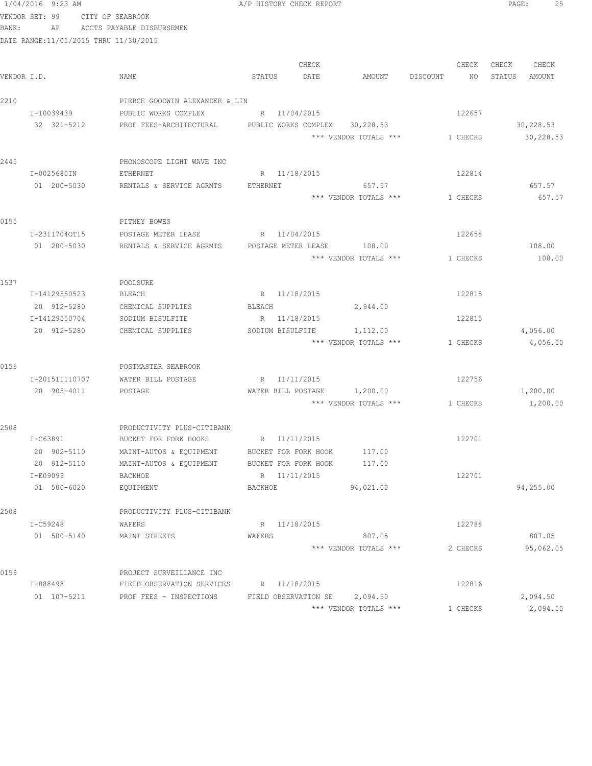|       | 1/04/2016 9:23 AM                     |                                                        | A/P HISTORY CHECK REPORT |                  |                                   |                                | $\mathtt{PAGE}$ :    | 25 |
|-------|---------------------------------------|--------------------------------------------------------|--------------------------|------------------|-----------------------------------|--------------------------------|----------------------|----|
|       | VENDOR SET: 99 CITY OF SEABROOK       |                                                        |                          |                  |                                   |                                |                      |    |
| BANK: |                                       | AP ACCTS PAYABLE DISBURSEMEN                           |                          |                  |                                   |                                |                      |    |
|       | DATE RANGE:11/01/2015 THRU 11/30/2015 |                                                        |                          |                  |                                   |                                |                      |    |
|       |                                       |                                                        |                          |                  |                                   |                                |                      |    |
|       |                                       |                                                        |                          | CHECK            |                                   | CHECK                          | CHECK<br>CHECK       |    |
|       | VENDOR I.D.                           | NAME                                                   | STATUS                   | DATE             | AMOUNT                            | DISCOUNT<br>NO                 | STATUS<br>AMOUNT     |    |
|       |                                       |                                                        |                          |                  |                                   |                                |                      |    |
| 2210  |                                       | PIERCE GOODWIN ALEXANDER & LIN                         |                          |                  |                                   |                                |                      |    |
|       | I-10039439                            | PUBLIC WORKS COMPLEX                                   | R 11/04/2015             |                  |                                   | 122657                         |                      |    |
|       | 32 321-5212                           | PROF FEES-ARCHITECTURAL PUBLIC WORKS COMPLEX 30,228.53 |                          |                  |                                   |                                | 30,228.53            |    |
|       |                                       |                                                        |                          |                  | *** VENDOR TOTALS ***             | 1 CHECKS                       | 30,228.53            |    |
|       |                                       |                                                        |                          |                  |                                   |                                |                      |    |
| 2445  |                                       | PHONOSCOPE LIGHT WAVE INC                              |                          |                  |                                   |                                |                      |    |
|       | I-0025680IN                           | ETHERNET                                               | R 11/18/2015             |                  |                                   | 122814                         |                      |    |
|       | 01 200-5030                           | RENTALS & SERVICE AGRMTS                               | ETHERNET                 |                  | 657.57                            |                                | 657.57               |    |
|       |                                       |                                                        |                          |                  | *** VENDOR TOTALS ***             | 1 CHECKS                       | 657.57               |    |
|       |                                       |                                                        |                          |                  |                                   |                                |                      |    |
| 0155  |                                       | PITNEY BOWES                                           |                          |                  |                                   |                                |                      |    |
|       | I-23117040T15                         | POSTAGE METER LEASE THE R 11/04/2015                   |                          |                  |                                   | 122658                         |                      |    |
|       | 01 200-5030                           | RENTALS & SERVICE AGRMTS  POSTAGE METER LEASE  108.00  |                          |                  |                                   |                                | 108.00               |    |
|       |                                       |                                                        |                          |                  | *** VENDOR TOTALS ***             | 1 CHECKS                       | 108.00               |    |
|       |                                       |                                                        |                          |                  |                                   |                                |                      |    |
| 1537  |                                       | POOLSURE                                               |                          |                  |                                   |                                |                      |    |
|       | I-14129550523                         | BLEACH                                                 | R 11/18/2015             |                  |                                   | 122815                         |                      |    |
|       | 20 912-5280<br>I-14129550704          | CHEMICAL SUPPLIES                                      | BLEACH<br>R 11/18/2015   |                  | 2,944.00                          | 122815                         |                      |    |
|       |                                       | SODIUM BISULFITE                                       |                          |                  |                                   |                                |                      |    |
|       | 20 912-5280                           | CHEMICAL SUPPLIES                                      |                          | SODIUM BISULFITE | 1,112.00<br>*** VENDOR TOTALS *** | 1 CHECKS                       | 4,056.00<br>4,056.00 |    |
|       |                                       |                                                        |                          |                  |                                   |                                |                      |    |
| 0156  |                                       | POSTMASTER SEABROOK                                    |                          |                  |                                   |                                |                      |    |
|       | I-201511110707                        | WATER BILL POSTAGE                                     | R 11/11/2015             |                  |                                   | 122756                         |                      |    |
|       | 20 905-4011                           | POSTAGE                                                |                          |                  | WATER BILL POSTAGE 1,200.00       |                                | 1,200.00             |    |
|       |                                       |                                                        |                          |                  |                                   | *** VENDOR TOTALS *** 1 CHECKS | 1,200.00             |    |
|       |                                       |                                                        |                          |                  |                                   |                                |                      |    |
| 2508  |                                       | PRODUCTIVITY PLUS-CITIBANK                             |                          |                  |                                   |                                |                      |    |
|       | I-C63891                              | BUCKET FOR FORK HOOKS                                  | R 11/11/2015             |                  |                                   | 122701                         |                      |    |
|       | 20 902-5110                           | MAINT-AUTOS & EQUIPMENT                                | BUCKET FOR FORK HOOK     |                  | 117.00                            |                                |                      |    |
|       | 20 912-5110                           | MAINT-AUTOS & EQUIPMENT                                | BUCKET FOR FORK HOOK     |                  | 117.00                            |                                |                      |    |
|       | I-E09099                              | BACKHOE                                                | R 11/11/2015             |                  |                                   | 122701                         |                      |    |
|       | 01 500-6020                           | EQUIPMENT                                              | BACKHOE                  |                  | 94,021.00                         |                                | 94,255.00            |    |
|       |                                       |                                                        |                          |                  |                                   |                                |                      |    |
| 2508  |                                       | PRODUCTIVITY PLUS-CITIBANK                             |                          |                  |                                   |                                |                      |    |
|       | I-C59248                              | WAFERS                                                 | R 11/18/2015             |                  |                                   | 122788                         |                      |    |
|       | 01 500-5140                           | MAINT STREETS                                          | WAFERS                   |                  | 807.05                            |                                | 807.05               |    |
|       |                                       |                                                        |                          |                  | *** VENDOR TOTALS ***             | 2 CHECKS                       | 95,062.05            |    |
|       |                                       |                                                        |                          |                  |                                   |                                |                      |    |
| 0159  |                                       | PROJECT SURVEILLANCE INC                               |                          |                  |                                   |                                |                      |    |
|       | I-888498                              | FIELD OBSERVATION SERVICES                             | R 11/18/2015             |                  |                                   | 122816                         |                      |    |
|       | 01 107-5211                           | PROF FEES - INSPECTIONS                                | FIELD OBSERVATION SE     |                  | 2,094.50                          |                                | 2,094.50             |    |
|       |                                       |                                                        |                          |                  | *** VENDOR TOTALS ***             | 1 CHECKS                       | 2,094.50             |    |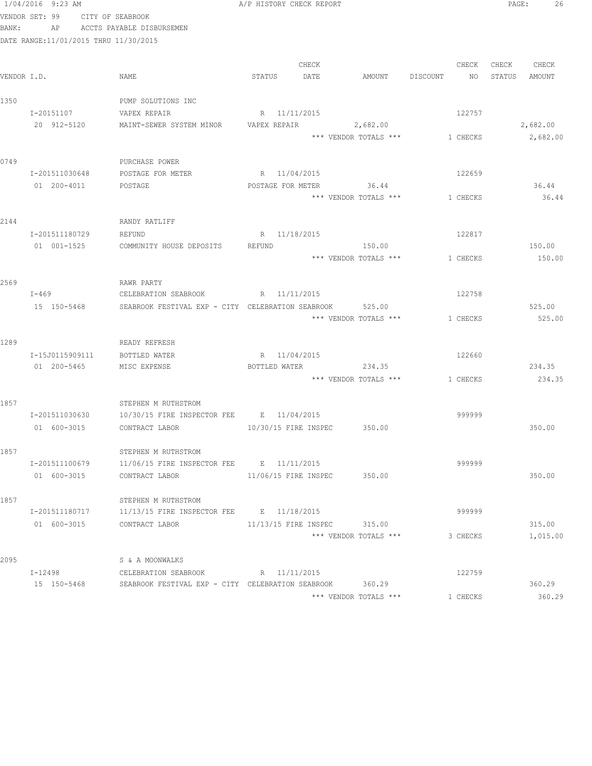|       | 1/04/2016 9:23 AM                     |                                                   | A/P HISTORY CHECK REPORT    |                      |                       |                                |        | PAGE:  | 26       |
|-------|---------------------------------------|---------------------------------------------------|-----------------------------|----------------------|-----------------------|--------------------------------|--------|--------|----------|
|       | VENDOR SET: 99                        | CITY OF SEABROOK                                  |                             |                      |                       |                                |        |        |          |
| BANK: | AP                                    | ACCTS PAYABLE DISBURSEMEN                         |                             |                      |                       |                                |        |        |          |
|       | DATE RANGE:11/01/2015 THRU 11/30/2015 |                                                   |                             |                      |                       |                                |        |        |          |
|       |                                       |                                                   |                             |                      |                       |                                |        |        |          |
|       |                                       |                                                   |                             | CHECK                |                       |                                | CHECK  | CHECK  | CHECK    |
|       | VENDOR I.D.                           | NAME                                              | STATUS                      | DATE                 | AMOUNT                | DISCOUNT                       | NO     | STATUS | AMOUNT   |
|       |                                       |                                                   |                             |                      |                       |                                |        |        |          |
| 1350  |                                       | PUMP SOLUTIONS INC                                |                             |                      |                       |                                |        |        |          |
|       | I-20151107                            | VAPEX REPAIR                                      | R 11/11/2015                |                      |                       |                                | 122757 |        |          |
|       | 20 912-5120                           | MAINT-SEWER SYSTEM MINOR                          | VAPEX REPAIR                |                      | 2,682.00              |                                |        |        | 2,682.00 |
|       |                                       |                                                   |                             |                      | *** VENDOR TOTALS *** | 1 CHECKS                       |        |        | 2,682.00 |
|       |                                       |                                                   |                             |                      |                       |                                |        |        |          |
| 0749  |                                       | PURCHASE POWER                                    |                             |                      |                       |                                |        |        |          |
|       | I-201511030648                        | POSTAGE FOR METER                                 | R 11/04/2015                |                      |                       | 122659                         |        |        |          |
|       | 01 200-4011                           | POSTAGE                                           | POSTAGE FOR METER           |                      | 36.44                 |                                |        |        | 36.44    |
|       |                                       |                                                   |                             |                      | *** VENDOR TOTALS *** | 1 CHECKS                       |        |        | 36.44    |
|       |                                       |                                                   |                             |                      |                       |                                |        |        |          |
| 2144  |                                       | RANDY RATLIFF                                     |                             |                      |                       |                                |        |        |          |
|       | I-201511180729                        | REFUND                                            | R 11/18/2015                |                      |                       |                                | 122817 |        |          |
|       | 01 001-1525                           | COMMUNITY HOUSE DEPOSITS                          | REFUND                      |                      | 150.00                |                                |        |        | 150.00   |
|       |                                       |                                                   |                             |                      | *** VENDOR TOTALS *** | 1 CHECKS                       |        |        | 150.00   |
|       |                                       |                                                   |                             |                      |                       |                                |        |        |          |
| 2569  |                                       | RAWR PARTY                                        |                             |                      |                       |                                |        |        |          |
|       | $I-469$                               | CELEBRATION SEABROOK                              |                             | R 11/11/2015         |                       |                                | 122758 |        |          |
|       | 15 150-5468                           | SEABROOK FESTIVAL EXP - CITY CELEBRATION SEABROOK |                             |                      | 525.00                |                                |        |        | 525.00   |
|       |                                       |                                                   |                             |                      | *** VENDOR TOTALS *** | 1 CHECKS                       |        |        | 525.00   |
| 1289  |                                       | READY REFRESH                                     |                             |                      |                       |                                |        |        |          |
|       | I-15J0115909111                       | BOTTLED WATER                                     | R 11/04/2015                |                      |                       | 122660                         |        |        |          |
|       | 01 200-5465                           | MISC EXPENSE                                      | BOTTLED WATER               |                      | 234.35                |                                |        |        | 234.35   |
|       |                                       |                                                   |                             |                      |                       | *** VENDOR TOTALS *** 1 CHECKS |        |        | 234.35   |
|       |                                       |                                                   |                             |                      |                       |                                |        |        |          |
| 1857  |                                       | STEPHEN M RUTHSTROM                               |                             |                      |                       |                                |        |        |          |
|       | I-201511030630                        | 10/30/15 FIRE INSPECTOR FEE B 11/04/2015          |                             |                      |                       |                                | 999999 |        |          |
|       | 01 600-3015                           | CONTRACT LABOR                                    | 10/30/15 FIRE INSPEC 350.00 |                      |                       |                                |        |        | 350.00   |
|       |                                       |                                                   |                             |                      |                       |                                |        |        |          |
| 1857  |                                       | STEPHEN M RUTHSTROM                               |                             |                      |                       |                                |        |        |          |
|       | I-201511100679                        | $11/06/15$ FIRE INSPECTOR FEE B $11/11/2015$      |                             |                      |                       |                                | 999999 |        |          |
|       | 01 600-3015                           | CONTRACT LABOR                                    |                             | 11/06/15 FIRE INSPEC | 350.00                |                                |        |        | 350.00   |
|       |                                       |                                                   |                             |                      |                       |                                |        |        |          |
| 1857  |                                       | STEPHEN M RUTHSTROM                               |                             |                      |                       |                                |        |        |          |
|       | I-201511180717                        | 11/13/15 FIRE INSPECTOR FEE B 11/18/2015          |                             |                      |                       |                                | 999999 |        |          |
|       | 01 600-3015                           | CONTRACT LABOR                                    |                             | 11/13/15 FIRE INSPEC | 315.00                |                                |        |        | 315.00   |
|       |                                       |                                                   |                             |                      | *** VENDOR TOTALS *** | 3 CHECKS                       |        |        | 1,015.00 |
|       |                                       |                                                   |                             |                      |                       |                                |        |        |          |
| 2095  |                                       | S & A MOONWALKS                                   |                             |                      |                       |                                |        |        |          |
|       | I-12498                               | CELEBRATION SEABROOK                              | R 11/11/2015                |                      |                       |                                | 122759 |        |          |
|       | 15 150-5468                           | SEABROOK FESTIVAL EXP - CITY CELEBRATION SEABROOK |                             |                      | 360.29                |                                |        |        | 360.29   |
|       |                                       |                                                   |                             |                      | *** VENDOR TOTALS *** | 1 CHECKS                       |        |        | 360.29   |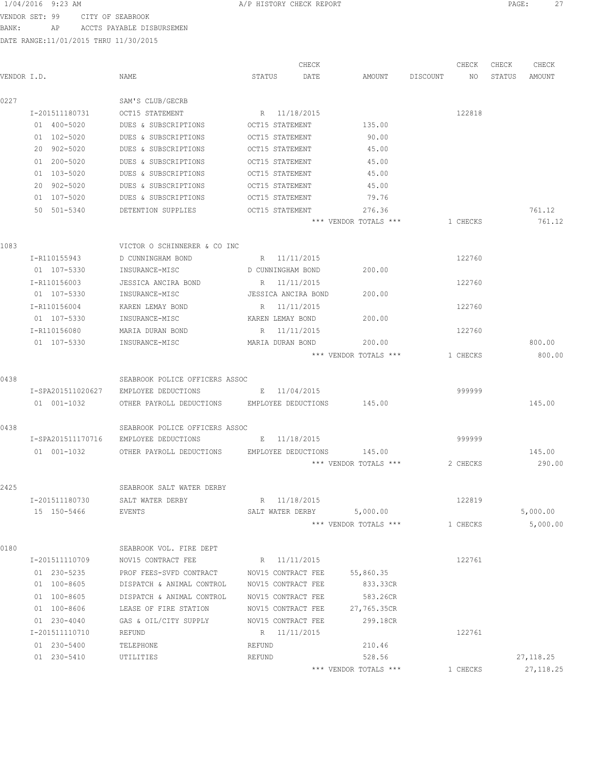VENDOR SET: 99 CITY OF SEABROOK BANK: AP ACCTS PAYABLE DISBURSEMEN

|             |                   |                                                     | CHECK                      |                       |          | CHECK    | CHECK  | CHECK      |
|-------------|-------------------|-----------------------------------------------------|----------------------------|-----------------------|----------|----------|--------|------------|
| VENDOR I.D. |                   | NAME                                                | DATE<br>STATUS             | AMOUNT                | DISCOUNT | NO       | STATUS | AMOUNT     |
| 0227        |                   | SAM'S CLUB/GECRB                                    |                            |                       |          |          |        |            |
|             | I-201511180731    | OCT15 STATEMENT                                     | R 11/18/2015               |                       |          | 122818   |        |            |
|             | 01 400-5020       | DUES & SUBSCRIPTIONS                                | OCT15 STATEMENT            | 135.00                |          |          |        |            |
|             | 01 102-5020       | DUES & SUBSCRIPTIONS                                | OCT15 STATEMENT            | 90.00                 |          |          |        |            |
|             | 20 902-5020       | DUES & SUBSCRIPTIONS                                | OCT15 STATEMENT            | 45.00                 |          |          |        |            |
|             | 01 200-5020       | DUES & SUBSCRIPTIONS                                | OCT15 STATEMENT            | 45.00                 |          |          |        |            |
|             | 01 103-5020       | DUES & SUBSCRIPTIONS                                | OCT15 STATEMENT            | 45.00                 |          |          |        |            |
|             | 20 902-5020       | DUES & SUBSCRIPTIONS                                | OCT15 STATEMENT            | 45.00                 |          |          |        |            |
|             | 01 107-5020       | DUES & SUBSCRIPTIONS                                | OCT15 STATEMENT            | 79.76                 |          |          |        |            |
|             | 50 501-5340       | DETENTION SUPPLIES                                  | OCT15 STATEMENT            | 276.36                |          |          |        | 761.12     |
|             |                   |                                                     |                            | *** VENDOR TOTALS *** |          | 1 CHECKS |        | 761.12     |
| 1083        |                   | VICTOR O SCHINNERER & CO INC                        |                            |                       |          |          |        |            |
|             | I-R110155943      | D CUNNINGHAM BOND                                   | R 11/11/2015               |                       |          | 122760   |        |            |
|             | 01 107-5330       | INSURANCE-MISC                                      | D CUNNINGHAM BOND          | 200.00                |          |          |        |            |
|             | I-R110156003      | JESSICA ANCIRA BOND                                 | R 11/11/2015               |                       |          | 122760   |        |            |
|             | 01 107-5330       | INSURANCE-MISC                                      | JESSICA ANCIRA BOND        | 200.00                |          |          |        |            |
|             | I-R110156004      | KAREN LEMAY BOND                                    | R 11/11/2015               |                       |          | 122760   |        |            |
|             | 01 107-5330       | INSURANCE-MISC                                      | KAREN LEMAY BOND           | 200.00                |          |          |        |            |
|             | I-R110156080      | MARIA DURAN BOND                                    | R 11/11/2015               |                       |          | 122760   |        |            |
|             | 01 107-5330       | INSURANCE-MISC                                      | MARIA DURAN BOND           | 200.00                |          |          |        | 800.00     |
|             |                   |                                                     |                            | *** VENDOR TOTALS *** |          | 1 CHECKS |        | 800.00     |
| 0438        |                   | SEABROOK POLICE OFFICERS ASSOC                      |                            |                       |          |          |        |            |
|             | I-SPA201511020627 | EMPLOYEE DEDUCTIONS                                 | E 11/04/2015               |                       |          | 999999   |        |            |
|             | 01 001-1032       | OTHER PAYROLL DEDUCTIONS EMPLOYEE DEDUCTIONS 145.00 |                            |                       |          |          |        | 145.00     |
| 0438        |                   | SEABROOK POLICE OFFICERS ASSOC                      |                            |                       |          |          |        |            |
|             | I-SPA201511170716 | EMPLOYEE DEDUCTIONS                                 | E 11/18/2015               |                       |          | 999999   |        |            |
|             | 01 001-1032       | OTHER PAYROLL DEDUCTIONS                            | EMPLOYEE DEDUCTIONS 145.00 |                       |          |          |        | 145.00     |
|             |                   |                                                     |                            | *** VENDOR TOTALS *** |          | 2 CHECKS |        | 290.00     |
| 2425        |                   | SEABROOK SALT WATER DERBY                           |                            |                       |          |          |        |            |
|             | I-201511180730    | SALT WATER DERBY                                    | R 11/18/2015               |                       |          | 122819   |        |            |
|             | 15 150-5466       | EVENTS                                              | SALT WATER DERBY           | 5,000.00              |          |          |        | 5,000.00   |
|             |                   |                                                     |                            | *** VENDOR TOTALS *** |          | 1 CHECKS |        | 5,000.00   |
| 0180        |                   | SEABROOK VOL. FIRE DEPT                             |                            |                       |          |          |        |            |
|             | I-201511110709    | NOV15 CONTRACT FEE                                  | R 11/11/2015               |                       |          | 122761   |        |            |
|             | 01 230-5235       | PROF FEES-SVFD CONTRACT                             | NOV15 CONTRACT FEE         | 55,860.35             |          |          |        |            |
|             | 01 100-8605       | DISPATCH & ANIMAL CONTROL                           | NOV15 CONTRACT FEE         | 833.33CR              |          |          |        |            |
|             | 01 100-8605       | DISPATCH & ANIMAL CONTROL                           | NOV15 CONTRACT FEE         | 583.26CR              |          |          |        |            |
|             | 01 100-8606       | LEASE OF FIRE STATION                               | NOV15 CONTRACT FEE         | 27,765.35CR           |          |          |        |            |
|             | 01 230-4040       | GAS & OIL/CITY SUPPLY                               | NOV15 CONTRACT FEE         | 299.18CR              |          |          |        |            |
|             | I-201511110710    | REFUND                                              | R 11/11/2015               |                       |          | 122761   |        |            |
|             | 01 230-5400       | TELEPHONE                                           | REFUND                     | 210.46                |          |          |        |            |
|             | 01 230-5410       | UTILITIES                                           | REFUND                     | 528.56                |          |          |        | 27,118.25  |
|             |                   |                                                     |                            | *** VENDOR TOTALS *** |          | 1 CHECKS |        | 27, 118.25 |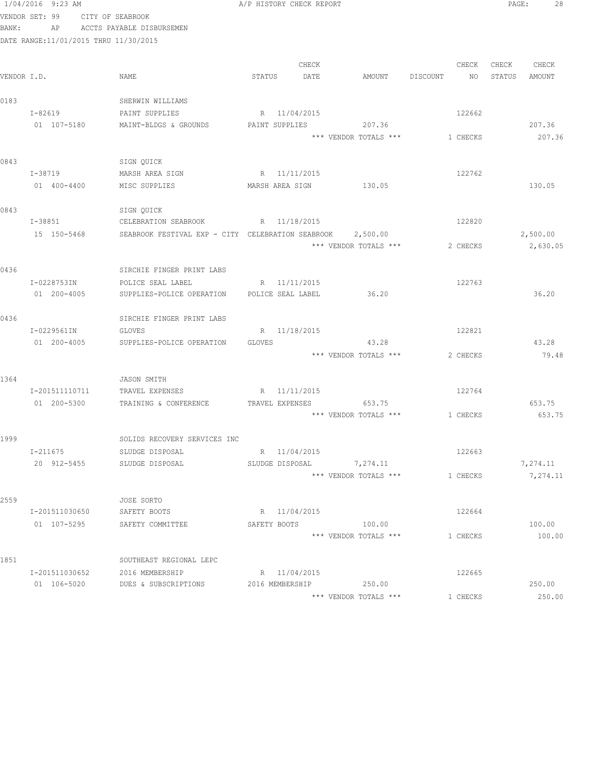|             | 1/04/2016 9:23 AM                     |                                                      | A/P HISTORY CHECK REPORT |                                 |          | PAGE:<br>28      |
|-------------|---------------------------------------|------------------------------------------------------|--------------------------|---------------------------------|----------|------------------|
|             | VENDOR SET: 99                        | CITY OF SEABROOK                                     |                          |                                 |          |                  |
| BANK:       | AP                                    | ACCTS PAYABLE DISBURSEMEN                            |                          |                                 |          |                  |
|             | DATE RANGE:11/01/2015 THRU 11/30/2015 |                                                      |                          |                                 |          |                  |
|             |                                       |                                                      |                          |                                 |          |                  |
|             |                                       |                                                      | CHECK                    |                                 | CHECK    | CHECK CHECK      |
| VENDOR I.D. |                                       | NAME                                                 | STATUS<br>DATE           | AMOUNT DISCOUNT                 | NO       | STATUS<br>AMOUNT |
| 0183        |                                       | SHERWIN WILLIAMS                                     |                          |                                 |          |                  |
|             | $I - 82619$                           | PAINT SUPPLIES                                       | R 11/04/2015             |                                 | 122662   |                  |
|             | 01 107-5180                           | MAINT-BLDGS & GROUNDS                                | PAINT SUPPLIES           | 207.36                          |          | 207.36           |
|             |                                       |                                                      |                          | *** VENDOR TOTALS *** 1 CHECKS  |          | 207.36           |
|             |                                       |                                                      |                          |                                 |          |                  |
| 0843        |                                       | SIGN QUICK                                           |                          |                                 |          |                  |
|             | $I - 38719$                           | MARSH AREA SIGN                                      | R 11/11/2015             |                                 | 122762   |                  |
|             | 01 400-4400                           | MISC SUPPLIES                                        | MARSH AREA SIGN 130.05   |                                 |          | 130.05           |
|             |                                       |                                                      |                          |                                 |          |                  |
| 0843        |                                       | SIGN QUICK                                           |                          |                                 |          |                  |
|             | I-38851                               | CELEBRATION SEABROOK                                 | R 11/18/2015             |                                 | 122820   |                  |
|             | 15 150-5468                           | SEABROOK FESTIVAL EXP - CITY CELEBRATION SEABROOK    |                          | 2,500.00                        |          | 2,500.00         |
|             |                                       |                                                      |                          | *** VENDOR TOTALS ***           | 2 CHECKS | 2,630.05         |
|             |                                       |                                                      |                          |                                 |          |                  |
| 0436        |                                       | SIRCHIE FINGER PRINT LABS                            |                          |                                 |          |                  |
|             | I-0228753IN                           | POLICE SEAL LABEL                                    | R 11/11/2015             |                                 | 122763   |                  |
|             | 01 200-4005                           | SUPPLIES-POLICE OPERATION                            | POLICE SEAL LABEL        | 36.20                           |          | 36.20            |
| 0436        |                                       |                                                      |                          |                                 |          |                  |
|             | I-0229561IN                           | SIRCHIE FINGER PRINT LABS<br>GLOVES                  | R 11/18/2015             |                                 | 122821   |                  |
|             | 01 200-4005                           | SUPPLIES-POLICE OPERATION                            | <b>GLOVES</b>            | 43.28                           |          | 43.28            |
|             |                                       |                                                      |                          | *** VENDOR TOTALS ***           | 2 CHECKS | 79.48            |
|             |                                       |                                                      |                          |                                 |          |                  |
| 1364        |                                       | JASON SMITH                                          |                          |                                 |          |                  |
|             | I-201511110711                        | TRAVEL EXPENSES                                      | R 11/11/2015             |                                 | 122764   |                  |
|             |                                       | 01  200-5300  TRAINING & CONFERENCE  TRAVEL EXPENSES |                          | 653.75                          |          | 653.75           |
|             |                                       |                                                      |                          | *** VENDOR TOTALS *** 1 CHECKS  |          | 653.75           |
|             |                                       |                                                      |                          |                                 |          |                  |
| 1999        |                                       | SOLIDS RECOVERY SERVICES INC                         |                          |                                 |          |                  |
|             | I-211675                              | SLUDGE DISPOSAL                                      | R 11/04/2015             |                                 | 122663   |                  |
|             | 20 912-5455                           | SLUDGE DISPOSAL                                      |                          | SLUDGE DISPOSAL 7,274.11        |          | 7,274.11         |
|             |                                       |                                                      |                          | *** VENDOR TOTALS ***           | 1 CHECKS | 7,274.11         |
|             |                                       |                                                      |                          |                                 |          |                  |
| 2559        |                                       | JOSE SORTO                                           |                          |                                 |          |                  |
|             | I-201511030650                        | SAFETY BOOTS                                         | R 11/04/2015             |                                 | 122664   |                  |
|             | 01 107-5295                           | SAFETY COMMITTEE                                     | SAFETY BOOTS             | 100.00<br>*** VENDOR TOTALS *** | 1 CHECKS | 100.00<br>100.00 |
|             |                                       |                                                      |                          |                                 |          |                  |
| 1851        |                                       | SOUTHEAST REGIONAL LEPC                              |                          |                                 |          |                  |
|             | I-201511030652                        | 2016 MEMBERSHIP                                      | R 11/04/2015             |                                 | 122665   |                  |
|             | 01 106-5020                           | DUES & SUBSCRIPTIONS                                 | 2016 MEMBERSHIP          | 250.00                          |          | 250.00           |
|             |                                       |                                                      |                          | *** VENDOR TOTALS ***           | 1 CHECKS | 250.00           |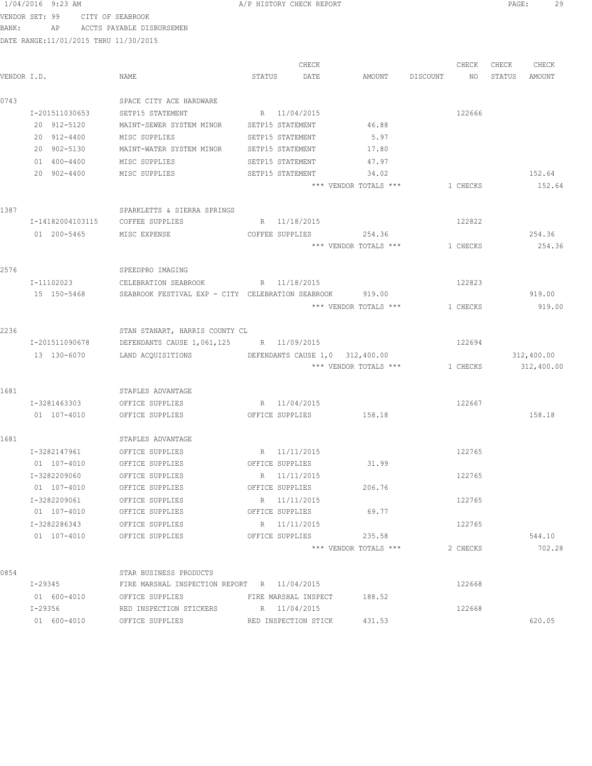|       | VENDOR SET: 99                         | CITY OF SEABROOK                                         |        |                      |                        |          |       |               |
|-------|----------------------------------------|----------------------------------------------------------|--------|----------------------|------------------------|----------|-------|---------------|
| BANK: |                                        | AP ACCTS PAYABLE DISBURSEMEN                             |        |                      |                        |          |       |               |
|       | DATE RANGE: 11/01/2015 THRU 11/30/2015 |                                                          |        |                      |                        |          |       |               |
|       |                                        |                                                          |        | CHECK                |                        | CHECK    | CHECK | CHECK         |
|       | VENDOR I.D.                            | NAME                                                     | STATUS | DATE                 | AMOUNT DISCOUNT        | NO       |       | STATUS AMOUNT |
|       |                                        |                                                          |        |                      |                        |          |       |               |
| 0743  |                                        | SPACE CITY ACE HARDWARE                                  |        |                      |                        |          |       |               |
|       | I-201511030653                         | SETP15 STATEMENT                                         |        | R 11/04/2015         |                        | 122666   |       |               |
|       | 20 912-5120                            | MAINT-SEWER SYSTEM MINOR SETP15 STATEMENT                |        |                      | 46.88                  |          |       |               |
|       | 20 912-4400                            | MISC SUPPLIES                                            |        | SETP15 STATEMENT     | 5.97                   |          |       |               |
|       | 20 902-5130                            | MAINT-WATER SYSTEM MINOR SETP15 STATEMENT                |        |                      | 17.80                  |          |       |               |
|       | 01 400-4400                            | MISC SUPPLIES                                            |        | SETP15 STATEMENT     | 47.97                  |          |       |               |
|       | 20 902-4400                            | MISC SUPPLIES                                            |        | SETP15 STATEMENT     | 34.02                  |          |       | 152.64        |
|       |                                        |                                                          |        |                      | *** VENDOR TOTALS ***  | 1 CHECKS |       | 152.64        |
| 1387  |                                        | SPARKLETTS & SIERRA SPRINGS                              |        |                      |                        |          |       |               |
|       | I-14182004103115                       | COFFEE SUPPLIES                                          |        | R 11/18/2015         |                        | 122822   |       |               |
|       | 01 200-5465                            | MISC EXPENSE                                             |        | COFFEE SUPPLIES      | 254.36                 |          |       | 254.36        |
|       |                                        |                                                          |        |                      | *** VENDOR TOTALS ***  | 1 CHECKS |       | 254.36        |
| 2576  |                                        | SPEEDPRO IMAGING                                         |        |                      |                        |          |       |               |
|       | I-11102023                             | CELEBRATION SEABROOK B R 11/18/2015                      |        |                      |                        | 122823   |       |               |
|       | 15 150-5468                            | SEABROOK FESTIVAL EXP - CITY CELEBRATION SEABROOK 919.00 |        |                      |                        |          |       | 919.00        |
|       |                                        |                                                          |        |                      | *** VENDOR TOTALS ***  | 1 CHECKS |       | 919.00        |
|       |                                        |                                                          |        |                      |                        |          |       |               |
| 2236  |                                        | STAN STANART, HARRIS COUNTY CL                           |        |                      |                        |          |       |               |
|       | I-201511090678                         | DEFENDANTS CAUSE 1,061,125 R 11/09/2015                  |        |                      |                        | 122694   |       |               |
|       | 13 130-6070                            | LAND ACQUISITIONS DEFENDANTS CAUSE 1,0 312,400.00        |        |                      |                        |          |       | 312,400.00    |
|       |                                        |                                                          |        |                      | *** VENDOR TOTALS ***  | 1 CHECKS |       | 312,400.00    |
| 1681  |                                        | STAPLES ADVANTAGE                                        |        |                      |                        |          |       |               |
|       | I-3281463303                           | OFFICE SUPPLIES                                          |        | R 11/04/2015         |                        | 122667   |       |               |
|       | 01 107-4010                            | OFFICE SUPPLIES                                          |        |                      | OFFICE SUPPLIES 158.18 |          |       | 158.18        |
| 1681  |                                        | STAPLES ADVANTAGE                                        |        |                      |                        |          |       |               |
|       | I-3282147961                           | OFFICE SUPPLIES                                          |        | R 11/11/2015         |                        | 122765   |       |               |
|       | 01 107-4010                            | OFFICE SUPPLIES                                          |        | OFFICE SUPPLIES      | 31.99                  |          |       |               |
|       | I-3282209060                           | OFFICE SUPPLIES                                          |        | R 11/11/2015         |                        | 122765   |       |               |
|       | 01 107-4010                            | OFFICE SUPPLIES                                          |        | OFFICE SUPPLIES      | 206.76                 |          |       |               |
|       | I-3282209061                           | OFFICE SUPPLIES                                          |        | R 11/11/2015         |                        | 122765   |       |               |
|       | 01 107-4010                            | OFFICE SUPPLIES                                          |        | OFFICE SUPPLIES      | 69.77                  |          |       |               |
|       | I-3282286343                           | OFFICE SUPPLIES                                          |        | R 11/11/2015         |                        | 122765   |       |               |
|       | 01 107-4010                            | OFFICE SUPPLIES                                          |        | OFFICE SUPPLIES      | 235.58                 |          |       | 544.10        |
|       |                                        |                                                          |        |                      | *** VENDOR TOTALS ***  | 2 CHECKS |       | 702.28        |
| 0854  |                                        | STAR BUSINESS PRODUCTS                                   |        |                      |                        |          |       |               |
|       | I-29345                                | FIRE MARSHAL INSPECTION REPORT R 11/04/2015              |        |                      |                        | 122668   |       |               |
|       | 01 600-4010                            | OFFICE SUPPLIES                                          |        | FIRE MARSHAL INSPECT | 188.52                 |          |       |               |
|       | I-29356                                | RED INSPECTION STICKERS                                  |        | R 11/04/2015         |                        | 122668   |       |               |
|       | 01 600-4010                            | OFFICE SUPPLIES                                          |        | RED INSPECTION STICK | 431.53                 |          |       | 620.05        |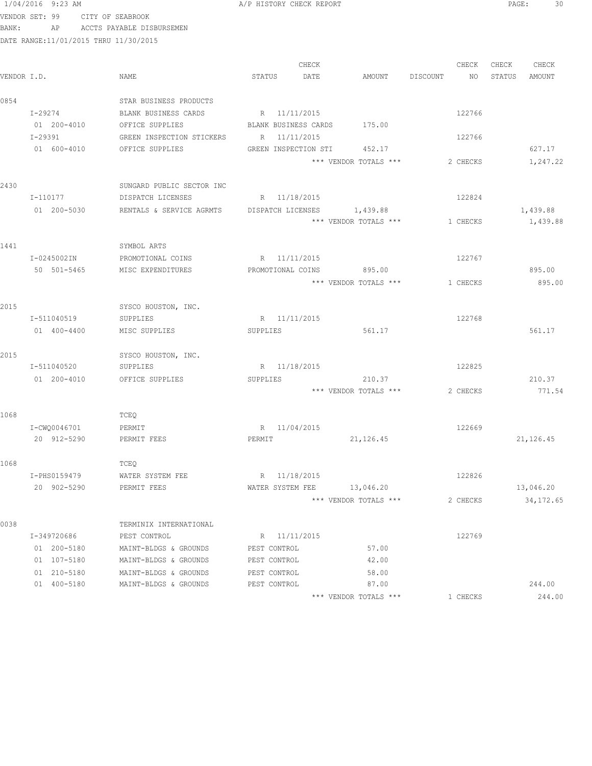|             | 1/04/2016 9:23 AM                     |                                                     | A/P HISTORY CHECK REPORT         |                                |                          | PAGE:<br>30                  |
|-------------|---------------------------------------|-----------------------------------------------------|----------------------------------|--------------------------------|--------------------------|------------------------------|
|             | VENDOR SET: 99 CITY OF SEABROOK       |                                                     |                                  |                                |                          |                              |
|             |                                       | BANK: AP ACCTS PAYABLE DISBURSEMEN                  |                                  |                                |                          |                              |
|             | DATE RANGE:11/01/2015 THRU 11/30/2015 |                                                     |                                  |                                |                          |                              |
|             |                                       |                                                     |                                  |                                |                          |                              |
| VENDOR I.D. |                                       | NAME                                                | CHECK<br>STATUS DATE             | AMOUNT DISCOUNT                | CHECK<br>NO <sub>1</sub> | CHECK CHECK<br>STATUS AMOUNT |
|             |                                       |                                                     |                                  |                                |                          |                              |
| 0854        |                                       | STAR BUSINESS PRODUCTS                              |                                  |                                |                          |                              |
|             | I-29274                               | BLANK BUSINESS CARDS                                | R 11/11/2015                     |                                | 122766                   |                              |
|             |                                       | 01 200-4010 OFFICE SUPPLIES                         | BLANK BUSINESS CARDS 175.00      |                                |                          |                              |
|             | I-29391                               | GREEN INSPECTION STICKERS                           | R 11/11/2015                     |                                | 122766                   |                              |
|             | 01 600-4010                           | OFFICE SUPPLIES                                     | GREEN INSPECTION STI             | 452.17                         |                          | 627.17                       |
|             |                                       |                                                     |                                  | *** VENDOR TOTALS ***          | 2 CHECKS                 | 1,247.22                     |
|             |                                       |                                                     |                                  |                                |                          |                              |
| 2430        |                                       | SUNGARD PUBLIC SECTOR INC                           |                                  |                                |                          |                              |
|             | I-110177                              | DISPATCH LICENSES                                   | R 11/18/2015                     |                                | 122824                   |                              |
|             | 01 200-5030                           | RENTALS & SERVICE AGRMTS DISPATCH LICENSES 1,439.88 |                                  |                                |                          | 1,439.88                     |
|             |                                       |                                                     |                                  | *** VENDOR TOTALS *** 1 CHECKS |                          | 1,439.88                     |
|             |                                       |                                                     |                                  |                                |                          |                              |
| 1441        |                                       | SYMBOL ARTS                                         |                                  |                                |                          |                              |
|             | I-0245002IN                           | PROMOTIONAL COINS                                   | R 11/11/2015                     |                                | 122767                   |                              |
|             | 50 501-5465                           | MISC EXPENDITURES                                   |                                  | PROMOTIONAL COINS 895.00       |                          | 895.00                       |
|             |                                       |                                                     |                                  | *** VENDOR TOTALS ***          | 1 CHECKS                 | 895.00                       |
|             |                                       |                                                     |                                  |                                |                          |                              |
| 2015        |                                       | SYSCO HOUSTON, INC.                                 |                                  |                                |                          |                              |
|             | I-511040519                           | SUPPLIES                                            | R 11/11/2015                     |                                | 122768                   |                              |
|             | 01 400-4400                           | MISC SUPPLIES                                       | SUPPLIES                         | 561.17                         |                          | 561.17                       |
|             |                                       |                                                     |                                  |                                |                          |                              |
| 2015        |                                       | SYSCO HOUSTON, INC.                                 |                                  |                                |                          |                              |
|             | I-511040520                           | SUPPLIES                                            | R 11/18/2015                     |                                | 122825                   |                              |
|             | 01 200-4010                           | OFFICE SUPPLIES                                     | SUPPLIES                         | 210.37                         |                          | 210.37                       |
|             |                                       |                                                     |                                  | *** VENDOR TOTALS ***          | 2 CHECKS                 | 771.54                       |
|             |                                       |                                                     |                                  |                                |                          |                              |
| 1068        |                                       | TCEQ                                                |                                  |                                |                          |                              |
|             | I-CWQ0046701 PERMIT                   |                                                     | R 11/04/2015                     |                                | 122669                   |                              |
|             | 20 912-5290                           | PERMIT FEES                                         | PERMIT                           | 21, 126.45                     |                          | 21, 126.45                   |
| 1068        |                                       |                                                     |                                  |                                |                          |                              |
|             |                                       | TCEQ                                                |                                  |                                |                          |                              |
|             | I-PHS0159479<br>20 902-5290           | WATER SYSTEM FEE<br>PERMIT FEES                     | R 11/18/2015<br>WATER SYSTEM FEE | 13,046.20                      | 122826                   | 13,046.20                    |
|             |                                       |                                                     |                                  | *** VENDOR TOTALS ***          | 2 CHECKS                 | 34, 172.65                   |
|             |                                       |                                                     |                                  |                                |                          |                              |
| 0038        |                                       | TERMINIX INTERNATIONAL                              |                                  |                                |                          |                              |
|             | I-349720686                           | PEST CONTROL                                        | R 11/11/2015                     |                                | 122769                   |                              |
|             | 01 200-5180                           | MAINT-BLDGS & GROUNDS                               | PEST CONTROL                     | 57.00                          |                          |                              |
|             | 01 107-5180                           | MAINT-BLDGS & GROUNDS                               | PEST CONTROL                     | 42.00                          |                          |                              |
|             | 01 210-5180                           | MAINT-BLDGS & GROUNDS                               | PEST CONTROL                     | 58.00                          |                          |                              |
|             | 01 400-5180                           | MAINT-BLDGS & GROUNDS                               | PEST CONTROL                     | 87.00                          |                          | 244.00                       |
|             |                                       |                                                     |                                  |                                |                          |                              |

\*\*\* VENDOR TOTALS \*\*\* 1 CHECKS 244.00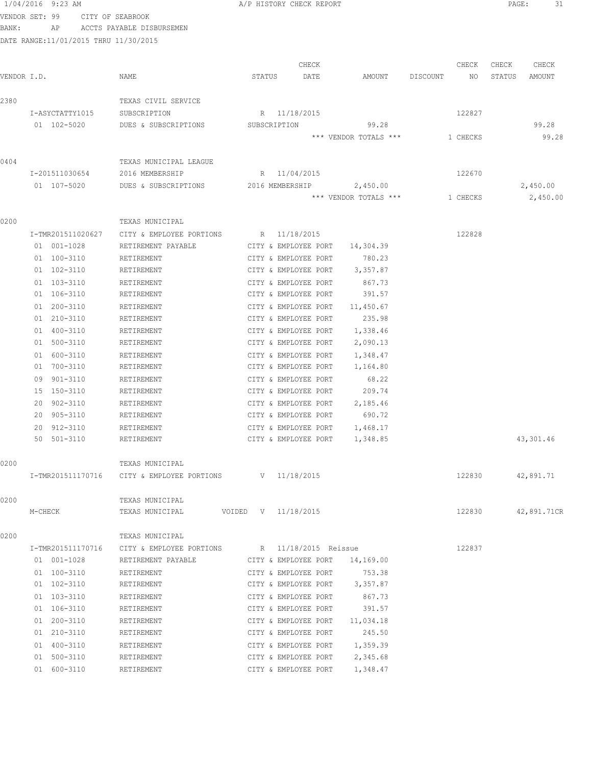|             | 1/04/2016 9:23 AM                      |                                                         | A/P HISTORY CHECK REPORT                      |                                   |                | 31<br>PAGE:           |
|-------------|----------------------------------------|---------------------------------------------------------|-----------------------------------------------|-----------------------------------|----------------|-----------------------|
|             | VENDOR SET: 99<br>CITY OF SEABROOK     |                                                         |                                               |                                   |                |                       |
| BANK:       | AP                                     | ACCTS PAYABLE DISBURSEMEN                               |                                               |                                   |                |                       |
|             | DATE RANGE: 11/01/2015 THRU 11/30/2015 |                                                         |                                               |                                   |                |                       |
|             |                                        |                                                         |                                               |                                   |                |                       |
|             |                                        |                                                         | CHECK                                         |                                   | CHECK          | CHECK<br>CHECK        |
| VENDOR I.D. |                                        | NAME                                                    | STATUS<br>DATE                                | AMOUNT                            | DISCOUNT<br>NO | STATUS<br>AMOUNT      |
| 2380        |                                        | TEXAS CIVIL SERVICE                                     |                                               |                                   |                |                       |
|             | I-ASYCTATTY1015                        | SUBSCRIPTION                                            | R 11/18/2015                                  |                                   | 122827         |                       |
|             | 01 102-5020                            | DUES & SUBSCRIPTIONS                                    | SUBSCRIPTION                                  | 99.28                             |                | 99.28                 |
|             |                                        |                                                         |                                               | *** VENDOR TOTALS ***             | 1 CHECKS       | 99.28                 |
|             |                                        |                                                         |                                               |                                   |                |                       |
| 0404        | I-201511030654                         | TEXAS MUNICIPAL LEAGUE<br>2016 MEMBERSHIP               | R 11/04/2015                                  |                                   | 122670         |                       |
|             |                                        |                                                         |                                               |                                   |                |                       |
|             | 01 107-5020                            | DUES & SUBSCRIPTIONS                                    | 2016 MEMBERSHIP                               | 2,450.00<br>*** VENDOR TOTALS *** |                | 2,450.00<br>2,450.00  |
|             |                                        |                                                         |                                               |                                   | 1 CHECKS       |                       |
| 0200        |                                        | TEXAS MUNICIPAL                                         |                                               |                                   |                |                       |
|             | I-TMR201511020627                      | CITY & EMPLOYEE PORTIONS                                | R 11/18/2015                                  |                                   | 122828         |                       |
|             | $01 001 - 1028$                        | RETIREMENT PAYABLE                                      | CITY & EMPLOYEE PORT                          | 14,304.39                         |                |                       |
|             | 01 100-3110                            | RETIREMENT                                              | CITY & EMPLOYEE PORT                          | 780.23                            |                |                       |
|             | 01 102-3110                            | RETIREMENT                                              | CITY & EMPLOYEE PORT                          | 3,357.87                          |                |                       |
|             | 01 103-3110                            | RETIREMENT                                              | CITY & EMPLOYEE PORT                          | 867.73                            |                |                       |
|             | 01 106-3110                            | RETIREMENT                                              | CITY & EMPLOYEE PORT                          | 391.57                            |                |                       |
|             | 01 200-3110                            | RETIREMENT                                              | CITY & EMPLOYEE PORT                          | 11,450.67                         |                |                       |
|             | 01 210-3110                            | RETIREMENT                                              | CITY & EMPLOYEE PORT                          | 235.98                            |                |                       |
|             | 01 400-3110                            | RETIREMENT                                              | CITY & EMPLOYEE PORT                          | 1,338.46                          |                |                       |
|             | 01 500-3110                            | RETIREMENT                                              | CITY & EMPLOYEE PORT                          | 2,090.13                          |                |                       |
|             | 01 600-3110                            | RETIREMENT                                              | CITY & EMPLOYEE PORT                          | 1,348.47                          |                |                       |
|             | 01 700-3110                            | RETIREMENT                                              | CITY & EMPLOYEE PORT                          | 1,164.80                          |                |                       |
|             | 09 901-3110                            | RETIREMENT                                              | CITY & EMPLOYEE PORT                          | 68.22                             |                |                       |
|             | 15 150-3110                            | RETIREMENT                                              | CITY & EMPLOYEE PORT                          | 209.74                            |                |                       |
|             | $902 - 3110$<br>20                     | RETIREMENT                                              | CITY & EMPLOYEE PORT                          | 2,185.46                          |                |                       |
|             | 905-3110<br>20                         | RETIREMENT                                              | CITY & EMPLOYEE PORT                          | 690.72                            |                |                       |
|             | 20 912-3110                            | RETIREMENT                                              | CITY & EMPLOYEE PORT                          | 1,468.17                          |                |                       |
|             | 50 501-3110                            | RETIREMENT                                              | CITY & EMPLOYEE PORT 1,348.85                 |                                   |                | 43,301.46             |
| 0200        |                                        | TEXAS MUNICIPAL                                         |                                               |                                   |                |                       |
|             |                                        | I-TMR201511170716 CITY & EMPLOYEE PORTIONS V 11/18/2015 |                                               |                                   |                | 122830<br>42,891.71   |
| 0200        |                                        | TEXAS MUNICIPAL                                         |                                               |                                   |                |                       |
|             | M-CHECK                                | TEXAS MUNICIPAL                                         | VOIDED V 11/18/2015                           |                                   |                | 122830<br>42,891.71CR |
|             |                                        |                                                         |                                               |                                   |                |                       |
| 0200        |                                        | TEXAS MUNICIPAL                                         |                                               |                                   |                |                       |
|             | I-TMR201511170716                      |                                                         | CITY & EMPLOYEE PORTIONS R 11/18/2015 Reissue |                                   | 122837         |                       |
|             | 01 001-1028                            | RETIREMENT PAYABLE                                      | CITY & EMPLOYEE PORT                          | 14,169.00                         |                |                       |
|             | 01 100-3110                            | RETIREMENT                                              | CITY & EMPLOYEE PORT                          | 753.38                            |                |                       |
|             | 01 102-3110                            | RETIREMENT                                              | CITY & EMPLOYEE PORT                          | 3,357.87                          |                |                       |
|             | 01 103-3110                            | RETIREMENT                                              | CITY & EMPLOYEE PORT                          | 867.73                            |                |                       |
|             | 01 106-3110                            | RETIREMENT                                              | CITY & EMPLOYEE PORT                          | 391.57                            |                |                       |
|             | 01 200-3110                            | RETIREMENT                                              | CITY & EMPLOYEE PORT                          | 11,034.18                         |                |                       |
|             | 01 210-3110                            | RETIREMENT                                              | CITY & EMPLOYEE PORT                          | 245.50                            |                |                       |
|             | 01 400-3110                            | RETIREMENT                                              | CITY & EMPLOYEE PORT                          | 1,359.39                          |                |                       |
|             | 01 500-3110                            | RETIREMENT                                              | CITY & EMPLOYEE PORT                          | 2,345.68                          |                |                       |

01 600-3110 RETIREMENT CITY & EMPLOYEE PORT 1,348.47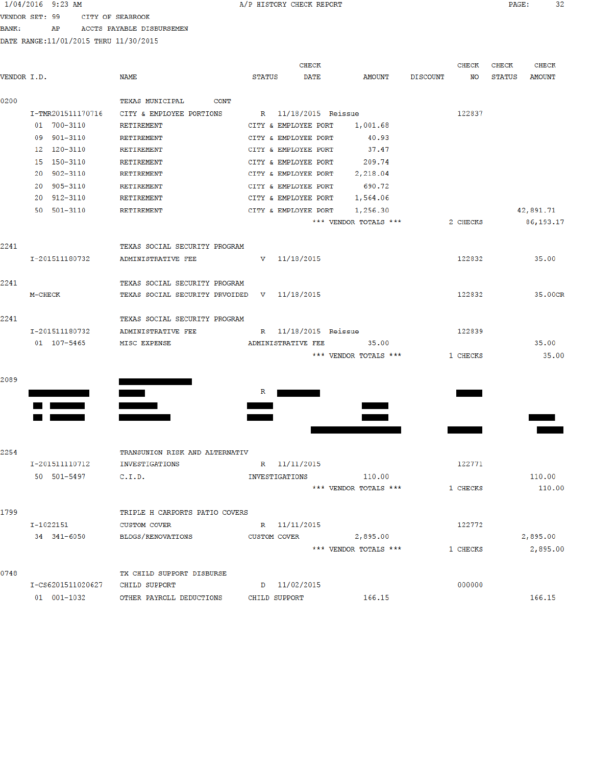### 1/04/2016 9:23 AM

A/P HISTORY CHECK REPORT

PAGE: 32

VENDOR SET: 99 CITY OF SEABROOK BANK: AP ACCTS PAYABLE DISBURSEMEN

|             |                                 |                                                    |               | <b>CHECK</b>         |                       |                 | CHECK    | <b>CHECK</b>  | <b>CHECK</b>  |
|-------------|---------------------------------|----------------------------------------------------|---------------|----------------------|-----------------------|-----------------|----------|---------------|---------------|
| VENDOR I.D. |                                 | NAME                                               | <b>STATUS</b> | <b>DATE</b>          | AMOUNT                | <b>DISCOUNT</b> | NO       | <b>STATUS</b> | <b>AMOUNT</b> |
| 0200        |                                 | <b>TEXAS MUNICIPAL</b><br>CONT                     |               |                      |                       |                 |          |               |               |
|             | I-TMR201511170716               | CITY & EMPLOYEE PORTIONS                           |               | R 11/18/2015 Reissue |                       |                 | 122837   |               |               |
|             | 01 700-3110                     | <b>RETIREMENT</b>                                  |               | CITY & EMPLOYEE PORT | 1,001.68              |                 |          |               |               |
|             | 09 901-3110                     | <b>RETIREMENT</b>                                  |               | CITY & EMPLOYEE PORT | 40.93                 |                 |          |               |               |
|             | 12 120-3110                     | <b>RETIREMENT</b>                                  |               | CITY & EMPLOYEE PORT | 37.47                 |                 |          |               |               |
|             | 15 150-3110                     | RETIREMENT                                         |               | CITY & EMPLOYEE PORT | 209.74                |                 |          |               |               |
|             | 20 902-3110                     | RETIREMENT                                         |               | CITY & EMPLOYEE PORT | 2,218.04              |                 |          |               |               |
|             | 20 905-3110                     | <b>RETIREMENT</b>                                  |               | CITY & EMPLOYEE PORT | 690.72                |                 |          |               |               |
|             | 20 912-3110                     | RETIREMENT                                         |               | CITY & EMPLOYEE PORT | 1,564.06              |                 |          |               |               |
|             | 50 501-3110                     | RETIREMENT                                         |               | CITY & EMPLOYEE PORT | 1,256.30              |                 |          |               | 42,891.71     |
|             |                                 |                                                    |               |                      | *** VENDOR TOTALS *** |                 | 2 CHECKS |               | 86, 193. 17   |
| 2241        |                                 | TEXAS SOCIAL SECURITY PROGRAM                      |               |                      |                       |                 |          |               |               |
|             | I-201511180732                  | ADMINISTRATIVE FEE                                 |               | $V = 11/18/2015$     |                       |                 | 122832   |               | 35.00         |
| 2241        |                                 | TEXAS SOCIAL SECURITY PROGRAM                      |               |                      |                       |                 |          |               |               |
|             | M-CHECK                         | TEXAS SOCIAL SECURITY PRVOIDED V 11/18/2015        |               |                      |                       |                 | 122832   |               | 35,00CR       |
| 2241        |                                 | TEXAS SOCIAL SECURITY PROGRAM                      |               |                      |                       |                 |          |               |               |
|             | I-201511180732                  | ADMINISTRATIVE FEE                                 |               | R 11/18/2015 Reissue |                       |                 | 122839   |               |               |
|             | 01 107-5465                     | MISC EXPENSE                                       |               | ADMINISTRATIVE FEE   | 35.00                 |                 |          |               | 35.00         |
|             |                                 |                                                    |               |                      | *** VENDOR TOTALS *** |                 | 1 CHECKS |               | 35.00         |
| 2089        |                                 |                                                    |               |                      |                       |                 |          |               |               |
|             |                                 |                                                    | $\mathbf R$   |                      |                       |                 |          |               |               |
|             |                                 |                                                    |               |                      |                       |                 |          |               |               |
|             |                                 |                                                    |               |                      |                       |                 |          |               |               |
|             |                                 |                                                    |               |                      |                       |                 |          |               |               |
| 2254        |                                 | TRANSUNION RISK AND ALTERNATIV                     |               |                      |                       |                 |          |               |               |
|             | I-201511110712                  | <b>INVESTIGATIONS</b>                              |               | R 11/11/2015         |                       |                 | 122771   |               |               |
|             | 50 501-5497                     | C.I.D.                                             |               | INVESTIGATIONS       | 110.00                |                 |          |               | 110.00        |
|             |                                 |                                                    |               |                      | *** VENDOR TOTALS *** |                 | 1 CHECKS |               | 110.00        |
| 1799        |                                 | TRIPLE H CARPORTS PATIO COVERS                     |               |                      |                       |                 |          |               |               |
|             | I-1022151                       | <b>CUSTOM COVER</b>                                |               | R 11/11/2015         |                       |                 | 122772   |               |               |
|             | 34 341-6050                     | <b>BLDGS/RENOVATIONS</b>                           | CUSTOM COVER  |                      | 2,895.00              |                 |          |               | 2,895.00      |
|             |                                 |                                                    |               |                      | *** VENDOR TOTALS *** |                 | 1 CHECKS |               | 2,895.00      |
| 0748        |                                 | TX CHILD SUPPORT DISBURSE                          |               |                      |                       |                 |          |               |               |
|             | I-CS6201511020627 CHILD SUPPORT |                                                    |               | D 11/02/2015         |                       |                 | 000000   |               |               |
|             |                                 | 01 001-1032 OPHER PAYROLL DEDICTIONS CHILD SUPPORT |               |                      | 166 15                |                 |          |               | 166 15        |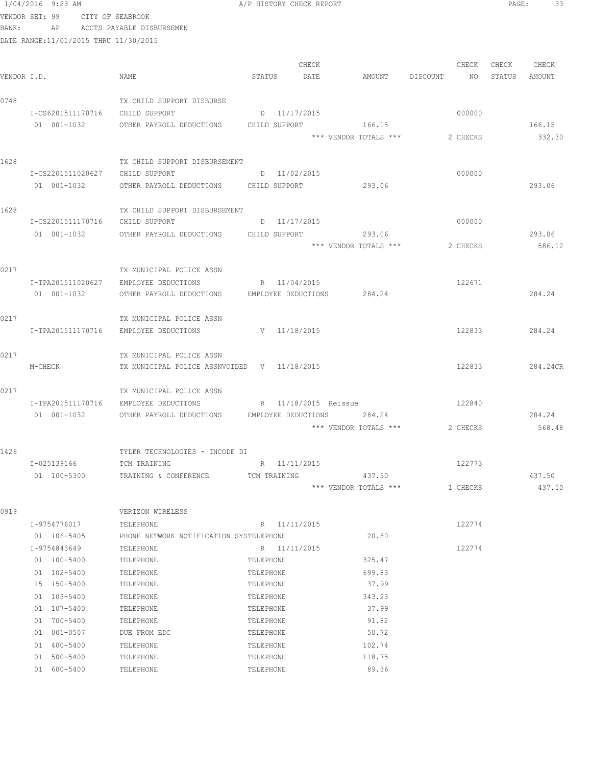|             | 1/04/2016 9:23 AM                     |                                                                                              | A/P HISTORY CHECK REPORT   |       |                       |          |          | PAGE: | 33            |  |
|-------------|---------------------------------------|----------------------------------------------------------------------------------------------|----------------------------|-------|-----------------------|----------|----------|-------|---------------|--|
|             | VENDOR SET: 99 CITY OF SEABROOK       |                                                                                              |                            |       |                       |          |          |       |               |  |
| BANK:       |                                       | AP ACCTS PAYABLE DISBURSEMEN                                                                 |                            |       |                       |          |          |       |               |  |
|             | DATE RANGE:11/01/2015 THRU 11/30/2015 |                                                                                              |                            |       |                       |          |          |       |               |  |
|             |                                       |                                                                                              |                            |       |                       |          |          |       |               |  |
|             |                                       |                                                                                              |                            | CHECK |                       |          | CHECK    | CHECK | CHECK         |  |
| VENDOR I.D. |                                       | NAME                                                                                         | STATUS                     | DATE  | AMOUNT                | DISCOUNT | NO       |       | STATUS AMOUNT |  |
| 0748        |                                       |                                                                                              |                            |       |                       |          |          |       |               |  |
|             | I-CS6201511170716 CHILD SUPPORT       | TX CHILD SUPPORT DISBURSE                                                                    | D 11/17/2015               |       |                       |          | 000000   |       |               |  |
|             | 01 001-1032                           | OTHER PAYROLL DEDUCTIONS CHILD SUPPORT                                                       |                            |       | 166.15                |          |          |       | 166.15        |  |
|             |                                       |                                                                                              |                            |       | *** VENDOR TOTALS *** |          | 2 CHECKS |       | 332.30        |  |
|             |                                       |                                                                                              |                            |       |                       |          |          |       |               |  |
| 1628        |                                       | TX CHILD SUPPORT DISBURSEMENT                                                                |                            |       |                       |          |          |       |               |  |
|             | I-CS2201511020627                     | CHILD SUPPORT                                                                                | D 11/02/2015               |       |                       |          | 000000   |       |               |  |
|             | 01 001-1032                           | OTHER PAYROLL DEDUCTIONS CHILD SUPPORT                                                       |                            |       | 293.06                |          |          |       | 293.06        |  |
|             |                                       |                                                                                              |                            |       |                       |          |          |       |               |  |
| 1628        |                                       | TX CHILD SUPPORT DISBURSEMENT                                                                |                            |       |                       |          |          |       |               |  |
|             | I-CS2201511170716 CHILD SUPPORT       |                                                                                              | D 11/17/2015               |       |                       |          | 000000   |       |               |  |
|             | 01 001-1032                           | OTHER PAYROLL DEDUCTIONS CHILD SUPPORT 600 293.06                                            |                            |       |                       |          |          |       | 293.06        |  |
|             |                                       |                                                                                              |                            |       | *** VENDOR TOTALS *** |          | 2 CHECKS |       | 586.12        |  |
| 0217        |                                       | TX MUNICIPAL POLICE ASSN                                                                     |                            |       |                       |          |          |       |               |  |
|             | I-TPA201511020627                     | EMPLOYEE DEDUCTIONS                                                                          | R 11/04/2015               |       |                       |          | 122671   |       |               |  |
|             | 01 001-1032                           | OTHER PAYROLL DEDUCTIONS                                                                     | EMPLOYEE DEDUCTIONS 284.24 |       |                       |          |          |       | 284.24        |  |
|             |                                       |                                                                                              |                            |       |                       |          |          |       |               |  |
| 0217        |                                       | TX MUNICIPAL POLICE ASSN                                                                     |                            |       |                       |          |          |       |               |  |
|             | I-TPA201511170716                     | EMPLOYEE DEDUCTIONS                                                                          | V 11/18/2015               |       |                       |          | 122833   |       | 284.24        |  |
|             |                                       |                                                                                              |                            |       |                       |          |          |       |               |  |
| 0217        |                                       | TX MUNICIPAL POLICE ASSN                                                                     |                            |       |                       |          |          |       |               |  |
|             | M-CHECK                               | TX MUNICIPAL POLICE ASSNVOIDED V 11/18/2015                                                  |                            |       |                       |          | 122833   |       | 284.24CR      |  |
|             |                                       |                                                                                              |                            |       |                       |          |          |       |               |  |
| 0217        |                                       | TX MUNICIPAL POLICE ASSN                                                                     |                            |       |                       |          |          |       |               |  |
|             | 01 001-1032                           | I-TPA201511170716 EMPLOYEE DEDUCTIONS<br>OTHER PAYROLL DEDUCTIONS EMPLOYEE DEDUCTIONS 284.24 | R 11/18/2015 Reissue       |       |                       |          | 122840   |       | 284.24        |  |
|             |                                       |                                                                                              |                            |       | *** VENDOR TOTALS *** |          | 2 CHECKS |       | 568.48        |  |
|             |                                       |                                                                                              |                            |       |                       |          |          |       |               |  |
| 1426        |                                       | TYLER TECHNOLOGIES - INCODE DI                                                               |                            |       |                       |          |          |       |               |  |
|             | I-025139166                           | TCM TRAINING                                                                                 | R 11/11/2015               |       |                       |          | 122773   |       |               |  |
|             | 01 100-5300                           | TRAINING & CONFERENCE                                                                        | TCM TRAINING               |       | 437.50                |          |          |       | 437.50        |  |
|             |                                       |                                                                                              |                            |       | *** VENDOR TOTALS *** |          | 1 CHECKS |       | 437.50        |  |
|             |                                       |                                                                                              |                            |       |                       |          |          |       |               |  |
| 0919        |                                       | VERIZON WIRELESS                                                                             |                            |       |                       |          |          |       |               |  |
|             | I-9754776017                          | TELEPHONE                                                                                    | R 11/11/2015               |       |                       |          | 122774   |       |               |  |
|             | 01 106-5405                           | PHONE NETWORK NOTIFICATION SYSTELEPHONE                                                      |                            |       | 20.80                 |          |          |       |               |  |
|             | I-9754843649                          | TELEPHONE                                                                                    | R 11/11/2015               |       |                       |          | 122774   |       |               |  |
|             | 01 100-5400                           | TELEPHONE                                                                                    | TELEPHONE                  |       | 325.47                |          |          |       |               |  |
|             | 01 102-5400                           | TELEPHONE                                                                                    | TELEPHONE                  |       | 699.83                |          |          |       |               |  |
|             | 15 150-5400                           | TELEPHONE                                                                                    | TELEPHONE                  |       | 37.99                 |          |          |       |               |  |
|             | 01 103-5400                           | TELEPHONE                                                                                    | TELEPHONE                  |       | 343.23                |          |          |       |               |  |
|             | 01 107-5400                           | TELEPHONE                                                                                    | TELEPHONE                  |       | 37.99                 |          |          |       |               |  |
|             | 01 700-5400                           | TELEPHONE                                                                                    | TELEPHONE                  |       | 91.82                 |          |          |       |               |  |
|             | 01 001-0507                           | DUE FROM EDC                                                                                 | TELEPHONE                  |       | 50.72                 |          |          |       |               |  |
|             | 01 400-5400<br>01 500-5400            | TELEPHONE<br>TELEPHONE                                                                       | TELEPHONE<br>TELEPHONE     |       | 102.74<br>118.75      |          |          |       |               |  |
|             | 01 600-5400                           | TELEPHONE                                                                                    | TELEPHONE                  |       | 89.36                 |          |          |       |               |  |
|             |                                       |                                                                                              |                            |       |                       |          |          |       |               |  |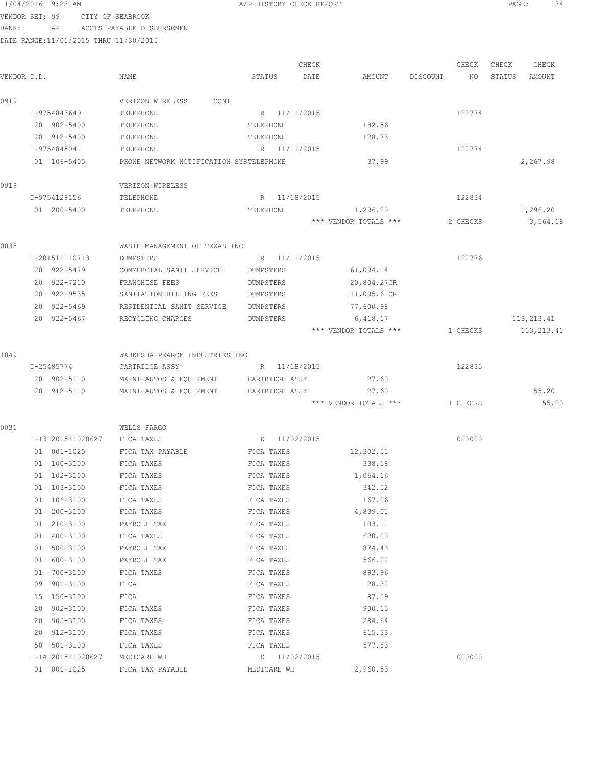VENDOR SET: 99 CITY OF SEABROOK BANK: AP ACCTS PAYABLE DISBURSEMEN

| VENDOR I.D. |                   | NAME                                    | STATUS         | CHECK<br>DATE | AMOUNT                | DISCOUNT | CHECK<br>NO | CHECK<br>STATUS | CHECK<br>AMOUNT |
|-------------|-------------------|-----------------------------------------|----------------|---------------|-----------------------|----------|-------------|-----------------|-----------------|
|             |                   |                                         |                |               |                       |          |             |                 |                 |
| 0919        |                   | VERIZON WIRELESS<br>CONT                |                |               |                       |          |             |                 |                 |
|             | I-9754843649      | TELEPHONE                               | R 11/11/2015   |               |                       |          | 122774      |                 |                 |
|             | 20 902-5400       | TELEPHONE                               | TELEPHONE      |               | 182.56                |          |             |                 |                 |
|             | 20 912-5400       | TELEPHONE                               | TELEPHONE      |               | 128.73                |          |             |                 |                 |
|             | I-9754845041      | TELEPHONE                               | R 11/11/2015   |               |                       |          | 122774      |                 |                 |
|             | 01 106-5405       | PHONE NETWORK NOTIFICATION SYSTELEPHONE |                |               | 37.99                 |          |             |                 | 2,267.98        |
| 0919        |                   | VERIZON WIRELESS                        |                |               |                       |          |             |                 |                 |
|             | I-9754129156      | TELEPHONE                               | R 11/18/2015   |               |                       |          | 122834      |                 |                 |
|             | 01 200-5400       | TELEPHONE                               | TELEPHONE      |               | 1,296.20              |          |             |                 | 1,296.20        |
|             |                   |                                         |                |               | *** VENDOR TOTALS *** |          | 2 CHECKS    |                 | 3,564.18        |
| 0035        |                   | WASTE MANAGEMENT OF TEXAS INC           |                |               |                       |          |             |                 |                 |
|             | I-201511110713    | <b>DUMPSTERS</b>                        | R 11/11/2015   |               |                       |          | 122776      |                 |                 |
|             | 20 922-5479       | COMMERCIAL SANIT SERVICE                | DUMPSTERS      |               | 61,094.14             |          |             |                 |                 |
|             | 20 922-7210       | FRANCHISE FEES                          | DUMPSTERS      |               | 20,804.27CR           |          |             |                 |                 |
|             | 20 922-9535       | SANITATION BILLING FEES                 | DUMPSTERS      |               | 11,095.61CR           |          |             |                 |                 |
|             | 20 922-5469       | RESIDENTIAL SANIT SERVICE               | DUMPSTERS      |               | 77,600.98             |          |             |                 |                 |
|             | 20 922-5467       | RECYCLING CHARGES                       | DUMPSTERS      |               | 6,418.17              |          |             |                 | 113,213.41      |
|             |                   |                                         |                |               | *** VENDOR TOTALS *** |          | 1 CHECKS    |                 | 113, 213.41     |
|             |                   |                                         |                |               |                       |          |             |                 |                 |
| 1849        |                   | WAUKESHA-PEARCE INDUSTRIES INC          |                |               |                       |          |             |                 |                 |
|             | I-25485774        | CARTRIDGE ASSY                          | R 11/18/2015   |               |                       |          | 122835      |                 |                 |
|             | 20 902-5110       | MAINT-AUTOS & EQUIPMENT                 | CARTRIDGE ASSY |               | 27.60                 |          |             |                 |                 |
|             | 20 912-5110       | MAINT-AUTOS & EQUIPMENT                 | CARTRIDGE ASSY |               | 27.60                 |          |             |                 | 55.20           |
|             |                   |                                         |                |               | *** VENDOR TOTALS *** |          | 1 CHECKS    |                 | 55.20           |
| 0031        |                   | WELLS FARGO                             |                |               |                       |          |             |                 |                 |
|             | I-T3 201511020627 | FICA TAXES                              | D 11/02/2015   |               |                       |          | 000000      |                 |                 |
|             | 01 001-1025       | FICA TAX PAYABLE                        | FICA TAXES     |               | 12,302.51             |          |             |                 |                 |
|             | 01 100-3100       | FICA TAXES                              | FICA TAXES     |               | 338.18                |          |             |                 |                 |
|             | $01 102 - 3100$   | FICA TAXES                              | FICA TAXES     |               | 1,064.16              |          |             |                 |                 |
|             | 01 103-3100       | FICA TAXES                              | FICA TAXES     |               | 342.52                |          |             |                 |                 |
|             | 01 106-3100       | FICA TAXES                              | FICA TAXES     |               | 167.06                |          |             |                 |                 |
|             | 01 200-3100       | FICA TAXES                              | FICA TAXES     |               | 4,839.01              |          |             |                 |                 |
|             | 01 210-3100       | PAYROLL TAX                             | FICA TAXES     |               | 103.11                |          |             |                 |                 |
|             | 01 400-3100       | FICA TAXES                              | FICA TAXES     |               | 620.00                |          |             |                 |                 |
|             | 01 500-3100       | PAYROLL TAX                             | FICA TAXES     |               | 874.43                |          |             |                 |                 |
|             | 01 600-3100       | PAYROLL TAX                             | FICA TAXES     |               | 566.22                |          |             |                 |                 |
|             | 01 700-3100       | FICA TAXES                              | FICA TAXES     |               | 893.96                |          |             |                 |                 |
|             | 09 901-3100       | FICA                                    | FICA TAXES     |               | 28.32                 |          |             |                 |                 |
|             | 15 150-3100       | FICA                                    | FICA TAXES     |               | 87.59                 |          |             |                 |                 |
|             | 20 902-3100       | FICA TAXES                              | FICA TAXES     |               | 900.15                |          |             |                 |                 |
|             | 20 905-3100       | FICA TAXES                              | FICA TAXES     |               | 284.64                |          |             |                 |                 |
|             | 20 912-3100       | FICA TAXES                              | FICA TAXES     |               | 615.33                |          |             |                 |                 |
|             | 50 501-3100       | FICA TAXES                              | FICA TAXES     |               | 577.83                |          |             |                 |                 |
|             | I-T4 201511020627 | MEDICARE WH                             | D 11/02/2015   |               |                       |          | 000000      |                 |                 |
|             | 01 001-1025       | FICA TAX PAYABLE                        | MEDICARE WH    |               | 2,960.53              |          |             |                 |                 |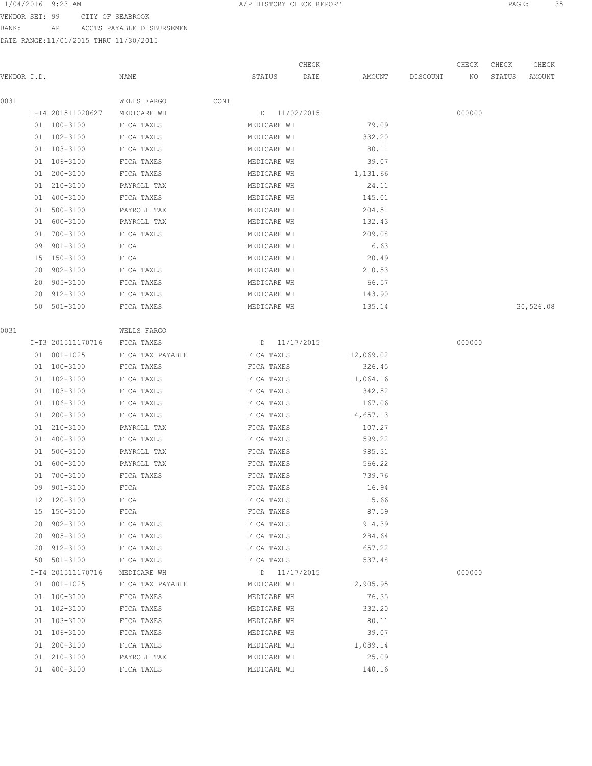VENDOR SET: 99 CITY OF SEABROOK BANK: AP ACCTS PAYABLE DISBURSEMEN

|             |    |                   |                  |      |              | CHECK |           |          | CHECK  | CHECK  | CHECK     |
|-------------|----|-------------------|------------------|------|--------------|-------|-----------|----------|--------|--------|-----------|
| VENDOR I.D. |    |                   | NAME             |      | STATUS       | DATE  | AMOUNT    | DISCOUNT | NO     | STATUS | AMOUNT    |
| 0031        |    |                   | WELLS FARGO      | CONT |              |       |           |          |        |        |           |
|             |    | I-T4 201511020627 | MEDICARE WH      |      | D 11/02/2015 |       |           |          | 000000 |        |           |
|             |    | 01 100-3100       | FICA TAXES       |      | MEDICARE WH  |       | 79.09     |          |        |        |           |
|             |    | 01 102-3100       | FICA TAXES       |      | MEDICARE WH  |       | 332.20    |          |        |        |           |
|             |    | 01 103-3100       | FICA TAXES       |      | MEDICARE WH  |       | 80.11     |          |        |        |           |
|             |    | 01 106-3100       | FICA TAXES       |      | MEDICARE WH  |       | 39.07     |          |        |        |           |
|             |    | 01 200-3100       | FICA TAXES       |      | MEDICARE WH  |       | 1,131.66  |          |        |        |           |
|             |    | 01 210-3100       | PAYROLL TAX      |      | MEDICARE WH  |       | 24.11     |          |        |        |           |
|             |    | 01 400-3100       | FICA TAXES       |      | MEDICARE WH  |       | 145.01    |          |        |        |           |
|             |    | 01 500-3100       | PAYROLL TAX      |      | MEDICARE WH  |       | 204.51    |          |        |        |           |
|             | 01 | 600-3100          | PAYROLL TAX      |      | MEDICARE WH  |       | 132.43    |          |        |        |           |
|             | 01 | 700-3100          | FICA TAXES       |      | MEDICARE WH  |       | 209.08    |          |        |        |           |
|             | 09 | 901-3100          | FICA             |      | MEDICARE WH  |       | 6.63      |          |        |        |           |
|             | 15 | 150-3100          | FICA             |      | MEDICARE WH  |       | 20.49     |          |        |        |           |
|             | 20 | 902-3100          | FICA TAXES       |      | MEDICARE WH  |       | 210.53    |          |        |        |           |
|             |    | 20 905-3100       | FICA TAXES       |      | MEDICARE WH  |       | 66.57     |          |        |        |           |
|             |    | 20 912-3100       | FICA TAXES       |      | MEDICARE WH  |       | 143.90    |          |        |        |           |
|             |    | 50 501-3100       | FICA TAXES       |      | MEDICARE WH  |       | 135.14    |          |        |        | 30,526.08 |
| 0031        |    |                   | WELLS FARGO      |      |              |       |           |          |        |        |           |
|             |    | I-T3 201511170716 | FICA TAXES       |      | D 11/17/2015 |       |           |          | 000000 |        |           |
|             |    | 01 001-1025       | FICA TAX PAYABLE |      | FICA TAXES   |       | 12,069.02 |          |        |        |           |
|             |    | 01 100-3100       | FICA TAXES       |      | FICA TAXES   |       | 326.45    |          |        |        |           |
|             |    | 01 102-3100       | FICA TAXES       |      | FICA TAXES   |       | 1,064.16  |          |        |        |           |
|             |    | 01 103-3100       | FICA TAXES       |      | FICA TAXES   |       | 342.52    |          |        |        |           |
|             |    | 01 106-3100       | FICA TAXES       |      | FICA TAXES   |       | 167.06    |          |        |        |           |
|             |    | 01 200-3100       | FICA TAXES       |      | FICA TAXES   |       | 4,657.13  |          |        |        |           |
|             |    | 01 210-3100       | PAYROLL TAX      |      | FICA TAXES   |       | 107.27    |          |        |        |           |
|             |    | 01 400-3100       | FICA TAXES       |      | FICA TAXES   |       | 599.22    |          |        |        |           |
|             |    | 01 500-3100       | PAYROLL TAX      |      | FICA TAXES   |       | 985.31    |          |        |        |           |
|             |    | 01 600-3100       | PAYROLL TAX      |      | FICA TAXES   |       | 566.22    |          |        |        |           |
|             | 01 | 700-3100          | FICA TAXES       |      | FICA TAXES   |       | 739.76    |          |        |        |           |
|             |    | 09 901-3100       | FICA             |      | FICA TAXES   |       | 16.94     |          |        |        |           |
|             |    | 12 120-3100       | FICA             |      | FICA TAXES   |       | 15.66     |          |        |        |           |
|             |    | 15 150-3100       | FICA             |      | FICA TAXES   |       | 87.59     |          |        |        |           |
|             |    | 20 902-3100       | FICA TAXES       |      | FICA TAXES   |       | 914.39    |          |        |        |           |
|             |    | 20 905-3100       | FICA TAXES       |      | FICA TAXES   |       | 284.64    |          |        |        |           |
|             |    | 20 912-3100       | FICA TAXES       |      | FICA TAXES   |       | 657.22    |          |        |        |           |
|             |    | 50 501-3100       | FICA TAXES       |      | FICA TAXES   |       | 537.48    |          |        |        |           |
|             |    | I-T4 201511170716 | MEDICARE WH      |      | D 11/17/2015 |       |           |          | 000000 |        |           |
|             |    | 01 001-1025       | FICA TAX PAYABLE |      | MEDICARE WH  |       | 2,905.95  |          |        |        |           |
|             |    | 01 100-3100       | FICA TAXES       |      | MEDICARE WH  |       | 76.35     |          |        |        |           |
|             |    | 01 102-3100       | FICA TAXES       |      | MEDICARE WH  |       | 332.20    |          |        |        |           |
|             |    | 01 103-3100       | FICA TAXES       |      | MEDICARE WH  |       | 80.11     |          |        |        |           |
|             |    | 01 106-3100       | FICA TAXES       |      | MEDICARE WH  |       | 39.07     |          |        |        |           |
|             |    | 01 200-3100       | FICA TAXES       |      | MEDICARE WH  |       | 1,089.14  |          |        |        |           |
|             |    | 01 210-3100       | PAYROLL TAX      |      | MEDICARE WH  |       | 25.09     |          |        |        |           |
|             |    | 01 400-3100       | FICA TAXES       |      | MEDICARE WH  |       | 140.16    |          |        |        |           |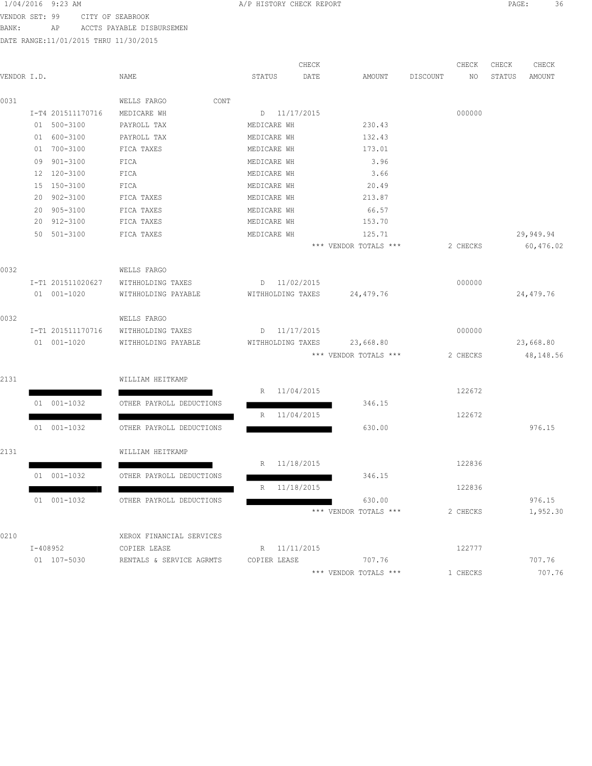VENDOR SET: 99 CITY OF SEABROOK

BANK: AP ACCTS PAYABLE DISBURSEMEN

|             |             |                   |                          |      |              | CHECK             |                       |          | CHECK    | CHECK  | CHECK      |
|-------------|-------------|-------------------|--------------------------|------|--------------|-------------------|-----------------------|----------|----------|--------|------------|
| VENDOR I.D. |             |                   | NAME                     |      | STATUS       | DATE              | AMOUNT                | DISCOUNT | NO       | STATUS | AMOUNT     |
| 0031        |             |                   | WELLS FARGO              | CONT |              |                   |                       |          |          |        |            |
|             |             | I-T4 201511170716 | MEDICARE WH              |      |              | D 11/17/2015      |                       |          | 000000   |        |            |
|             | 01          | 500-3100          | PAYROLL TAX              |      | MEDICARE WH  |                   | 230.43                |          |          |        |            |
|             | 01 600-3100 |                   | PAYROLL TAX              |      | MEDICARE WH  |                   | 132.43                |          |          |        |            |
|             | 01 700-3100 |                   | FICA TAXES               |      | MEDICARE WH  |                   | 173.01                |          |          |        |            |
|             | 09 901-3100 |                   | FICA                     |      | MEDICARE WH  |                   | 3.96                  |          |          |        |            |
|             | 12 120-3100 |                   | FICA                     |      | MEDICARE WH  |                   | 3.66                  |          |          |        |            |
|             | 15 150-3100 |                   | FICA                     |      | MEDICARE WH  |                   | 20.49                 |          |          |        |            |
|             | 20          | 902-3100          | FICA TAXES               |      | MEDICARE WH  |                   | 213.87                |          |          |        |            |
|             | 20          | $905 - 3100$      | FICA TAXES               |      | MEDICARE WH  |                   | 66.57                 |          |          |        |            |
|             | 20          | 912-3100          | FICA TAXES               |      | MEDICARE WH  |                   | 153.70                |          |          |        |            |
|             | 50 501-3100 |                   | FICA TAXES               |      | MEDICARE WH  |                   | 125.71                |          |          |        | 29,949.94  |
|             |             |                   |                          |      |              |                   | *** VENDOR TOTALS *** |          | 2 CHECKS |        | 60,476.02  |
| 0032        |             |                   | WELLS FARGO              |      |              |                   |                       |          |          |        |            |
|             |             | I-T1 201511020627 | WITHHOLDING TAXES        |      |              | D 11/02/2015      |                       |          | 000000   |        |            |
|             | 01 001-1020 |                   | WITHHOLDING PAYABLE      |      |              | WITHHOLDING TAXES | 24,479.76             |          |          |        | 24,479.76  |
| 0032        |             |                   | WELLS FARGO              |      |              |                   |                       |          |          |        |            |
|             |             | I-T1 201511170716 | WITHHOLDING TAXES        |      |              | D 11/17/2015      |                       |          | 000000   |        |            |
|             | 01 001-1020 |                   | WITHHOLDING PAYABLE      |      |              | WITHHOLDING TAXES | 23,668.80             |          |          |        | 23,668.80  |
|             |             |                   |                          |      |              |                   | *** VENDOR TOTALS *** |          | 2 CHECKS |        | 48, 148.56 |
| 2131        |             |                   | WILLIAM HEITKAMP         |      |              |                   |                       |          |          |        |            |
|             |             |                   |                          |      | R            | 11/04/2015        |                       |          | 122672   |        |            |
|             | 01 001-1032 |                   | OTHER PAYROLL DEDUCTIONS |      |              |                   | 346.15                |          |          |        |            |
|             |             |                   |                          |      | R            | 11/04/2015        |                       |          | 122672   |        |            |
|             | 01 001-1032 |                   | OTHER PAYROLL DEDUCTIONS |      |              |                   | 630.00                |          |          |        | 976.15     |
| 2131        |             |                   | WILLIAM HEITKAMP         |      |              |                   |                       |          |          |        |            |
|             |             |                   |                          |      | R            | 11/18/2015        |                       |          | 122836   |        |            |
|             | 01 001-1032 |                   | OTHER PAYROLL DEDUCTIONS |      |              |                   | 346.15                |          |          |        |            |
|             |             |                   |                          |      | R            | 11/18/2015        |                       |          | 122836   |        |            |
|             | 01 001-1032 |                   | OTHER PAYROLL DEDUCTIONS |      |              |                   | 630.00                |          |          |        | 976.15     |
|             |             |                   |                          |      |              |                   | *** VENDOR TOTALS *** |          | 2 CHECKS |        | 1,952.30   |
| 0210        |             |                   | XEROX FINANCIAL SERVICES |      |              |                   |                       |          |          |        |            |
|             | I-408952    |                   | COPIER LEASE             |      |              | R 11/11/2015      |                       |          | 122777   |        |            |
|             | 01 107-5030 |                   | RENTALS & SERVICE AGRMTS |      | COPIER LEASE |                   | 707.76                |          |          |        | 707.76     |
|             |             |                   |                          |      |              |                   | *** VENDOR TOTALS *** |          | 1 CHECKS |        | 707.76     |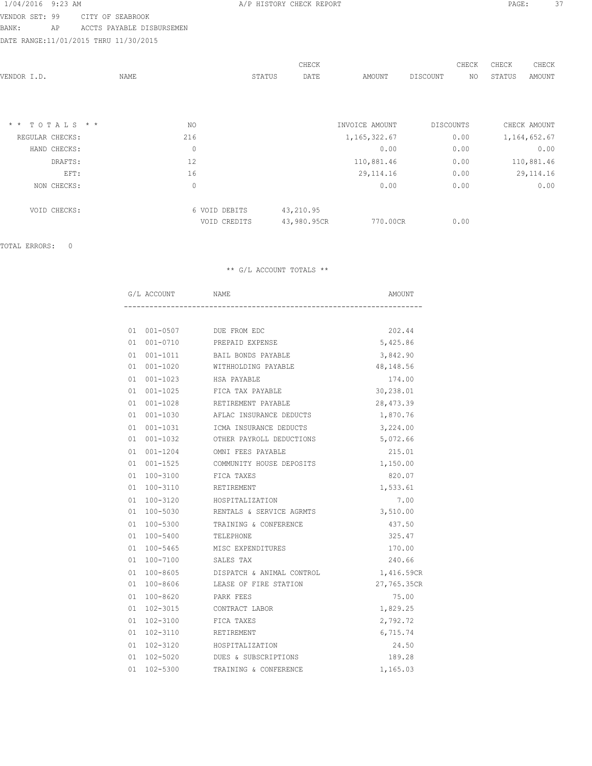VENDOR SET: 99 CITY OF SEABROOK BANK: AP ACCTS PAYABLE DISBURSEMEN

DATE RANGE:11/01/2015 THRU 11/30/2015

|                               |             |               | CHECK          |                | CHECK            | CHECK<br>CHECK   |
|-------------------------------|-------------|---------------|----------------|----------------|------------------|------------------|
| VENDOR I.D.                   | NAME        |               | DATE<br>STATUS | AMOUNT         | DISCOUNT<br>NO.  | STATUS<br>AMOUNT |
|                               |             |               |                |                |                  |                  |
|                               |             |               |                |                |                  |                  |
| TOTALS * *<br>$\star$ $\star$ | NO.         |               |                | INVOICE AMOUNT | <b>DISCOUNTS</b> | CHECK AMOUNT     |
| REGULAR CHECKS:               | 216         |               |                | 1, 165, 322.67 | 0.00             | 1,164,652.67     |
| HAND CHECKS:                  | $\mathbf 0$ |               |                | 0.00           | 0.00             | 0.00             |
| DRAFTS:                       | 12          |               |                | 110,881.46     | 0.00             | 110,881.46       |
| EFT:                          | 16          |               |                | 29, 114. 16    | 0.00             | 29, 114.16       |
| NON CHECKS:                   | 0           |               |                | 0.00           | 0.00             | 0.00             |
| VOID CHECKS:                  |             | 6 VOID DEBITS | 43,210.95      |                |                  |                  |
|                               |             | VOID CREDITS  | 43,980.95CR    | 770.00CR       | 0.00             |                  |
|                               |             |               |                |                |                  |                  |

TOTAL ERRORS: 0

| G/L ACCOUNT | NAME                        |                                       | AMOUNT      |
|-------------|-----------------------------|---------------------------------------|-------------|
|             |                             |                                       |             |
|             | 01  001-0507  DUE FROM EDC  |                                       | 202.44      |
| 01 001-0710 |                             | PREPAID EXPENSE                       | 5,425.86    |
|             |                             | 01 001-1011 BAIL BONDS PAYABLE        | 3,842.90    |
|             |                             | 01  001-1020    WITHHOLDING PAYABLE   | 48,148.56   |
| 01 001-1023 | HSA PAYABLE                 |                                       | 174.00      |
|             |                             | 01 001-1025 FICA TAX PAYABLE          | 30,238.01   |
| 01 001-1028 |                             | RETIREMENT PAYABLE                    | 28, 473.39  |
| 01 001-1030 |                             | AFLAC INSURANCE DEDUCTS               | 1,870.76    |
|             |                             | 01 001-1031 ICMA INSURANCE DEDUCTS    | 3,224.00    |
|             |                             | 01 001-1032 OTHER PAYROLL DEDUCTIONS  | 5,072.66    |
| 01 001-1204 |                             | OMNI FEES PAYABLE                     | 215.01      |
|             |                             | 01 001-1525 COMMUNITY HOUSE DEPOSITS  | 1,150.00    |
|             | 01 100-3100 FICA TAXES      |                                       | 820.07      |
| 01 100-3110 | RETIREMENT                  |                                       | 1,533.61    |
|             | 01 100-3120 HOSPITALIZATION |                                       | 7.00        |
|             |                             | 01 100-5030 RENTALS & SERVICE AGRMTS  | 3,510.00    |
| 01 100-5300 |                             | TRAINING & CONFERENCE                 | 437.50      |
|             | 01  100-5400  TELEPHONE     |                                       | 325.47      |
|             |                             | 01 100-5465 MISC EXPENDITURES         | 170.00      |
| 01 100-7100 | SALES TAX                   |                                       | 240.66      |
|             |                             | 01 100-8605 DISPATCH & ANIMAL CONTROL | 1,416.59CR  |
|             |                             | 01 100-8606 LEASE OF FIRE STATION     | 27,765.35CR |
| 01 100-8620 | PARK FEES                   |                                       | 75.00       |
| 01 102-3015 | CONTRACT LABOR              |                                       | 1,829.25    |
|             | 01 102-3100 FICA TAXES      |                                       | 2,792.72    |
| 01 102-3110 | RETIREMENT                  |                                       | 6,715.74    |
|             | 01 102-3120 HOSPITALIZATION |                                       | 24.50       |
|             |                             | 01 102-5020 DUES & SUBSCRIPTIONS      | 189.28      |
|             |                             | 01 102-5300 TRAINING & CONFERENCE     | 1,165.03    |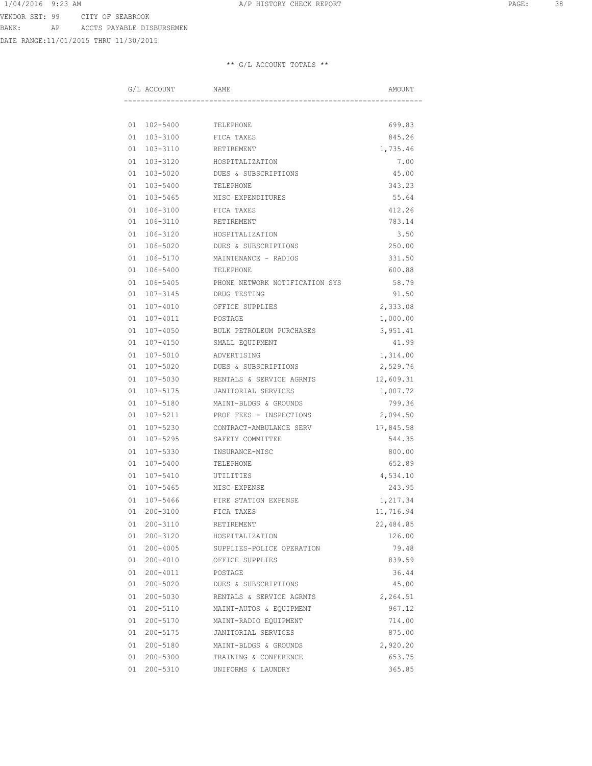DATE RANGE:11/01/2015 THRU 11/30/2015

|  | G/L ACCOUNT     | NAME                           | AMOUNT    |
|--|-----------------|--------------------------------|-----------|
|  |                 |                                |           |
|  | 01 102-5400     | TELEPHONE                      | 699.83    |
|  | 01 103-3100     | FICA TAXES                     | 845.26    |
|  | 01 103-3110     | RETIREMENT                     | 1,735.46  |
|  | 01 103-3120     | HOSPITALIZATION                | 7.00      |
|  | 01 103-5020     | DUES & SUBSCRIPTIONS           | 45.00     |
|  | 01 103-5400     | TELEPHONE                      | 343.23    |
|  | 01 103-5465     | MISC EXPENDITURES              | 55.64     |
|  | 01 106-3100     | FICA TAXES                     | 412.26    |
|  | 01 106-3110     | RETIREMENT                     | 783.14    |
|  | 01 106-3120     | HOSPITALIZATION                | 3.50      |
|  | 01 106-5020     | DUES & SUBSCRIPTIONS           | 250.00    |
|  | 01 106-5170     | MAINTENANCE - RADIOS           | 331.50    |
|  | 01 106-5400     | TELEPHONE                      | 600.88    |
|  | 01 106-5405     | PHONE NETWORK NOTIFICATION SYS | 58.79     |
|  | 01 107-3145     | DRUG TESTING                   | 91.50     |
|  | 01 107-4010     | OFFICE SUPPLIES                | 2,333.08  |
|  | 01 107-4011     | POSTAGE                        | 1,000.00  |
|  | $01 107 - 4050$ | BULK PETROLEUM PURCHASES       | 3,951.41  |
|  | 01 107-4150     | SMALL EQUIPMENT                | 41.99     |
|  | 01 107-5010     | ADVERTISING                    | 1,314.00  |
|  | 01 107-5020     | DUES & SUBSCRIPTIONS           | 2,529.76  |
|  | 01 107-5030     | RENTALS & SERVICE AGRMTS       | 12,609.31 |
|  | 01 107-5175     | JANITORIAL SERVICES            | 1,007.72  |
|  | 01 107-5180     | MAINT-BLDGS & GROUNDS          | 799.36    |
|  | 01 107-5211     | PROF FEES - INSPECTIONS        | 2,094.50  |
|  | 01 107-5230     | CONTRACT-AMBULANCE SERV        | 17,845.58 |
|  | 01 107-5295     | SAFETY COMMITTEE               | 544.35    |
|  | 01 107-5330     | INSURANCE-MISC                 | 800.00    |
|  | 01 107-5400     | TELEPHONE                      | 652.89    |
|  | 01 107-5410     | UTILITIES                      | 4,534.10  |
|  | 01 107-5465     | MISC EXPENSE                   | 243.95    |
|  | 01 107-5466     | FIRE STATION EXPENSE           | 1,217.34  |
|  | 01 200-3100     | FICA TAXES                     | 11,716.94 |
|  | 01 200-3110     | RETIREMENT                     | 22,484.85 |
|  | 01 200-3120     | HOSPITALIZATION                | 126.00    |
|  | 01 200-4005     | SUPPLIES-POLICE OPERATION      | 79.48     |
|  | 01 200-4010     | OFFICE SUPPLIES                | 839.59    |
|  | 01 200-4011     | POSTAGE                        | 36.44     |
|  | 01 200-5020     | DUES & SUBSCRIPTIONS           | 45.00     |
|  | 01 200-5030     | RENTALS & SERVICE AGRMTS       | 2,264.51  |
|  | 01 200-5110     | MAINT-AUTOS & EQUIPMENT        | 967.12    |
|  | 01 200-5170     | MAINT-RADIO EQUIPMENT          | 714.00    |
|  | 01 200-5175     | JANITORIAL SERVICES            | 875.00    |
|  | 01 200-5180     | MAINT-BLDGS & GROUNDS          | 2,920.20  |
|  | 01 200-5300     | TRAINING & CONFERENCE          | 653.75    |
|  | 01 200-5310     | UNIFORMS & LAUNDRY             | 365.85    |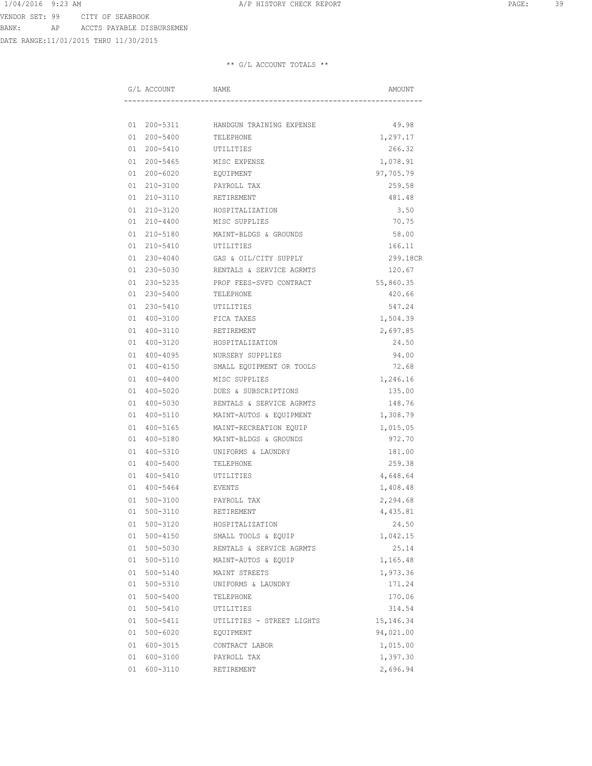DATE RANGE:11/01/2015 THRU 11/30/2015

|  | G/L ACCOUNT | NAME                                 | AMOUNT      |
|--|-------------|--------------------------------------|-------------|
|  |             |                                      |             |
|  |             | 01 200-5311 HANDGUN TRAINING EXPENSE | 49.98       |
|  |             | 01  200-5400  TELEPHONE              | 1,297.17    |
|  |             | 01  200-5410   UTILITIES             | 266.32      |
|  | 01 200-5465 | MISC EXPENSE                         | 1,078.91    |
|  | 01 200-6020 | EQUIPMENT                            | 97,705.79   |
|  | 01 210-3100 | PAYROLL TAX                          | 259.58      |
|  | 01 210-3110 | RETIREMENT                           | 481.48      |
|  | 01 210-3120 | HOSPITALIZATION                      | 3.50        |
|  | 01 210-4400 | MISC SUPPLIES                        | 70.75       |
|  | 01 210-5180 | MAINT-BLDGS & GROUNDS                | 58.00       |
|  | 01 210-5410 | UTILITIES                            | 166.11      |
|  | 01 230-4040 | GAS & OIL/CITY SUPPLY                | 299.18CR    |
|  | 01 230-5030 | RENTALS & SERVICE AGRMTS             | 120.67      |
|  |             | 01 230-5235 PROF FEES-SVFD CONTRACT  | 55,860.35   |
|  | 01 230-5400 | TELEPHONE                            | 420.66      |
|  | 01 230-5410 | UTILITIES                            | 547.24      |
|  | 01 400-3100 | FICA TAXES                           | 1,504.39    |
|  | 01 400-3110 | RETIREMENT                           | 2,697.85    |
|  | 01 400-3120 | HOSPITALIZATION                      | 24.50       |
|  | 01 400-4095 | NURSERY SUPPLIES                     | 94.00       |
|  | 01 400-4150 | SMALL EQUIPMENT OR TOOLS             | 72.68       |
|  | 01 400-4400 | MISC SUPPLIES                        | 1,246.16    |
|  | 01 400-5020 | DUES & SUBSCRIPTIONS                 | 135.00      |
|  | 01 400-5030 | RENTALS & SERVICE AGRMTS             | 148.76      |
|  | 01 400-5110 | MAINT-AUTOS & EQUIPMENT              | 1,308.79    |
|  | 01 400-5165 | MAINT-RECREATION EQUIP               | 1,015.05    |
|  | 01 400-5180 | MAINT-BLDGS & GROUNDS                | 972.70      |
|  | 01 400-5310 | UNIFORMS & LAUNDRY                   | 181.00      |
|  | 01 400-5400 | TELEPHONE                            | 259.38      |
|  | 01 400-5410 | UTILITIES                            | 4,648.64    |
|  | 01 400-5464 | EVENTS                               | 1,408.48    |
|  | 01 500-3100 | PAYROLL TAX                          | 2,294.68    |
|  | 01 500-3110 | RETIREMENT                           | 4,435.81    |
|  | 01 500-3120 | HOSPITALIZATION                      | 24.50       |
|  | 01 500-4150 | SMALL TOOLS & EQUIP                  | 1,042.15    |
|  | 01 500-5030 | RENTALS & SERVICE AGRMTS             | 25.14       |
|  | 01 500-5110 | MAINT-AUTOS & EQUIP                  | 1,165.48    |
|  | 01 500-5140 | MAINT STREETS                        | 1,973.36    |
|  | 01 500-5310 | UNIFORMS & LAUNDRY                   | 171.24      |
|  | 01 500-5400 | TELEPHONE                            | 170.06      |
|  | 01 500-5410 | UTILITIES                            | 314.54      |
|  | 01 500-5411 | UTILITIES - STREET LIGHTS            | 15, 146. 34 |
|  | 01 500-6020 | EQUIPMENT                            | 94,021.00   |
|  | 01 600-3015 | CONTRACT LABOR                       | 1,015.00    |
|  | 01 600-3100 | PAYROLL TAX                          | 1,397.30    |
|  | 01 600-3110 | RETIREMENT                           | 2,696.94    |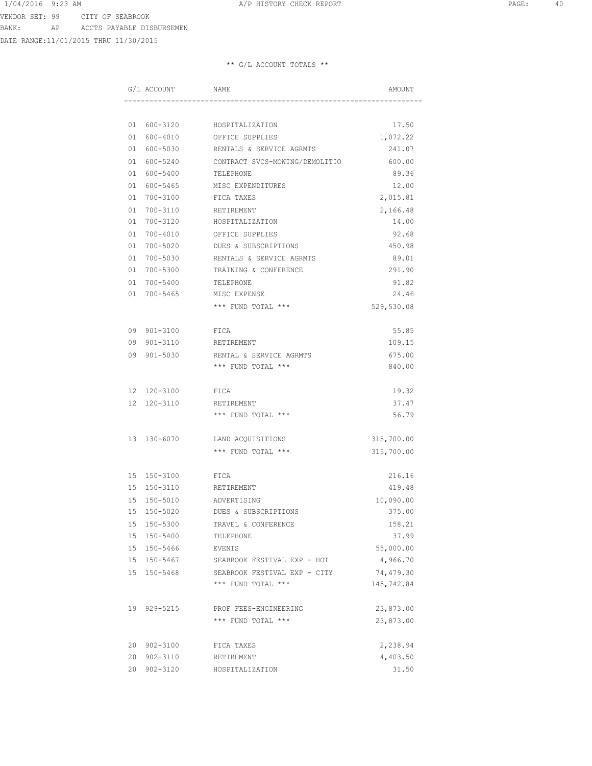DATE RANGE:11/01/2015 THRU 11/30/2015

| G/L ACCOUNT NAME |                                                   | AMOUNT     |
|------------------|---------------------------------------------------|------------|
|                  |                                                   |            |
|                  | 01 600-3120 HOSPITALIZATION                       | 17.50      |
|                  | 01 600-4010 OFFICE SUPPLIES                       | 1,072.22   |
|                  | 01 600-5030 RENTALS & SERVICE AGRMTS              | 241.07     |
|                  | 01 600-5240 CONTRACT SVCS-MOWING/DEMOLITIO 600.00 |            |
|                  | 01 600-5400 TELEPHONE                             | 89.36      |
|                  | 01 600-5465 MISC EXPENDITURES                     | 12.00      |
| 01 700-3100      | FICA TAXES                                        | 2,015.81   |
| 01 700-3110      | RETIREMENT                                        | 2,166.48   |
| 01 700-3120      | HOSPITALIZATION                                   | 14.00      |
| 01 700-4010      | OFFICE SUPPLIES                                   | 92.68      |
| 01 700-5020      | DUES & SUBSCRIPTIONS                              | 450.98     |
| 01 700-5030      | RENTALS & SERVICE AGRMTS                          | 89.01      |
| 01 700-5300      | TRAINING & CONFERENCE                             | 291.90     |
| 01 700-5400      | TELEPHONE                                         | 91.82      |
|                  | 01 700-5465 MISC EXPENSE                          | 24.46      |
|                  | *** FUND TOTAL ***                                | 529,530.08 |
| 09 901-3100 FICA |                                                   | 55.85      |
| 09 901-3110      | RETIREMENT                                        | 109.15     |
| 09 901-5030      | RENTAL & SERVICE AGRMTS                           | 675.00     |
|                  | *** FUND TOTAL ***                                | 840.00     |
| 12 120-3100      | FICA                                              | 19.32      |
| 12 120-3110      | RETIREMENT                                        | 37.47      |
|                  | *** FUND TOTAL ***                                | 56.79      |
|                  | 13 130-6070 LAND ACQUISITIONS                     | 315,700.00 |
|                  | *** FUND TOTAL ***                                | 315,700.00 |
| 15 150-3100 FICA |                                                   | 216.16     |
| 15 150-3110      | RETIREMENT                                        | 419.48     |
| 15 150-5010      | ADVERTISING                                       | 10,090.00  |
| 15 150-5020      | DUES & SUBSCRIPTIONS                              | 375.00     |
| 15 150-5300      | TRAVEL & CONFERENCE                               | 158.21     |
| 15 150-5400      | TELEPHONE                                         | 37.99      |
| 15 150-5466      | EVENTS                                            | 55,000.00  |
| 15 150-5467      | SEABROOK FESTIVAL EXP - HOT                       | 4,966.70   |
| 15 150-5468      | SEABROOK FESTIVAL EXP - CITY                      | 74,479.30  |
|                  | *** FUND TOTAL ***                                | 145,742.84 |
| 19 929-5215      | PROF FEES-ENGINEERING                             | 23,873.00  |
|                  | *** FUND TOTAL ***                                | 23,873.00  |
| 20 902-3100      | FICA TAXES                                        | 2,238.94   |
| 20 902-3110      | RETIREMENT                                        | 4,403.50   |
| 20 902-3120      | HOSPITALIZATION                                   | 31.50      |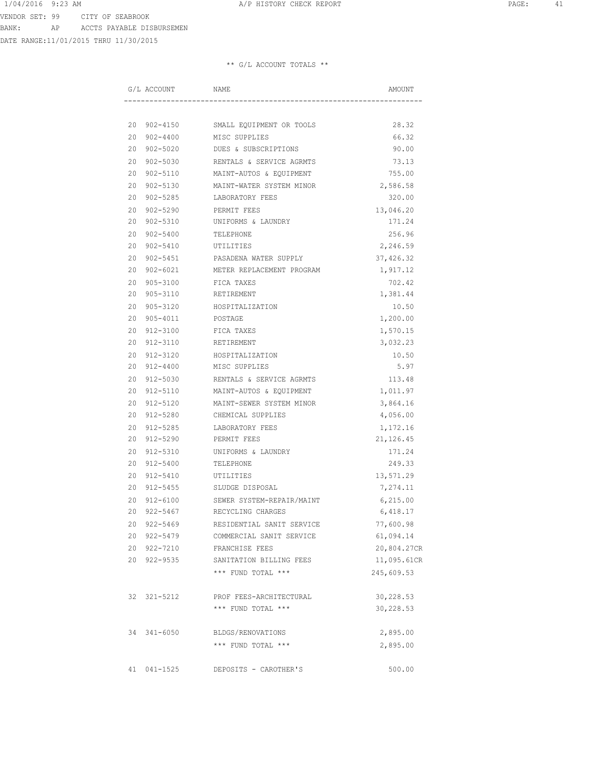DATE RANGE:11/01/2015 THRU 11/30/2015

| G/L ACCOUNT            | NAME                                  | AMOUNT      |
|------------------------|---------------------------------------|-------------|
|                        |                                       |             |
|                        | 20 902-4150 SMALL EQUIPMENT OR TOOLS  | 28.32       |
|                        | 20 902-4400 MISC SUPPLIES             | 66.32       |
| 20 902-5020            | DUES & SUBSCRIPTIONS                  | 90.00       |
| 20 902-5030            | RENTALS & SERVICE AGRMTS              | 73.13       |
| 20 902-5110            | MAINT-AUTOS & EQUIPMENT               | 755.00      |
| 20 902-5130            | MAINT-WATER SYSTEM MINOR              | 2,586.58    |
| 20 902-5285            | LABORATORY FEES                       | 320.00      |
| 20 902-5290            | PERMIT FEES                           | 13,046.20   |
| 20 902-5310            | UNIFORMS & LAUNDRY                    | 171.24      |
| 20 902-5400            | TELEPHONE                             | 256.96      |
| 20 902-5410            | UTILITIES                             | 2,246.59    |
| 20 902-5451            | PASADENA WATER SUPPLY                 | 37,426.32   |
|                        | 20 902-6021 METER REPLACEMENT PROGRAM | 1,917.12    |
| 20 905-3100 FICA TAXES |                                       | 702.42      |
| 20 905-3110            | RETIREMENT                            | 1,381.44    |
| 20 905-3120            | HOSPITALIZATION                       | 10.50       |
| 20 905-4011            | POSTAGE                               | 1,200.00    |
| 20 912-3100            | FICA TAXES                            | 1,570.15    |
| 20 912-3110            | RETIREMENT                            | 3,032.23    |
| 20 912-3120            | HOSPITALIZATION                       | 10.50       |
| 20 912-4400            | MISC SUPPLIES                         | 5.97        |
| 20 912-5030            | RENTALS & SERVICE AGRMTS              | 113.48      |
| 20 912-5110            | MAINT-AUTOS & EQUIPMENT               | 1,011.97    |
| 20 912-5120            | MAINT-SEWER SYSTEM MINOR              | 3,864.16    |
| 20 912-5280            | CHEMICAL SUPPLIES                     | 4,056.00    |
| 20 912-5285            | LABORATORY FEES                       | 1,172.16    |
| 20 912-5290            | PERMIT FEES                           | 21, 126.45  |
| 20<br>912-5310         | UNIFORMS & LAUNDRY                    | 171.24      |
| 20 912-5400            | TELEPHONE                             | 249.33      |
| 20 912-5410            | UTILITIES                             | 13,571.29   |
| 20 912-5455            | SLUDGE DISPOSAL                       | 7,274.11    |
| 20 912-6100            | SEWER SYSTEM-REPAIR/MAINT             | 6, 215.00   |
| 20 922-5467            | RECYCLING CHARGES                     | 6,418.17    |
| 20 922-5469            | RESIDENTIAL SANIT SERVICE             | 77,600.98   |
| 20 922-5479            | COMMERCIAL SANIT SERVICE              | 61,094.14   |
| 20 922-7210            | FRANCHISE FEES                        | 20,804.27CR |
| 20 922-9535            | SANITATION BILLING FEES               | 11,095.61CR |
|                        | *** FUND TOTAL ***                    | 245,609.53  |
| 32 321-5212            | PROF FEES-ARCHITECTURAL               | 30,228.53   |
|                        | *** FUND TOTAL ***                    | 30,228.53   |
| 34 341-6050            | BLDGS/RENOVATIONS                     | 2,895.00    |
|                        | *** FUND TOTAL ***                    | 2,895.00    |
| 41 041-1525            | DEPOSITS - CAROTHER'S                 | 500.00      |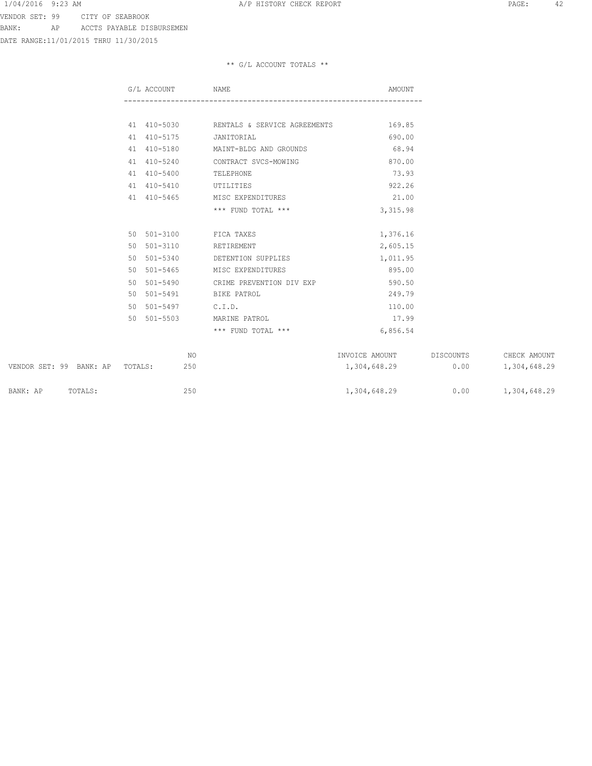DATE RANGE:11/01/2015 THRU 11/30/2015

| G/L ACCOUNT NAME   |                                          | AMOUNT   |
|--------------------|------------------------------------------|----------|
|                    |                                          |          |
|                    | 41 410-5030 RENTALS & SERVICE AGREEMENTS | 169.85   |
| 41 410-5175        | JANITORIAL                               | 690.00   |
|                    | 41 410-5180 MAINT-BLDG AND GROUNDS       | 68.94    |
| 41 410-5240        | CONTRACT SVCS-MOWING                     | 870.00   |
| 41 410-5400        | TELEPHONE                                | 73.93    |
|                    | 41 410-5410 UTILITIES                    | 922.26   |
| 41 410-5465        | MISC EXPENDITURES                        | 21.00    |
|                    | *** FUND TOTAL ***                       | 3,315.98 |
|                    | 50 501-3100 FICA TAXES                   | 1,376.16 |
| 50 501-3110        | RETIREMENT                               | 2,605.15 |
|                    | 50 501-5340 DETENTION SUPPLIES           | 1,011.95 |
| 50 501-5465        | MISC EXPENDITURES                        | 895.00   |
|                    | 50 501-5490 CRIME PREVENTION DIV EXP     | 590.50   |
|                    | 50 501-5491 BIKE PATROL                  | 249.79   |
| 50 501-5497 C.I.D. |                                          | 110.00   |
| 50 501-5503        | MARINE PATROL                            | 17.99    |
|                    | *** FUND TOTAL ***                       | 6,856.54 |

|          |                                 | NΟ  | INVOICE AMOUNT | DISCOUNTS | CHECK AMOUNT |
|----------|---------------------------------|-----|----------------|-----------|--------------|
|          | VENDOR SET: 99 BANK: AP TOTALS: | 250 | 1,304,648.29   | 0.00      | 1,304,648.29 |
| BANK: AP | TOTALS:                         | 250 | 1,304,648.29   | 0.00      | 1,304,648.29 |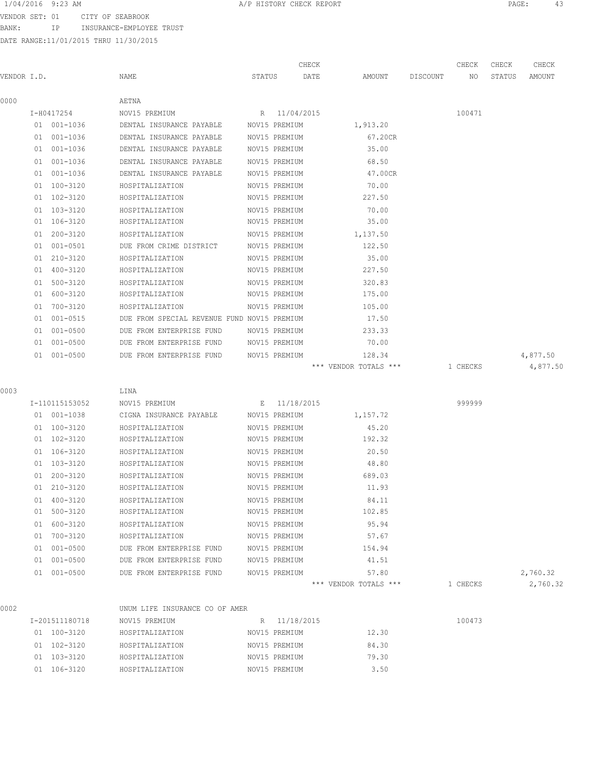VENDOR SET: 01 CITY OF SEABROOK

BANK: IP INSURANCE-EMPLOYEE TRUST

|             |                |                                             |        | CHECK         |                       |          | CHECK    | CHECK  | CHECK    |
|-------------|----------------|---------------------------------------------|--------|---------------|-----------------------|----------|----------|--------|----------|
| VENDOR I.D. |                | NAME                                        | STATUS | DATE          | AMOUNT                | DISCOUNT | NO       | STATUS | AMOUNT   |
| 0000        |                | AETNA                                       |        |               |                       |          |          |        |          |
|             | I-H0417254     | NOV15 PREMIUM                               |        | R 11/04/2015  |                       |          | 100471   |        |          |
|             | 01 001-1036    | DENTAL INSURANCE PAYABLE                    |        | NOV15 PREMIUM | 1,913.20              |          |          |        |          |
|             | 01 001-1036    | DENTAL INSURANCE PAYABLE                    |        | NOV15 PREMIUM | 67.20CR               |          |          |        |          |
|             | 01 001-1036    | DENTAL INSURANCE PAYABLE                    |        | NOV15 PREMIUM | 35.00                 |          |          |        |          |
|             | 01 001-1036    | DENTAL INSURANCE PAYABLE                    |        | NOV15 PREMIUM | 68.50                 |          |          |        |          |
|             | 01 001-1036    | DENTAL INSURANCE PAYABLE                    |        | NOV15 PREMIUM | 47.00CR               |          |          |        |          |
|             | 01 100-3120    | HOSPITALIZATION                             |        | NOV15 PREMIUM | 70.00                 |          |          |        |          |
|             | 01 102-3120    | HOSPITALIZATION                             |        | NOV15 PREMIUM | 227.50                |          |          |        |          |
|             | 01 103-3120    | HOSPITALIZATION                             |        | NOV15 PREMIUM | 70.00                 |          |          |        |          |
|             | 01 106-3120    | HOSPITALIZATION                             |        | NOV15 PREMIUM | 35.00                 |          |          |        |          |
|             | 01 200-3120    | HOSPITALIZATION                             |        | NOV15 PREMIUM | 1,137.50              |          |          |        |          |
|             | 01 001-0501    | DUE FROM CRIME DISTRICT                     |        | NOV15 PREMIUM | 122.50                |          |          |        |          |
|             | 01 210-3120    | HOSPITALIZATION                             |        | NOV15 PREMIUM | 35.00                 |          |          |        |          |
|             | 01 400-3120    | HOSPITALIZATION                             |        | NOV15 PREMIUM | 227.50                |          |          |        |          |
|             | 01 500-3120    | HOSPITALIZATION                             |        | NOV15 PREMIUM | 320.83                |          |          |        |          |
|             | 01 600-3120    | HOSPITALIZATION                             |        | NOV15 PREMIUM | 175.00                |          |          |        |          |
|             | 01 700-3120    | HOSPITALIZATION                             |        | NOV15 PREMIUM | 105.00                |          |          |        |          |
|             | 01 001-0515    | DUE FROM SPECIAL REVENUE FUND NOV15 PREMIUM |        |               | 17.50                 |          |          |        |          |
|             | 01 001-0500    | DUE FROM ENTERPRISE FUND                    |        | NOV15 PREMIUM | 233.33                |          |          |        |          |
|             | 01 001-0500    | DUE FROM ENTERPRISE FUND                    |        | NOV15 PREMIUM | 70.00                 |          |          |        |          |
|             | 01 001-0500    | DUE FROM ENTERPRISE FUND                    |        | NOV15 PREMIUM | 128.34                |          |          |        | 4,877.50 |
|             |                |                                             |        |               | *** VENDOR TOTALS *** |          | 1 CHECKS |        | 4,877.50 |
| 0003        |                | LINA                                        |        |               |                       |          |          |        |          |
|             | I-110115153052 | NOV15 PREMIUM                               |        | E 11/18/2015  |                       |          | 999999   |        |          |
|             | 01 001-1038    | CIGNA INSURANCE PAYABLE                     |        | NOV15 PREMIUM | 1,157.72              |          |          |        |          |
|             | 01 100-3120    | HOSPITALIZATION                             |        | NOV15 PREMIUM | 45.20                 |          |          |        |          |
|             | 01 102-3120    | HOSPITALIZATION                             |        | NOV15 PREMIUM | 192.32                |          |          |        |          |
|             | 01 106-3120    | HOSPITALIZATION                             |        | NOV15 PREMIUM | 20.50                 |          |          |        |          |
|             | 01 103-3120    | HOSPITALIZATION                             |        | NOV15 PREMIUM | 48.80                 |          |          |        |          |
|             | 01 200-3120    | HOSPITALIZATION                             |        | NOV15 PREMIUM | 689.03                |          |          |        |          |
|             | 01 210-3120    | HOSPITALIZATION                             |        | NOV15 PREMIUM | 11.93                 |          |          |        |          |
|             | 01 400-3120    | HOSPITALIZATION                             |        | NOV15 PREMIUM | 84.11                 |          |          |        |          |
|             | 01 500-3120    | HOSPITALIZATION                             |        | NOV15 PREMIUM | 102.85                |          |          |        |          |
|             | 01 600-3120    | HOSPITALIZATION                             |        | NOV15 PREMIUM | 95.94                 |          |          |        |          |
|             | 01 700-3120    | HOSPITALIZATION                             |        | NOV15 PREMIUM | 57.67                 |          |          |        |          |
|             | 01 001-0500    | DUE FROM ENTERPRISE FUND                    |        | NOV15 PREMIUM | 154.94                |          |          |        |          |
|             | 01 001-0500    | DUE FROM ENTERPRISE FUND                    |        | NOV15 PREMIUM | 41.51                 |          |          |        |          |
|             | 01 001-0500    | DUE FROM ENTERPRISE FUND                    |        | NOV15 PREMIUM | 57.80                 |          |          |        | 2,760.32 |
|             |                |                                             |        |               | *** VENDOR TOTALS *** |          | 1 CHECKS |        | 2,760.32 |
| 0002        |                | UNUM LIFE INSURANCE CO OF AMER              |        |               |                       |          |          |        |          |
|             | I-201511180718 | NOV15 PREMIUM                               |        | R 11/18/2015  |                       |          | 100473   |        |          |
|             | 01 100-3120    | HOSPITALIZATION                             |        | NOV15 PREMIUM | 12.30                 |          |          |        |          |
|             | 01 102-3120    | HOSPITALIZATION                             |        | NOV15 PREMIUM | 84.30                 |          |          |        |          |
|             | 01 103-3120    | HOSPITALIZATION                             |        | NOV15 PREMIUM | 79.30                 |          |          |        |          |
|             | 01 106-3120    | HOSPITALIZATION                             |        | NOV15 PREMIUM | 3.50                  |          |          |        |          |
|             |                |                                             |        |               |                       |          |          |        |          |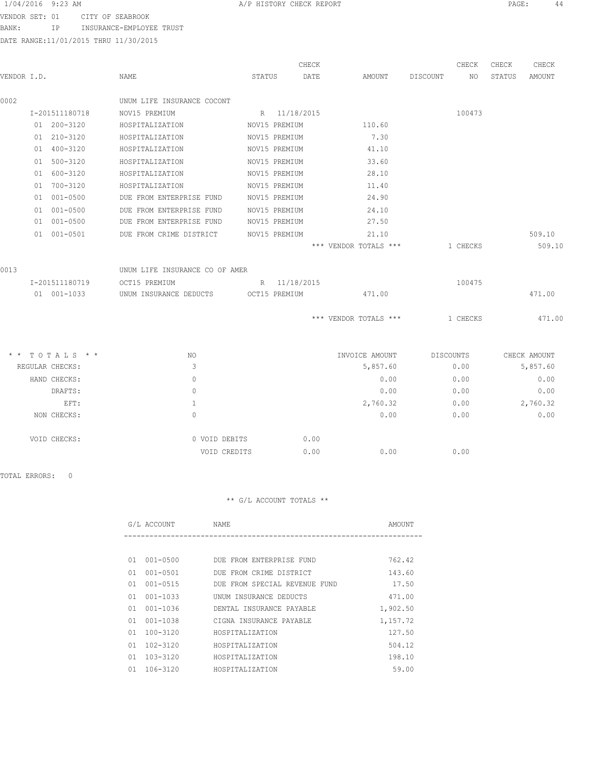VENDOR SET: 01 CITY OF SEABROOK BANK: IP INSURANCE-EMPLOYEE TRUST

DATE RANGE:11/01/2015 THRU 11/30/2015

|             |                 |                                |        |               | CHECK |                       |          | CHECK     | CHECK  | CHECK        |
|-------------|-----------------|--------------------------------|--------|---------------|-------|-----------------------|----------|-----------|--------|--------------|
| VENDOR I.D. |                 | NAME                           | STATUS |               | DATE  | AMOUNT                | DISCOUNT | NO.       | STATUS | AMOUNT       |
| 0002        |                 | UNUM LIFE INSURANCE COCONT     |        |               |       |                       |          |           |        |              |
|             | I-201511180718  | NOV15 PREMIUM                  |        | R 11/18/2015  |       |                       |          | 100473    |        |              |
|             | 01 200-3120     | HOSPITALIZATION                |        | NOV15 PREMIUM |       | 110.60                |          |           |        |              |
|             | 01 210-3120     | HOSPITALIZATION                |        | NOV15 PREMIUM |       | 7.30                  |          |           |        |              |
|             | 01 400-3120     | HOSPITALIZATION                |        | NOV15 PREMIUM |       | 41.10                 |          |           |        |              |
|             | 01 500-3120     | HOSPITALIZATION                |        | NOV15 PREMIUM |       | 33.60                 |          |           |        |              |
|             | 01 600-3120     | HOSPITALIZATION                |        | NOV15 PREMIUM |       | 28.10                 |          |           |        |              |
|             | 01 700-3120     | HOSPITALIZATION                |        | NOV15 PREMIUM |       | 11.40                 |          |           |        |              |
|             | 01 001-0500     | DUE FROM ENTERPRISE FUND       |        | NOV15 PREMIUM |       | 24.90                 |          |           |        |              |
|             | 01 001-0500     | DUE FROM ENTERPRISE FUND       |        | NOV15 PREMIUM |       | 24.10                 |          |           |        |              |
|             | 01 001-0500     | DUE FROM ENTERPRISE FUND       |        | NOV15 PREMIUM |       | 27.50                 |          |           |        |              |
|             | 01 001-0501     | DUE FROM CRIME DISTRICT        |        | NOV15 PREMIUM |       | 21.10                 |          |           |        | 509.10       |
|             |                 |                                |        |               |       | *** VENDOR TOTALS *** |          | 1 CHECKS  |        | 509.10       |
| 0013        |                 | UNUM LIFE INSURANCE CO OF AMER |        |               |       |                       |          |           |        |              |
|             | I-201511180719  | OCT15 PREMIUM                  |        | R 11/18/2015  |       |                       |          | 100475    |        |              |
|             | 01 001-1033     | UNUM INSURANCE DEDUCTS         |        | OCT15 PREMIUM |       | 471.00                |          |           |        | 471.00       |
|             |                 |                                |        |               |       | *** VENDOR TOTALS *** |          | 1 CHECKS  |        | 471.00       |
|             | * * TOTALS * *  | NO.                            |        |               |       | INVOICE AMOUNT        |          | DISCOUNTS |        | CHECK AMOUNT |
|             | REGULAR CHECKS: | 3                              |        |               |       | 5,857.60              |          | 0.00      |        | 5,857.60     |
|             | HAND CHECKS:    | $\mathbf{0}$                   |        |               |       | 0.00                  |          | 0.00      |        | 0.00         |
|             | DRAFTS:         | $\circ$                        |        |               |       | 0.00                  |          | 0.00      |        | 0.00         |
|             | EFT:            | $\mathbf{1}$                   |        |               |       | 2,760.32              |          | 0.00      |        | 2,760.32     |
|             | NON CHECKS:     | $\circ$                        |        |               |       | 0.00                  |          | 0.00      |        | 0.00         |
|             | VOID CHECKS:    | 0 VOID DEBITS                  |        |               | 0.00  |                       |          |           |        |              |
|             |                 | VOID CREDITS                   |        |               | 0.00  | 0.00                  |          | 0.00      |        |              |

TOTAL ERRORS: 0

|    | G/L ACCOUNT  | NAME                          | AMOUNT   |
|----|--------------|-------------------------------|----------|
|    |              |                               |          |
| 01 | $001 - 0500$ | DUE FROM ENTERPRISE FUND      | 762.42   |
| 01 | $001 - 0501$ | DUE FROM CRIME DISTRICT       | 143.60   |
| 01 | $001 - 0515$ | DUE FROM SPECIAL REVENUE FUND | 17.50    |
| 01 | $001 - 1033$ | UNUM INSURANCE DEDUCTS        | 471.00   |
| 01 | 001-1036     | DENTAL INSURANCE PAYABLE      | 1,902.50 |
| 01 | $001 - 1038$ | CIGNA INSURANCE PAYABLE       | 1,157.72 |
| 01 | $100 - 3120$ | HOSPITALIZATION               | 127.50   |
| 01 | $102 - 3120$ | HOSPITALIZATION               | 504.12   |
| 01 | 103-3120     | HOSPITALIZATION               | 198.10   |
| 01 | 106-3120     | HOSPITALIZATION               | 59.00    |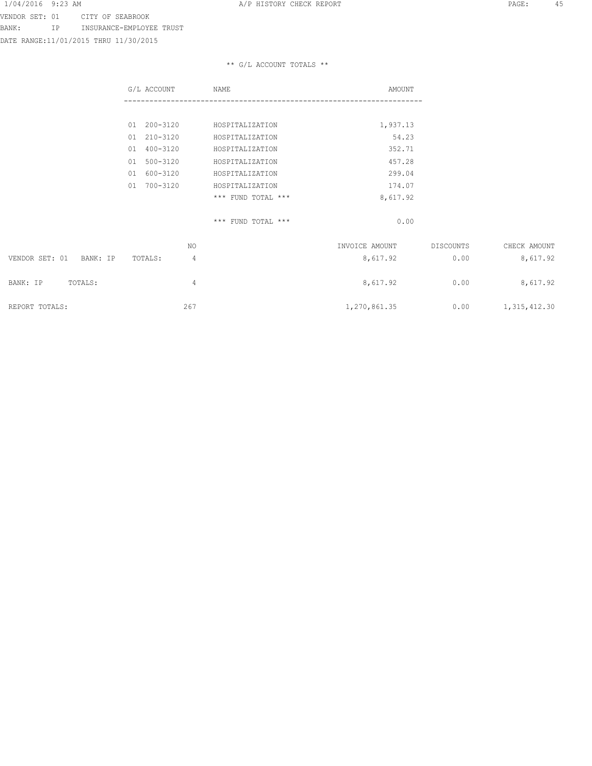VENDOR SET: 01 CITY OF SEABROOK BANK: IP INSURANCE-EMPLOYEE TRUST

DATE RANGE:11/01/2015 THRU 11/30/2015

|                            | G/L ACCOUNT    | NAME                   | AMOUNT         |           |                       |
|----------------------------|----------------|------------------------|----------------|-----------|-----------------------|
|                            |                |                        |                |           |                       |
|                            | 01 200-3120    | HOSPITALIZATION        | 1,937.13       |           |                       |
|                            | 01 210-3120    | HOSPITALIZATION        | 54.23          |           |                       |
|                            | 01 400-3120    | HOSPITALIZATION        | 352.71         |           |                       |
|                            | 01 500-3120    | HOSPITALIZATION        | 457.28         |           |                       |
|                            | 01 600-3120    | HOSPITALIZATION        | 299.04         |           |                       |
|                            | 700-3120<br>01 | HOSPITALIZATION        | 174.07         |           |                       |
|                            |                | $***$ FUND TOTAL $***$ | 8,617.92       |           |                       |
|                            |                | *** FUND TOTAL ***     | 0.00           |           |                       |
|                            | NO.            |                        | INVOICE AMOUNT | DISCOUNTS | CHECK AMOUNT          |
| VENDOR SET: 01<br>BANK: IP | TOTALS:<br>4   |                        | 8,617.92       | 0.00      | 8,617.92              |
| BANK: IP<br>TOTALS:        | 4              |                        | 8,617.92       | 0.00      | 8,617.92              |
| REPORT TOTALS:             | 267            |                        | 1,270,861.35   |           | $0.00$ 1, 315, 412.30 |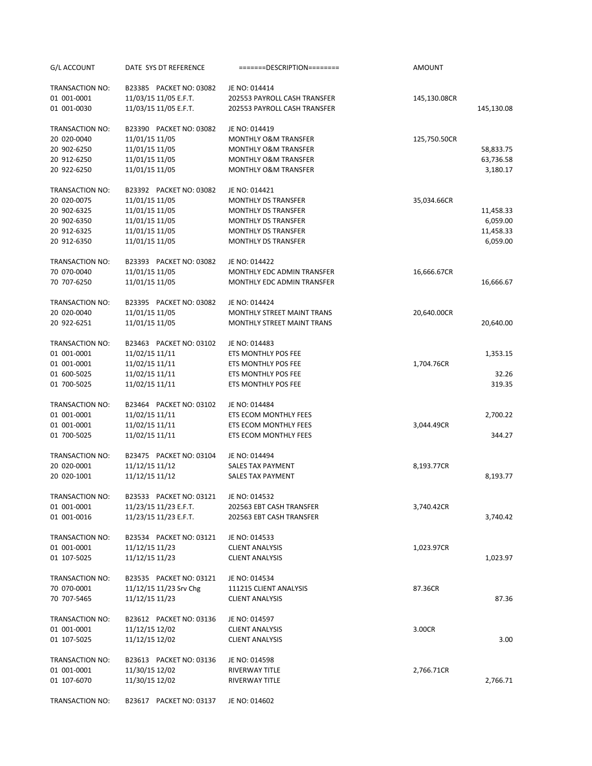| G/L ACCOUNT     | DATE SYS DT REFERENCE   | =======DESCRIPTION========        | AMOUNT       |            |
|-----------------|-------------------------|-----------------------------------|--------------|------------|
| TRANSACTION NO: | B23385 PACKET NO: 03082 | JE NO: 014414                     |              |            |
| 01 001-0001     | 11/03/15 11/05 E.F.T.   | 202553 PAYROLL CASH TRANSFER      | 145,130.08CR |            |
| 01 001-0030     | 11/03/15 11/05 E.F.T.   | 202553 PAYROLL CASH TRANSFER      |              | 145,130.08 |
| TRANSACTION NO: | B23390 PACKET NO: 03082 | JE NO: 014419                     |              |            |
| 20 020-0040     | 11/01/15 11/05          | <b>MONTHLY O&amp;M TRANSFER</b>   | 125,750.50CR |            |
| 20 902-6250     | 11/01/15 11/05          | MONTHLY O&M TRANSFER              |              | 58,833.75  |
| 20 912-6250     | 11/01/15 11/05          | <b>MONTHLY O&amp;M TRANSFER</b>   |              | 63,736.58  |
| 20 922-6250     | 11/01/15 11/05          | MONTHLY O&M TRANSFER              |              | 3,180.17   |
| TRANSACTION NO: | B23392 PACKET NO: 03082 | JE NO: 014421                     |              |            |
| 20 020-0075     | 11/01/15 11/05          | <b>MONTHLY DS TRANSFER</b>        | 35,034.66CR  |            |
| 20 902-6325     | 11/01/15 11/05          | <b>MONTHLY DS TRANSFER</b>        |              | 11,458.33  |
| 20 902-6350     | 11/01/15 11/05          | <b>MONTHLY DS TRANSFER</b>        |              | 6,059.00   |
| 20 912-6325     | 11/01/15 11/05          | <b>MONTHLY DS TRANSFER</b>        |              | 11,458.33  |
| 20 912-6350     | 11/01/15 11/05          | <b>MONTHLY DS TRANSFER</b>        |              | 6,059.00   |
| TRANSACTION NO: | B23393 PACKET NO: 03082 | JE NO: 014422                     |              |            |
| 70 070-0040     | 11/01/15 11/05          | MONTHLY EDC ADMIN TRANSFER        | 16,666.67CR  |            |
| 70 707-6250     | 11/01/15 11/05          | MONTHLY EDC ADMIN TRANSFER        |              | 16,666.67  |
| TRANSACTION NO: | B23395 PACKET NO: 03082 | JE NO: 014424                     |              |            |
| 20 020-0040     | 11/01/15 11/05          | MONTHLY STREET MAINT TRANS        | 20,640.00CR  |            |
| 20 922-6251     | 11/01/15 11/05          | <b>MONTHLY STREET MAINT TRANS</b> |              | 20,640.00  |
| TRANSACTION NO: | B23463 PACKET NO: 03102 | JE NO: 014483                     |              |            |
| 01 001-0001     | 11/02/15 11/11          | ETS MONTHLY POS FEE               |              | 1,353.15   |
| 01 001-0001     | 11/02/15 11/11          | ETS MONTHLY POS FEE               | 1,704.76CR   |            |
| 01 600-5025     | 11/02/15 11/11          | ETS MONTHLY POS FEE               |              | 32.26      |
| 01 700-5025     | 11/02/15 11/11          | ETS MONTHLY POS FEE               |              | 319.35     |
| TRANSACTION NO: | B23464 PACKET NO: 03102 | JE NO: 014484                     |              |            |
| 01 001-0001     | 11/02/15 11/11          | ETS ECOM MONTHLY FEES             |              | 2,700.22   |
| 01 001-0001     | 11/02/15 11/11          | ETS ECOM MONTHLY FEES             | 3,044.49CR   |            |
| 01 700-5025     | 11/02/15 11/11          | ETS ECOM MONTHLY FEES             |              | 344.27     |
| TRANSACTION NO: | B23475 PACKET NO: 03104 | JE NO: 014494                     |              |            |
| 20 020-0001     | 11/12/15 11/12          | <b>SALES TAX PAYMENT</b>          | 8,193.77CR   |            |
| 20 020-1001     | 11/12/15 11/12          | SALES TAX PAYMENT                 |              | 8,193.77   |
| TRANSACTION NO: | B23533 PACKET NO: 03121 | JE NO: 014532                     |              |            |
| 01 001-0001     | 11/23/15 11/23 E.F.T.   | 202563 EBT CASH TRANSFER          | 3,740.42CR   |            |
| 01 001-0016     | 11/23/15 11/23 E.F.T.   | 202563 EBT CASH TRANSFER          |              | 3,740.42   |
| TRANSACTION NO: | B23534 PACKET NO: 03121 | JE NO: 014533                     |              |            |
| 01 001-0001     | 11/12/15 11/23          | <b>CLIENT ANALYSIS</b>            | 1,023.97CR   |            |
| 01 107-5025     | 11/12/15 11/23          | <b>CLIENT ANALYSIS</b>            |              | 1,023.97   |
| TRANSACTION NO: | B23535 PACKET NO: 03121 | JE NO: 014534                     |              |            |
| 70 070-0001     | 11/12/15 11/23 Srv Chg  | 111215 CLIENT ANALYSIS            | 87.36CR      |            |
| 70 707-5465     | 11/12/15 11/23          | <b>CLIENT ANALYSIS</b>            |              | 87.36      |
| TRANSACTION NO: | B23612 PACKET NO: 03136 | JE NO: 014597                     |              |            |
| 01 001-0001     | 11/12/15 12/02          | <b>CLIENT ANALYSIS</b>            | 3.00CR       |            |
| 01 107-5025     | 11/12/15 12/02          | <b>CLIENT ANALYSIS</b>            |              | 3.00       |
| TRANSACTION NO: | B23613 PACKET NO: 03136 | JE NO: 014598                     |              |            |
| 01 001-0001     | 11/30/15 12/02          | RIVERWAY TITLE                    | 2,766.71CR   |            |
| 01 107-6070     | 11/30/15 12/02          | RIVERWAY TITLE                    |              | 2,766.71   |
| TRANSACTION NO: | B23617 PACKET NO: 03137 | JE NO: 014602                     |              |            |